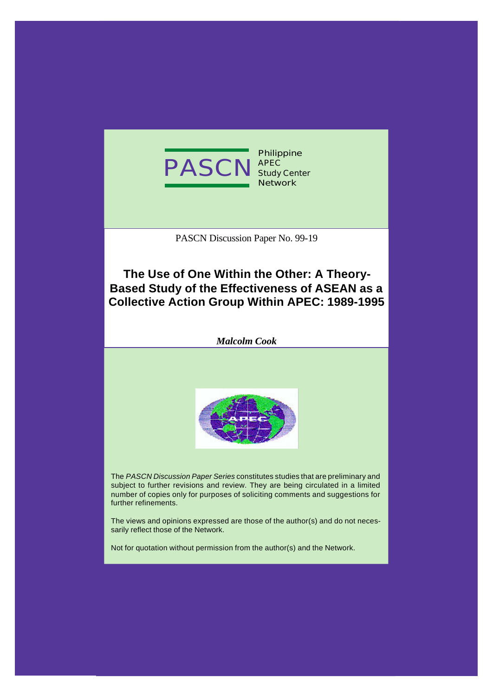

PASCN Discussion Paper No. 99-19

# **The Use of One Within the Other: A Theory-Based Study of the Effectiveness of ASEAN as a Collective Action Group Within APEC: 1989-1995**

*Malcolm Cook*



The *PASCN Discussion Paper Series* constitutes studies that are preliminary and subject to further revisions and review. They are being circulated in a limited number of copies only for purposes of soliciting comments and suggestions for further refinements.

The views and opinions expressed are those of the author(s) and do not necessarily reflect those of the Network.

Not for quotation without permission from the author(s) and the Network.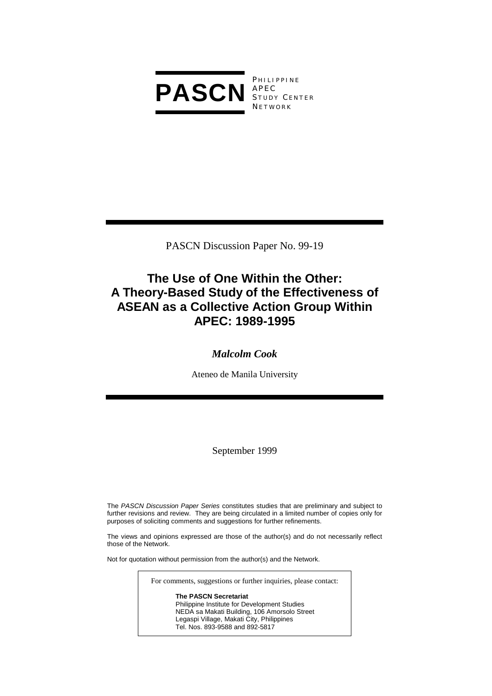

**PHILIPPINE** S TUDY C ENTER **NETWORK** 

PASCN Discussion Paper No. 99-19

# **The Use of One Within the Other: A Theory-Based Study of the Effectiveness of ASEAN as a Collective Action Group Within APEC: 1989-1995**

## *Malcolm Cook*

Ateneo de Manila University

September 1999

The *PASCN Discussion Paper Series* constitutes studies that are preliminary and subject to further revisions and review. They are being circulated in a limited number of copies only for purposes of soliciting comments and suggestions for further refinements.

The views and opinions expressed are those of the author(s) and do not necessarily reflect those of the Network.

Not for quotation without permission from the author(s) and the Network.

| For comments, suggestions or further inquiries, please contact: |
|-----------------------------------------------------------------|
| <b>The PASCN Secretariat</b>                                    |
| Philippine Institute for Development Studies                    |
| NEDA sa Makati Building, 106 Amorsolo Street                    |
| Legaspi Village, Makati City, Philippines                       |

Tel. Nos. 893-9588 and 892-5817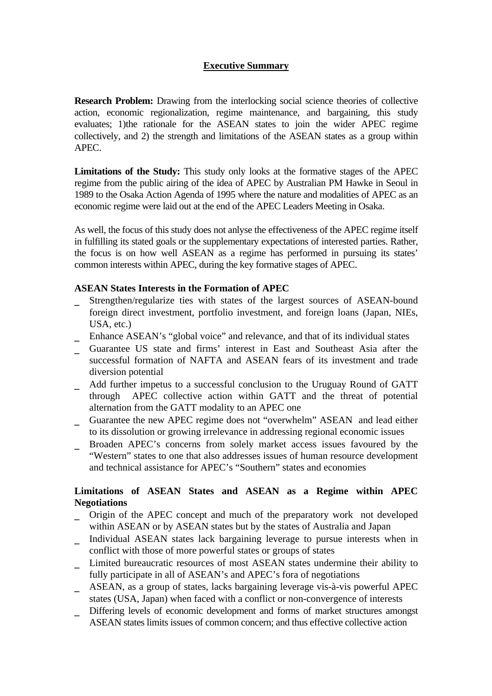## **Executive Summary**

**Research Problem:** Drawing from the interlocking social science theories of collective action, economic regionalization, regime maintenance, and bargaining, this study evaluates; 1)the rationale for the ASEAN states to join the wider APEC regime collectively, and 2) the strength and limitations of the ASEAN states as a group within APEC.

**Limitations of the Study:** This study only looks at the formative stages of the APEC regime from the public airing of the idea of APEC by Australian PM Hawke in Seoul in 1989 to the Osaka Action Agenda of 1995 where the nature and modalities of APEC as an economic regime were laid out at the end of the APEC Leaders Meeting in Osaka.

As well, the focus of this study does not anlyse the effectiveness of the APEC regime itself in fulfilling its stated goals or the supplementary expectations of interested parties. Rather, the focus is on how well ASEAN as a regime has performed in pursuing its states' common interests within APEC, during the key formative stages of APEC.

### **ASEAN States Interests in the Formation of APEC**

- Strengthen/regularize ties with states of the largest sources of ASEAN-bound foreign direct investment, portfolio investment, and foreign loans (Japan, NIEs, USA, etc.)
- Enhance ASEAN's "global voice" and relevance, and that of its individual states
- \_ Guarantee US state and firms' interest in East and Southeast Asia after the successful formation of NAFTA and ASEAN fears of its investment and trade diversion potential
- Add further impetus to a successful conclusion to the Uruguay Round of GATT through APEC collective action within GATT and the threat of potential alternation from the GATT modality to an APEC one
- Guarantee the new APEC regime does not "overwhelm" ASEAN and lead either to its dissolution or growing irrelevance in addressing regional economic issues
- Broaden APEC's concerns from solely market access issues favoured by the "Western" states to one that also addresses issues of human resource development and technical assistance for APEC's "Southern" states and economies

## **Limitations of ASEAN States and ASEAN as a Regime within APEC Negotiations**

- \_ Origin of the APEC concept and much of the preparatory work not developed within ASEAN or by ASEAN states but by the states of Australia and Japan
- \_ Individual ASEAN states lack bargaining leverage to pursue interests when in conflict with those of more powerful states or groups of states
- \_ Limited bureaucratic resources of most ASEAN states undermine their ability to fully participate in all of ASEAN's and APEC's fora of negotiations
- \_ ASEAN, as a group of states, lacks bargaining leverage vis-à-vis powerful APEC states (USA, Japan) when faced with a conflict or non-convergence of interests
- Differing levels of economic development and forms of market structures amongst ASEAN states limits issues of common concern; and thus effective collective action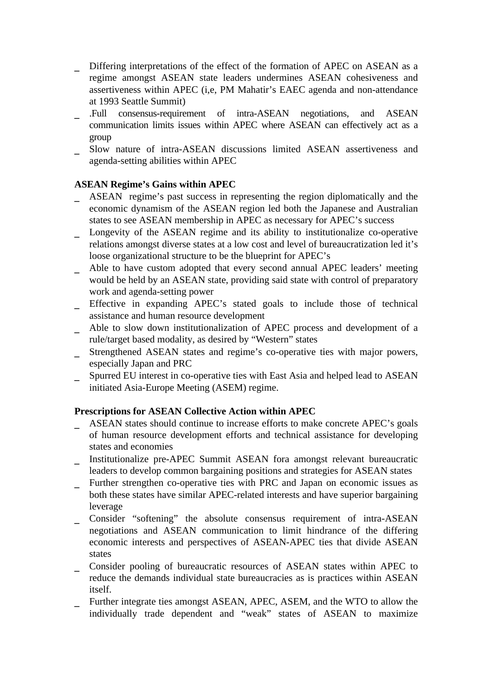- Differing interpretations of the effect of the formation of APEC on ASEAN as a regime amongst ASEAN state leaders undermines ASEAN cohesiveness and assertiveness within APEC (i,e, PM Mahatir's EAEC agenda and non-attendance at 1993 Seattle Summit)
- \_ .Full consensus-requirement of intra-ASEAN negotiations, and ASEAN communication limits issues within APEC where ASEAN can effectively act as a group
- Slow nature of intra-ASEAN discussions limited ASEAN assertiveness and agenda-setting abilities within APEC

### **ASEAN Regime's Gains within APEC**

- ASEAN regime's past success in representing the region diplomatically and the economic dynamism of the ASEAN region led both the Japanese and Australian states to see ASEAN membership in APEC as necessary for APEC's success
- Longevity of the ASEAN regime and its ability to institutionalize co-operative relations amongst diverse states at a low cost and level of bureaucratization led it's loose organizational structure to be the blueprint for APEC's
- Able to have custom adopted that every second annual APEC leaders' meeting would be held by an ASEAN state, providing said state with control of preparatory work and agenda-setting power
- Effective in expanding APEC's stated goals to include those of technical assistance and human resource development
- \_ Able to slow down institutionalization of APEC process and development of a rule/target based modality, as desired by "Western" states
- Strengthened ASEAN states and regime's co-operative ties with major powers, especially Japan and PRC
- Spurred EU interest in co-operative ties with East Asia and helped lead to ASEAN initiated Asia-Europe Meeting (ASEM) regime.

### **Prescriptions for ASEAN Collective Action within APEC**

- ASEAN states should continue to increase efforts to make concrete APEC's goals of human resource development efforts and technical assistance for developing states and economies
- \_ Institutionalize pre-APEC Summit ASEAN fora amongst relevant bureaucratic leaders to develop common bargaining positions and strategies for ASEAN states
- Further strengthen co-operative ties with PRC and Japan on economic issues as both these states have similar APEC-related interests and have superior bargaining leverage
- Consider "softening" the absolute consensus requirement of intra-ASEAN negotiations and ASEAN communication to limit hindrance of the differing economic interests and perspectives of ASEAN-APEC ties that divide ASEAN states
- \_ Consider pooling of bureaucratic resources of ASEAN states within APEC to reduce the demands individual state bureaucracies as is practices within ASEAN itself.
- Further integrate ties amongst ASEAN, APEC, ASEM, and the WTO to allow the individually trade dependent and "weak" states of ASEAN to maximize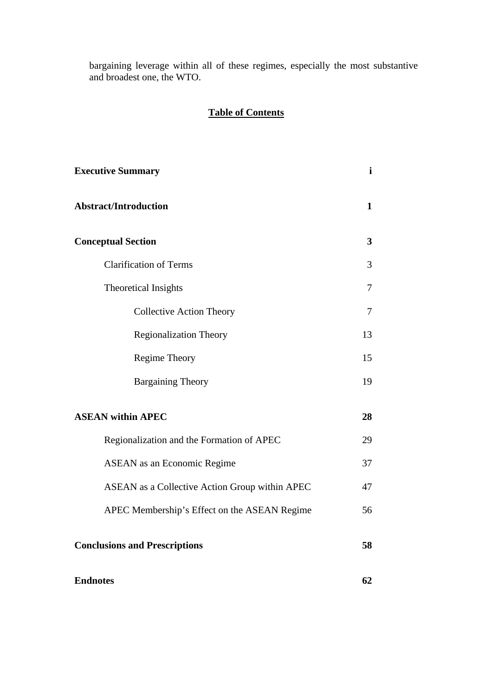bargaining leverage within all of these regimes, especially the most substantive and broadest one, the WTO.

## **Table of Contents**

| <b>Executive Summary</b>                       | $\mathbf i$             |
|------------------------------------------------|-------------------------|
| <b>Abstract/Introduction</b>                   | $\mathbf 1$             |
| <b>Conceptual Section</b>                      | $\overline{\mathbf{3}}$ |
| <b>Clarification of Terms</b>                  | 3                       |
| Theoretical Insights                           | 7                       |
| <b>Collective Action Theory</b>                | 7                       |
| <b>Regionalization Theory</b>                  | 13                      |
| Regime Theory                                  | 15                      |
| <b>Bargaining Theory</b>                       | 19                      |
| <b>ASEAN within APEC</b>                       | 28                      |
| Regionalization and the Formation of APEC      | 29                      |
| <b>ASEAN</b> as an Economic Regime             | 37                      |
| ASEAN as a Collective Action Group within APEC | 47                      |
| APEC Membership's Effect on the ASEAN Regime   | 56                      |
| <b>Conclusions and Prescriptions</b>           | 58                      |
| <b>Endnotes</b>                                | 62                      |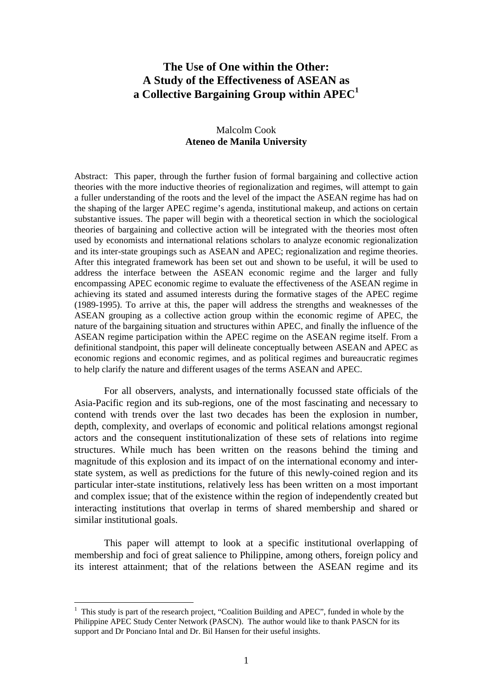## **The Use of One within the Other: A Study of the Effectiveness of ASEAN as a Collective Bargaining Group within APEC<sup>1</sup>**

### Malcolm Cook **Ateneo de Manila University**

Abstract: This paper, through the further fusion of formal bargaining and collective action theories with the more inductive theories of regionalization and regimes, will attempt to gain a fuller understanding of the roots and the level of the impact the ASEAN regime has had on the shaping of the larger APEC regime's agenda, institutional makeup, and actions on certain substantive issues. The paper will begin with a theoretical section in which the sociological theories of bargaining and collective action will be integrated with the theories most often used by economists and international relations scholars to analyze economic regionalization and its inter-state groupings such as ASEAN and APEC; regionalization and regime theories. After this integrated framework has been set out and shown to be useful, it will be used to address the interface between the ASEAN economic regime and the larger and fully encompassing APEC economic regime to evaluate the effectiveness of the ASEAN regime in achieving its stated and assumed interests during the formative stages of the APEC regime (1989-1995). To arrive at this, the paper will address the strengths and weaknesses of the ASEAN grouping as a collective action group within the economic regime of APEC, the nature of the bargaining situation and structures within APEC, and finally the influence of the ASEAN regime participation within the APEC regime on the ASEAN regime itself. From a definitional standpoint, this paper will delineate conceptually between ASEAN and APEC as economic regions and economic regimes, and as political regimes and bureaucratic regimes to help clarify the nature and different usages of the terms ASEAN and APEC.

For all observers, analysts, and internationally focussed state officials of the Asia-Pacific region and its sub-regions, one of the most fascinating and necessary to contend with trends over the last two decades has been the explosion in number, depth, complexity, and overlaps of economic and political relations amongst regional actors and the consequent institutionalization of these sets of relations into regime structures. While much has been written on the reasons behind the timing and magnitude of this explosion and its impact of on the international economy and interstate system, as well as predictions for the future of this newly-coined region and its particular inter-state institutions, relatively less has been written on a most important and complex issue; that of the existence within the region of independently created but interacting institutions that overlap in terms of shared membership and shared or similar institutional goals.

This paper will attempt to look at a specific institutional overlapping of membership and foci of great salience to Philippine, among others, foreign policy and its interest attainment; that of the relations between the ASEAN regime and its

 $\overline{a}$ 

 $<sup>1</sup>$  This study is part of the research project, "Coalition Building and APEC", funded in whole by the</sup> Philippine APEC Study Center Network (PASCN). The author would like to thank PASCN for its support and Dr Ponciano Intal and Dr. Bil Hansen for their useful insights.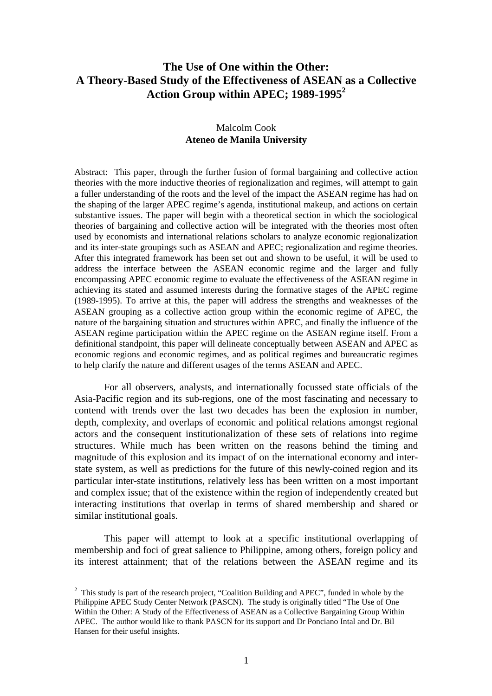## **The Use of One within the Other: A Theory-Based Study of the Effectiveness of ASEAN as a Collective Action Group within APEC; 1989-1995<sup>2</sup>**

### Malcolm Cook **Ateneo de Manila University**

Abstract: This paper, through the further fusion of formal bargaining and collective action theories with the more inductive theories of regionalization and regimes, will attempt to gain a fuller understanding of the roots and the level of the impact the ASEAN regime has had on the shaping of the larger APEC regime's agenda, institutional makeup, and actions on certain substantive issues. The paper will begin with a theoretical section in which the sociological theories of bargaining and collective action will be integrated with the theories most often used by economists and international relations scholars to analyze economic regionalization and its inter-state groupings such as ASEAN and APEC; regionalization and regime theories. After this integrated framework has been set out and shown to be useful, it will be used to address the interface between the ASEAN economic regime and the larger and fully encompassing APEC economic regime to evaluate the effectiveness of the ASEAN regime in achieving its stated and assumed interests during the formative stages of the APEC regime (1989-1995). To arrive at this, the paper will address the strengths and weaknesses of the ASEAN grouping as a collective action group within the economic regime of APEC, the nature of the bargaining situation and structures within APEC, and finally the influence of the ASEAN regime participation within the APEC regime on the ASEAN regime itself. From a definitional standpoint, this paper will delineate conceptually between ASEAN and APEC as economic regions and economic regimes, and as political regimes and bureaucratic regimes to help clarify the nature and different usages of the terms ASEAN and APEC.

For all observers, analysts, and internationally focussed state officials of the Asia-Pacific region and its sub-regions, one of the most fascinating and necessary to contend with trends over the last two decades has been the explosion in number, depth, complexity, and overlaps of economic and political relations amongst regional actors and the consequent institutionalization of these sets of relations into regime structures. While much has been written on the reasons behind the timing and magnitude of this explosion and its impact of on the international economy and interstate system, as well as predictions for the future of this newly-coined region and its particular inter-state institutions, relatively less has been written on a most important and complex issue; that of the existence within the region of independently created but interacting institutions that overlap in terms of shared membership and shared or similar institutional goals.

This paper will attempt to look at a specific institutional overlapping of membership and foci of great salience to Philippine, among others, foreign policy and its interest attainment; that of the relations between the ASEAN regime and its

 $\overline{a}$ 

<sup>&</sup>lt;sup>2</sup> This study is part of the research project, "Coalition Building and APEC", funded in whole by the Philippine APEC Study Center Network (PASCN). The study is originally titled "The Use of One Within the Other: A Study of the Effectiveness of ASEAN as a Collective Bargaining Group Within APEC. The author would like to thank PASCN for its support and Dr Ponciano Intal and Dr. Bil Hansen for their useful insights.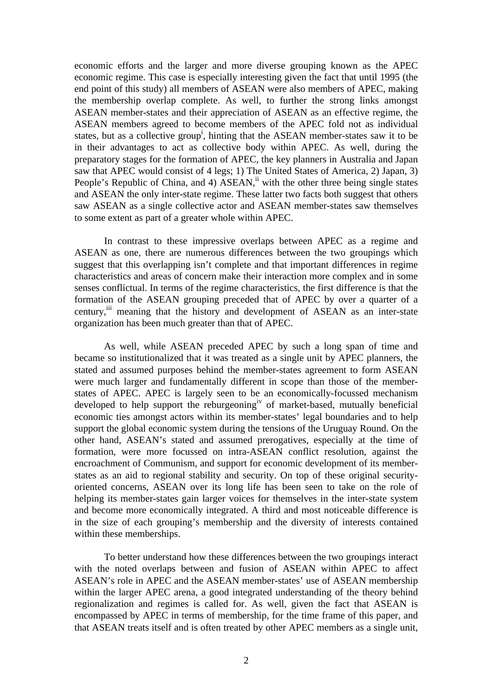economic efforts and the larger and more diverse grouping known as the APEC economic regime. This case is especially interesting given the fact that until 1995 (the end point of this study) all members of ASEAN were also members of APEC, making the membership overlap complete. As well, to further the strong links amongst ASEAN member-states and their appreciation of ASEAN as an effective regime, the ASEAN members agreed to become members of the APEC fold not as individual states, but as a collective group<sup>i</sup>, hinting that the ASEAN member-states saw it to be in their advantages to act as collective body within APEC. As well, during the preparatory stages for the formation of APEC, the key planners in Australia and Japan saw that APEC would consist of 4 legs; 1) The United States of America, 2) Japan, 3) People's Republic of China, and 4)  $ASEAN$ ,<sup>ii</sup> with the other three being single states and ASEAN the only inter-state regime. These latter two facts both suggest that others saw ASEAN as a single collective actor and ASEAN member-states saw themselves to some extent as part of a greater whole within APEC.

In contrast to these impressive overlaps between APEC as a regime and ASEAN as one, there are numerous differences between the two groupings which suggest that this overlapping isn't complete and that important differences in regime characteristics and areas of concern make their interaction more complex and in some senses conflictual. In terms of the regime characteristics, the first difference is that the formation of the ASEAN grouping preceded that of APEC by over a quarter of a century, iii meaning that the history and development of ASEAN as an inter-state organization has been much greater than that of APEC.

As well, while ASEAN preceded APEC by such a long span of time and became so institutionalized that it was treated as a single unit by APEC planners, the stated and assumed purposes behind the member-states agreement to form ASEAN were much larger and fundamentally different in scope than those of the memberstates of APEC. APEC is largely seen to be an economically-focussed mechanism developed to help support the reburgeoning<sup>iv</sup> of market-based, mutually beneficial economic ties amongst actors within its member-states' legal boundaries and to help support the global economic system during the tensions of the Uruguay Round. On the other hand, ASEAN's stated and assumed prerogatives, especially at the time of formation, were more focussed on intra-ASEAN conflict resolution, against the encroachment of Communism, and support for economic development of its memberstates as an aid to regional stability and security. On top of these original securityoriented concerns, ASEAN over its long life has been seen to take on the role of helping its member-states gain larger voices for themselves in the inter-state system and become more economically integrated. A third and most noticeable difference is in the size of each grouping's membership and the diversity of interests contained within these memberships.

To better understand how these differences between the two groupings interact with the noted overlaps between and fusion of ASEAN within APEC to affect ASEAN's role in APEC and the ASEAN member-states' use of ASEAN membership within the larger APEC arena, a good integrated understanding of the theory behind regionalization and regimes is called for. As well, given the fact that ASEAN is encompassed by APEC in terms of membership, for the time frame of this paper, and that ASEAN treats itself and is often treated by other APEC members as a single unit,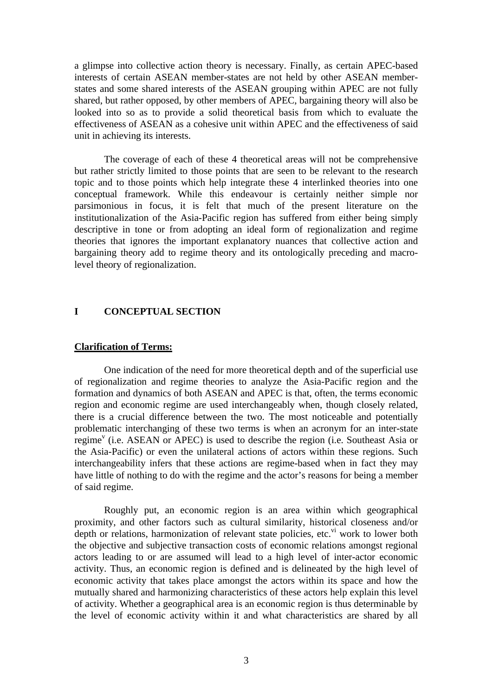a glimpse into collective action theory is necessary. Finally, as certain APEC-based interests of certain ASEAN member-states are not held by other ASEAN memberstates and some shared interests of the ASEAN grouping within APEC are not fully shared, but rather opposed, by other members of APEC, bargaining theory will also be looked into so as to provide a solid theoretical basis from which to evaluate the effectiveness of ASEAN as a cohesive unit within APEC and the effectiveness of said unit in achieving its interests.

The coverage of each of these 4 theoretical areas will not be comprehensive but rather strictly limited to those points that are seen to be relevant to the research topic and to those points which help integrate these 4 interlinked theories into one conceptual framework. While this endeavour is certainly neither simple nor parsimonious in focus, it is felt that much of the present literature on the institutionalization of the Asia-Pacific region has suffered from either being simply descriptive in tone or from adopting an ideal form of regionalization and regime theories that ignores the important explanatory nuances that collective action and bargaining theory add to regime theory and its ontologically preceding and macrolevel theory of regionalization.

#### **I CONCEPTUAL SECTION**

#### **Clarification of Terms:**

One indication of the need for more theoretical depth and of the superficial use of regionalization and regime theories to analyze the Asia-Pacific region and the formation and dynamics of both ASEAN and APEC is that, often, the terms economic region and economic regime are used interchangeably when, though closely related, there is a crucial difference between the two. The most noticeable and potentially problematic interchanging of these two terms is when an acronym for an inter-state regime<sup>v</sup> (i.e. ASEAN or APEC) is used to describe the region (i.e. Southeast Asia or the Asia-Pacific) or even the unilateral actions of actors within these regions. Such interchangeability infers that these actions are regime-based when in fact they may have little of nothing to do with the regime and the actor's reasons for being a member of said regime.

Roughly put, an economic region is an area within which geographical proximity, and other factors such as cultural similarity, historical closeness and/or depth or relations, harmonization of relevant state policies, etc.  $\mathbf{v}^i$  work to lower both the objective and subjective transaction costs of economic relations amongst regional actors leading to or are assumed will lead to a high level of inter-actor economic activity. Thus, an economic region is defined and is delineated by the high level of economic activity that takes place amongst the actors within its space and how the mutually shared and harmonizing characteristics of these actors help explain this level of activity. Whether a geographical area is an economic region is thus determinable by the level of economic activity within it and what characteristics are shared by all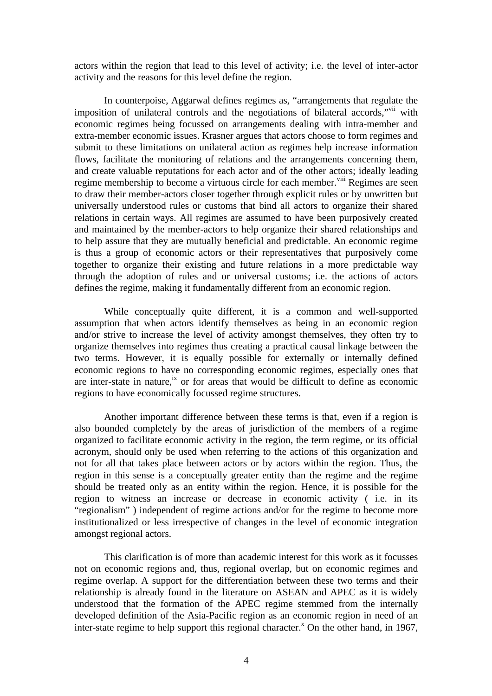actors within the region that lead to this level of activity; i.e. the level of inter-actor activity and the reasons for this level define the region.

In counterpoise, Aggarwal defines regimes as, "arrangements that regulate the imposition of unilateral controls and the negotiations of bilateral accords," with economic regimes being focussed on arrangements dealing with intra-member and extra-member economic issues. Krasner argues that actors choose to form regimes and submit to these limitations on unilateral action as regimes help increase information flows, facilitate the monitoring of relations and the arrangements concerning them, and create valuable reputations for each actor and of the other actors; ideally leading regime membership to become a virtuous circle for each member.<sup>viii</sup> Regimes are seen to draw their member-actors closer together through explicit rules or by unwritten but universally understood rules or customs that bind all actors to organize their shared relations in certain ways. All regimes are assumed to have been purposively created and maintained by the member-actors to help organize their shared relationships and to help assure that they are mutually beneficial and predictable. An economic regime is thus a group of economic actors or their representatives that purposively come together to organize their existing and future relations in a more predictable way through the adoption of rules and or universal customs; i.e. the actions of actors defines the regime, making it fundamentally different from an economic region.

While conceptually quite different, it is a common and well-supported assumption that when actors identify themselves as being in an economic region and/or strive to increase the level of activity amongst themselves, they often try to organize themselves into regimes thus creating a practical causal linkage between the two terms. However, it is equally possible for externally or internally defined economic regions to have no corresponding economic regimes, especially ones that are inter-state in nature,<sup>ix</sup> or for areas that would be difficult to define as economic regions to have economically focussed regime structures.

Another important difference between these terms is that, even if a region is also bounded completely by the areas of jurisdiction of the members of a regime organized to facilitate economic activity in the region, the term regime, or its official acronym, should only be used when referring to the actions of this organization and not for all that takes place between actors or by actors within the region. Thus, the region in this sense is a conceptually greater entity than the regime and the regime should be treated only as an entity within the region. Hence, it is possible for the region to witness an increase or decrease in economic activity ( i.e. in its "regionalism" ) independent of regime actions and/or for the regime to become more institutionalized or less irrespective of changes in the level of economic integration amongst regional actors.

This clarification is of more than academic interest for this work as it focusses not on economic regions and, thus, regional overlap, but on economic regimes and regime overlap. A support for the differentiation between these two terms and their relationship is already found in the literature on ASEAN and APEC as it is widely understood that the formation of the APEC regime stemmed from the internally developed definition of the Asia-Pacific region as an economic region in need of an inter-state regime to help support this regional character.<sup>x</sup> On the other hand, in 1967,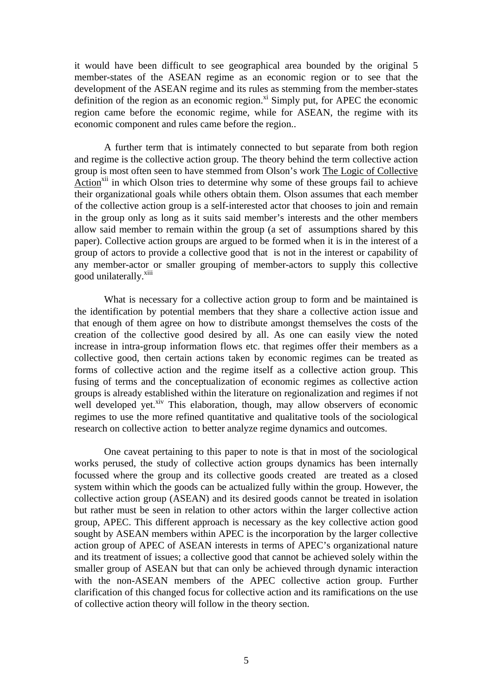it would have been difficult to see geographical area bounded by the original 5 member-states of the ASEAN regime as an economic region or to see that the development of the ASEAN regime and its rules as stemming from the member-states definition of the region as an economic region. $\overline{x}$  Simply put, for APEC the economic region came before the economic regime, while for ASEAN, the regime with its economic component and rules came before the region..

A further term that is intimately connected to but separate from both region and regime is the collective action group. The theory behind the term collective action group is most often seen to have stemmed from Olson's work The Logic of Collective Action<sup> $xii$ </sup> in which Olson tries to determine why some of these groups fail to achieve their organizational goals while others obtain them. Olson assumes that each member of the collective action group is a self-interested actor that chooses to join and remain in the group only as long as it suits said member's interests and the other members allow said member to remain within the group (a set of assumptions shared by this paper). Collective action groups are argued to be formed when it is in the interest of a group of actors to provide a collective good that is not in the interest or capability of any member-actor or smaller grouping of member-actors to supply this collective good unilaterally.<sup>xiii</sup>

What is necessary for a collective action group to form and be maintained is the identification by potential members that they share a collective action issue and that enough of them agree on how to distribute amongst themselves the costs of the creation of the collective good desired by all. As one can easily view the noted increase in intra-group information flows etc. that regimes offer their members as a collective good, then certain actions taken by economic regimes can be treated as forms of collective action and the regime itself as a collective action group. This fusing of terms and the conceptualization of economic regimes as collective action groups is already established within the literature on regionalization and regimes if not well developed yet.<sup>xiv</sup> This elaboration, though, may allow observers of economic regimes to use the more refined quantitative and qualitative tools of the sociological research on collective action to better analyze regime dynamics and outcomes.

One caveat pertaining to this paper to note is that in most of the sociological works perused, the study of collective action groups dynamics has been internally focussed where the group and its collective goods created are treated as a closed system within which the goods can be actualized fully within the group. However, the collective action group (ASEAN) and its desired goods cannot be treated in isolation but rather must be seen in relation to other actors within the larger collective action group, APEC. This different approach is necessary as the key collective action good sought by ASEAN members within APEC is the incorporation by the larger collective action group of APEC of ASEAN interests in terms of APEC's organizational nature and its treatment of issues; a collective good that cannot be achieved solely within the smaller group of ASEAN but that can only be achieved through dynamic interaction with the non-ASEAN members of the APEC collective action group. Further clarification of this changed focus for collective action and its ramifications on the use of collective action theory will follow in the theory section.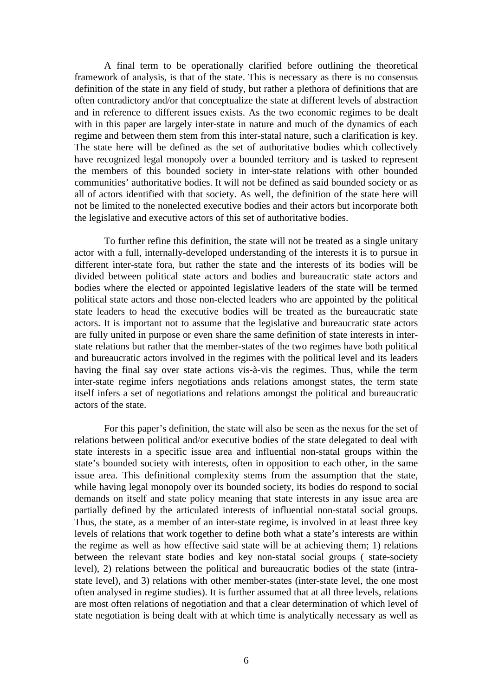A final term to be operationally clarified before outlining the theoretical framework of analysis, is that of the state. This is necessary as there is no consensus definition of the state in any field of study, but rather a plethora of definitions that are often contradictory and/or that conceptualize the state at different levels of abstraction and in reference to different issues exists. As the two economic regimes to be dealt with in this paper are largely inter-state in nature and much of the dynamics of each regime and between them stem from this inter-statal nature, such a clarification is key. The state here will be defined as the set of authoritative bodies which collectively have recognized legal monopoly over a bounded territory and is tasked to represent the members of this bounded society in inter-state relations with other bounded communities' authoritative bodies. It will not be defined as said bounded society or as all of actors identified with that society. As well, the definition of the state here will not be limited to the nonelected executive bodies and their actors but incorporate both the legislative and executive actors of this set of authoritative bodies.

To further refine this definition, the state will not be treated as a single unitary actor with a full, internally-developed understanding of the interests it is to pursue in different inter-state fora, but rather the state and the interests of its bodies will be divided between political state actors and bodies and bureaucratic state actors and bodies where the elected or appointed legislative leaders of the state will be termed political state actors and those non-elected leaders who are appointed by the political state leaders to head the executive bodies will be treated as the bureaucratic state actors. It is important not to assume that the legislative and bureaucratic state actors are fully united in purpose or even share the same definition of state interests in interstate relations but rather that the member-states of the two regimes have both political and bureaucratic actors involved in the regimes with the political level and its leaders having the final say over state actions vis-à-vis the regimes. Thus, while the term inter-state regime infers negotiations ands relations amongst states, the term state itself infers a set of negotiations and relations amongst the political and bureaucratic actors of the state.

For this paper's definition, the state will also be seen as the nexus for the set of relations between political and/or executive bodies of the state delegated to deal with state interests in a specific issue area and influential non-statal groups within the state's bounded society with interests, often in opposition to each other, in the same issue area. This definitional complexity stems from the assumption that the state, while having legal monopoly over its bounded society, its bodies do respond to social demands on itself and state policy meaning that state interests in any issue area are partially defined by the articulated interests of influential non-statal social groups. Thus, the state, as a member of an inter-state regime, is involved in at least three key levels of relations that work together to define both what a state's interests are within the regime as well as how effective said state will be at achieving them; 1) relations between the relevant state bodies and key non-statal social groups ( state-society level), 2) relations between the political and bureaucratic bodies of the state (intrastate level), and 3) relations with other member-states (inter-state level, the one most often analysed in regime studies). It is further assumed that at all three levels, relations are most often relations of negotiation and that a clear determination of which level of state negotiation is being dealt with at which time is analytically necessary as well as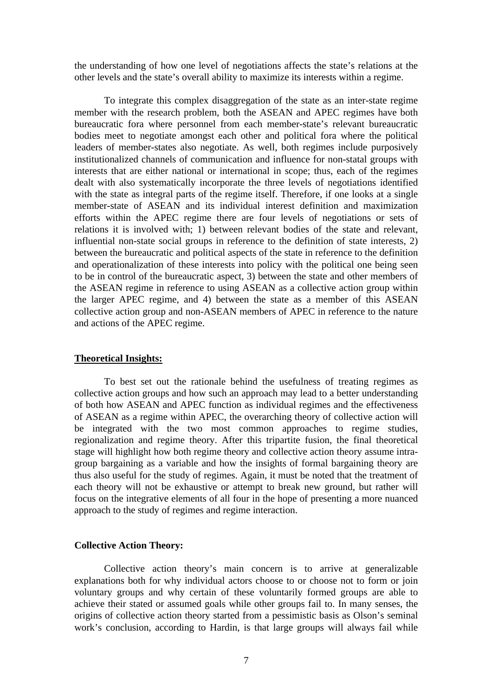the understanding of how one level of negotiations affects the state's relations at the other levels and the state's overall ability to maximize its interests within a regime.

To integrate this complex disaggregation of the state as an inter-state regime member with the research problem, both the ASEAN and APEC regimes have both bureaucratic fora where personnel from each member-state's relevant bureaucratic bodies meet to negotiate amongst each other and political fora where the political leaders of member-states also negotiate. As well, both regimes include purposively institutionalized channels of communication and influence for non-statal groups with interests that are either national or international in scope; thus, each of the regimes dealt with also systematically incorporate the three levels of negotiations identified with the state as integral parts of the regime itself. Therefore, if one looks at a single member-state of ASEAN and its individual interest definition and maximization efforts within the APEC regime there are four levels of negotiations or sets of relations it is involved with; 1) between relevant bodies of the state and relevant, influential non-state social groups in reference to the definition of state interests, 2) between the bureaucratic and political aspects of the state in reference to the definition and operationalization of these interests into policy with the political one being seen to be in control of the bureaucratic aspect, 3) between the state and other members of the ASEAN regime in reference to using ASEAN as a collective action group within the larger APEC regime, and 4) between the state as a member of this ASEAN collective action group and non-ASEAN members of APEC in reference to the nature and actions of the APEC regime.

#### **Theoretical Insights:**

To best set out the rationale behind the usefulness of treating regimes as collective action groups and how such an approach may lead to a better understanding of both how ASEAN and APEC function as individual regimes and the effectiveness of ASEAN as a regime within APEC, the overarching theory of collective action will be integrated with the two most common approaches to regime studies, regionalization and regime theory. After this tripartite fusion, the final theoretical stage will highlight how both regime theory and collective action theory assume intragroup bargaining as a variable and how the insights of formal bargaining theory are thus also useful for the study of regimes. Again, it must be noted that the treatment of each theory will not be exhaustive or attempt to break new ground, but rather will focus on the integrative elements of all four in the hope of presenting a more nuanced approach to the study of regimes and regime interaction.

#### **Collective Action Theory:**

Collective action theory's main concern is to arrive at generalizable explanations both for why individual actors choose to or choose not to form or join voluntary groups and why certain of these voluntarily formed groups are able to achieve their stated or assumed goals while other groups fail to. In many senses, the origins of collective action theory started from a pessimistic basis as Olson's seminal work's conclusion, according to Hardin, is that large groups will always fail while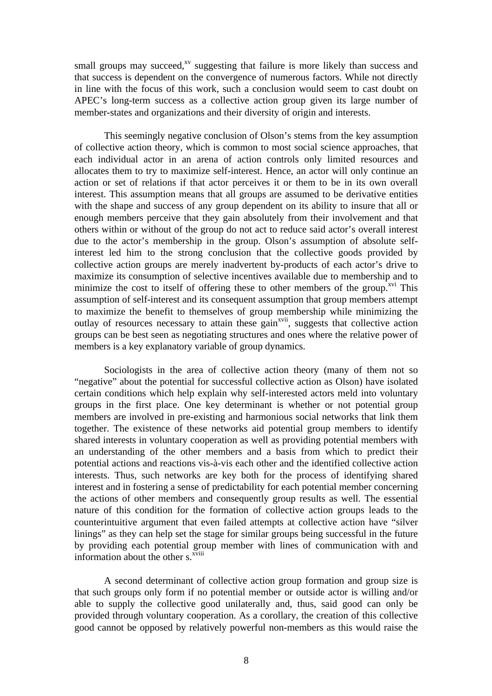small groups may succeed, $^{xy}$  suggesting that failure is more likely than success and that success is dependent on the convergence of numerous factors. While not directly in line with the focus of this work, such a conclusion would seem to cast doubt on APEC's long-term success as a collective action group given its large number of member-states and organizations and their diversity of origin and interests.

This seemingly negative conclusion of Olson's stems from the key assumption of collective action theory, which is common to most social science approaches, that each individual actor in an arena of action controls only limited resources and allocates them to try to maximize self-interest. Hence, an actor will only continue an action or set of relations if that actor perceives it or them to be in its own overall interest. This assumption means that all groups are assumed to be derivative entities with the shape and success of any group dependent on its ability to insure that all or enough members perceive that they gain absolutely from their involvement and that others within or without of the group do not act to reduce said actor's overall interest due to the actor's membership in the group. Olson's assumption of absolute selfinterest led him to the strong conclusion that the collective goods provided by collective action groups are merely inadvertent by-products of each actor's drive to maximize its consumption of selective incentives available due to membership and to minimize the cost to itself of offering these to other members of the group.<sup> $xi$ </sup> This assumption of self-interest and its consequent assumption that group members attempt to maximize the benefit to themselves of group membership while minimizing the outlay of resources necessary to attain these gain<sup>xvii</sup>, suggests that collective action groups can be best seen as negotiating structures and ones where the relative power of members is a key explanatory variable of group dynamics.

Sociologists in the area of collective action theory (many of them not so "negative" about the potential for successful collective action as Olson) have isolated certain conditions which help explain why self-interested actors meld into voluntary groups in the first place. One key determinant is whether or not potential group members are involved in pre-existing and harmonious social networks that link them together. The existence of these networks aid potential group members to identify shared interests in voluntary cooperation as well as providing potential members with an understanding of the other members and a basis from which to predict their potential actions and reactions vis-à-vis each other and the identified collective action interests. Thus, such networks are key both for the process of identifying shared interest and in fostering a sense of predictability for each potential member concerning the actions of other members and consequently group results as well. The essential nature of this condition for the formation of collective action groups leads to the counterintuitive argument that even failed attempts at collective action have "silver linings" as they can help set the stage for similar groups being successful in the future by providing each potential group member with lines of communication with and information about the other s.<sup>xviii</sup>

A second determinant of collective action group formation and group size is that such groups only form if no potential member or outside actor is willing and/or able to supply the collective good unilaterally and, thus, said good can only be provided through voluntary cooperation. As a corollary, the creation of this collective good cannot be opposed by relatively powerful non-members as this would raise the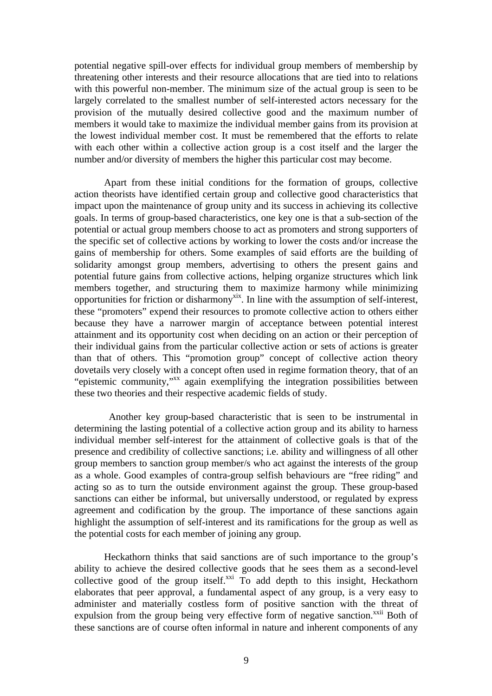potential negative spill-over effects for individual group members of membership by threatening other interests and their resource allocations that are tied into to relations with this powerful non-member. The minimum size of the actual group is seen to be largely correlated to the smallest number of self-interested actors necessary for the provision of the mutually desired collective good and the maximum number of members it would take to maximize the individual member gains from its provision at the lowest individual member cost. It must be remembered that the efforts to relate with each other within a collective action group is a cost itself and the larger the number and/or diversity of members the higher this particular cost may become.

Apart from these initial conditions for the formation of groups, collective action theorists have identified certain group and collective good characteristics that impact upon the maintenance of group unity and its success in achieving its collective goals. In terms of group-based characteristics, one key one is that a sub-section of the potential or actual group members choose to act as promoters and strong supporters of the specific set of collective actions by working to lower the costs and/or increase the gains of membership for others. Some examples of said efforts are the building of solidarity amongst group members, advertising to others the present gains and potential future gains from collective actions, helping organize structures which link members together, and structuring them to maximize harmony while minimizing opportunities for friction or disharmony<sup>xix</sup>. In line with the assumption of self-interest, these "promoters" expend their resources to promote collective action to others either because they have a narrower margin of acceptance between potential interest attainment and its opportunity cost when deciding on an action or their perception of their individual gains from the particular collective action or sets of actions is greater than that of others. This "promotion group" concept of collective action theory dovetails very closely with a concept often used in regime formation theory, that of an "epistemic community,"xx again exemplifying the integration possibilities between these two theories and their respective academic fields of study.

Another key group-based characteristic that is seen to be instrumental in determining the lasting potential of a collective action group and its ability to harness individual member self-interest for the attainment of collective goals is that of the presence and credibility of collective sanctions; i.e. ability and willingness of all other group members to sanction group member/s who act against the interests of the group as a whole. Good examples of contra-group selfish behaviours are "free riding" and acting so as to turn the outside environment against the group. These group-based sanctions can either be informal, but universally understood, or regulated by express agreement and codification by the group. The importance of these sanctions again highlight the assumption of self-interest and its ramifications for the group as well as the potential costs for each member of joining any group.

Heckathorn thinks that said sanctions are of such importance to the group's ability to achieve the desired collective goods that he sees them as a second-level collective good of the group itself.<sup>xxi</sup> To add depth to this insight, Heckathorn elaborates that peer approval, a fundamental aspect of any group, is a very easy to administer and materially costless form of positive sanction with the threat of expulsion from the group being very effective form of negative sanction.<sup>xxii</sup> Both of these sanctions are of course often informal in nature and inherent components of any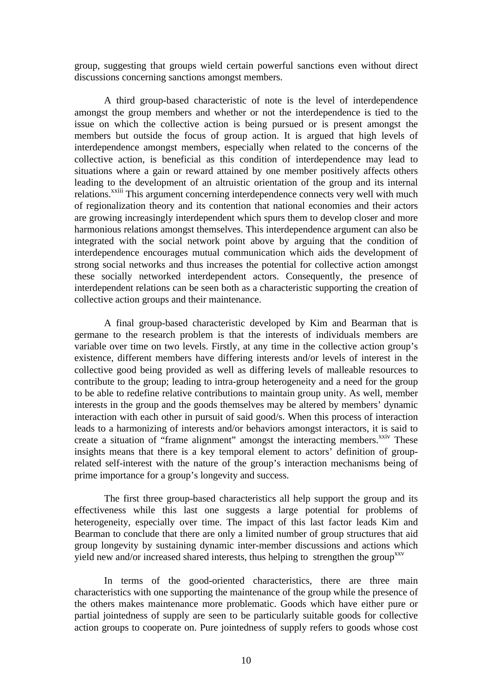group, suggesting that groups wield certain powerful sanctions even without direct discussions concerning sanctions amongst members.

A third group-based characteristic of note is the level of interdependence amongst the group members and whether or not the interdependence is tied to the issue on which the collective action is being pursued or is present amongst the members but outside the focus of group action. It is argued that high levels of interdependence amongst members, especially when related to the concerns of the collective action, is beneficial as this condition of interdependence may lead to situations where a gain or reward attained by one member positively affects others leading to the development of an altruistic orientation of the group and its internal relations.<sup>xxiii</sup> This argument concerning interdependence connects very well with much of regionalization theory and its contention that national economies and their actors are growing increasingly interdependent which spurs them to develop closer and more harmonious relations amongst themselves. This interdependence argument can also be integrated with the social network point above by arguing that the condition of interdependence encourages mutual communication which aids the development of strong social networks and thus increases the potential for collective action amongst these socially networked interdependent actors. Consequently, the presence of interdependent relations can be seen both as a characteristic supporting the creation of collective action groups and their maintenance.

A final group-based characteristic developed by Kim and Bearman that is germane to the research problem is that the interests of individuals members are variable over time on two levels. Firstly, at any time in the collective action group's existence, different members have differing interests and/or levels of interest in the collective good being provided as well as differing levels of malleable resources to contribute to the group; leading to intra-group heterogeneity and a need for the group to be able to redefine relative contributions to maintain group unity. As well, member interests in the group and the goods themselves may be altered by members' dynamic interaction with each other in pursuit of said good/s. When this process of interaction leads to a harmonizing of interests and/or behaviors amongst interactors, it is said to create a situation of "frame alignment" amongst the interacting members.<sup>xxiv</sup> These insights means that there is a key temporal element to actors' definition of grouprelated self-interest with the nature of the group's interaction mechanisms being of prime importance for a group's longevity and success.

The first three group-based characteristics all help support the group and its effectiveness while this last one suggests a large potential for problems of heterogeneity, especially over time. The impact of this last factor leads Kim and Bearman to conclude that there are only a limited number of group structures that aid group longevity by sustaining dynamic inter-member discussions and actions which yield new and/or increased shared interests, thus helping to strengthen the group<sup>xxv</sup>

In terms of the good-oriented characteristics, there are three main characteristics with one supporting the maintenance of the group while the presence of the others makes maintenance more problematic. Goods which have either pure or partial jointedness of supply are seen to be particularly suitable goods for collective action groups to cooperate on. Pure jointedness of supply refers to goods whose cost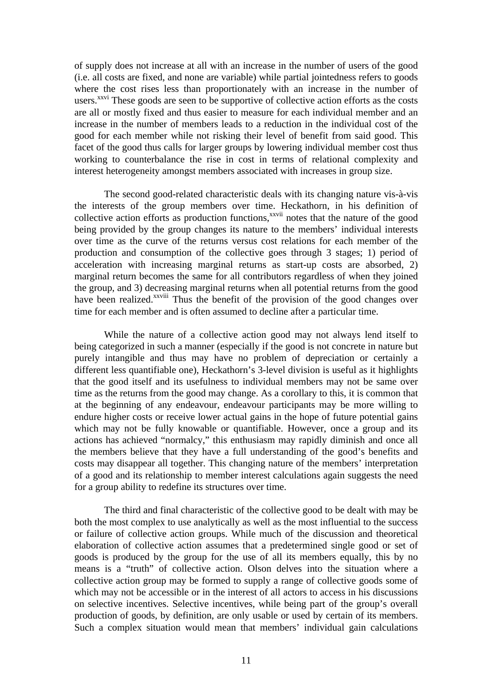of supply does not increase at all with an increase in the number of users of the good (i.e. all costs are fixed, and none are variable) while partial jointedness refers to goods where the cost rises less than proportionately with an increase in the number of users.<sup>xxvi</sup> These goods are seen to be supportive of collective action efforts as the costs are all or mostly fixed and thus easier to measure for each individual member and an increase in the number of members leads to a reduction in the individual cost of the good for each member while not risking their level of benefit from said good. This facet of the good thus calls for larger groups by lowering individual member cost thus working to counterbalance the rise in cost in terms of relational complexity and interest heterogeneity amongst members associated with increases in group size.

The second good-related characteristic deals with its changing nature vis-à-vis the interests of the group members over time. Heckathorn, in his definition of collective action efforts as production functions,<sup>xxvii</sup> notes that the nature of the good being provided by the group changes its nature to the members' individual interests over time as the curve of the returns versus cost relations for each member of the production and consumption of the collective goes through 3 stages; 1) period of acceleration with increasing marginal returns as start-up costs are absorbed, 2) marginal return becomes the same for all contributors regardless of when they joined the group, and 3) decreasing marginal returns when all potential returns from the good have been realized.<sup>xxviii</sup> Thus the benefit of the provision of the good changes over time for each member and is often assumed to decline after a particular time.

While the nature of a collective action good may not always lend itself to being categorized in such a manner (especially if the good is not concrete in nature but purely intangible and thus may have no problem of depreciation or certainly a different less quantifiable one), Heckathorn's 3-level division is useful as it highlights that the good itself and its usefulness to individual members may not be same over time as the returns from the good may change. As a corollary to this, it is common that at the beginning of any endeavour, endeavour participants may be more willing to endure higher costs or receive lower actual gains in the hope of future potential gains which may not be fully knowable or quantifiable. However, once a group and its actions has achieved "normalcy," this enthusiasm may rapidly diminish and once all the members believe that they have a full understanding of the good's benefits and costs may disappear all together. This changing nature of the members' interpretation of a good and its relationship to member interest calculations again suggests the need for a group ability to redefine its structures over time.

The third and final characteristic of the collective good to be dealt with may be both the most complex to use analytically as well as the most influential to the success or failure of collective action groups. While much of the discussion and theoretical elaboration of collective action assumes that a predetermined single good or set of goods is produced by the group for the use of all its members equally, this by no means is a "truth" of collective action. Olson delves into the situation where a collective action group may be formed to supply a range of collective goods some of which may not be accessible or in the interest of all actors to access in his discussions on selective incentives. Selective incentives, while being part of the group's overall production of goods, by definition, are only usable or used by certain of its members. Such a complex situation would mean that members' individual gain calculations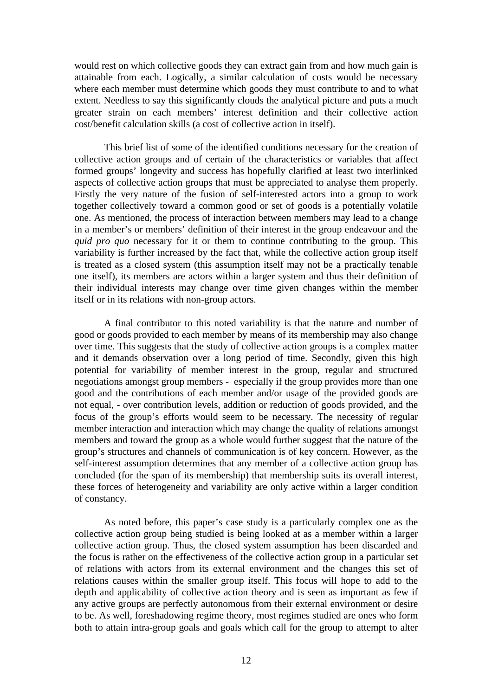would rest on which collective goods they can extract gain from and how much gain is attainable from each. Logically, a similar calculation of costs would be necessary where each member must determine which goods they must contribute to and to what extent. Needless to say this significantly clouds the analytical picture and puts a much greater strain on each members' interest definition and their collective action cost/benefit calculation skills (a cost of collective action in itself).

This brief list of some of the identified conditions necessary for the creation of collective action groups and of certain of the characteristics or variables that affect formed groups' longevity and success has hopefully clarified at least two interlinked aspects of collective action groups that must be appreciated to analyse them properly. Firstly the very nature of the fusion of self-interested actors into a group to work together collectively toward a common good or set of goods is a potentially volatile one. As mentioned, the process of interaction between members may lead to a change in a member's or members' definition of their interest in the group endeavour and the *quid pro quo* necessary for it or them to continue contributing to the group. This variability is further increased by the fact that, while the collective action group itself is treated as a closed system (this assumption itself may not be a practically tenable one itself), its members are actors within a larger system and thus their definition of their individual interests may change over time given changes within the member itself or in its relations with non-group actors.

A final contributor to this noted variability is that the nature and number of good or goods provided to each member by means of its membership may also change over time. This suggests that the study of collective action groups is a complex matter and it demands observation over a long period of time. Secondly, given this high potential for variability of member interest in the group, regular and structured negotiations amongst group members - especially if the group provides more than one good and the contributions of each member and/or usage of the provided goods are not equal, - over contribution levels, addition or reduction of goods provided, and the focus of the group's efforts would seem to be necessary. The necessity of regular member interaction and interaction which may change the quality of relations amongst members and toward the group as a whole would further suggest that the nature of the group's structures and channels of communication is of key concern. However, as the self-interest assumption determines that any member of a collective action group has concluded (for the span of its membership) that membership suits its overall interest, these forces of heterogeneity and variability are only active within a larger condition of constancy.

As noted before, this paper's case study is a particularly complex one as the collective action group being studied is being looked at as a member within a larger collective action group. Thus, the closed system assumption has been discarded and the focus is rather on the effectiveness of the collective action group in a particular set of relations with actors from its external environment and the changes this set of relations causes within the smaller group itself. This focus will hope to add to the depth and applicability of collective action theory and is seen as important as few if any active groups are perfectly autonomous from their external environment or desire to be. As well, foreshadowing regime theory, most regimes studied are ones who form both to attain intra-group goals and goals which call for the group to attempt to alter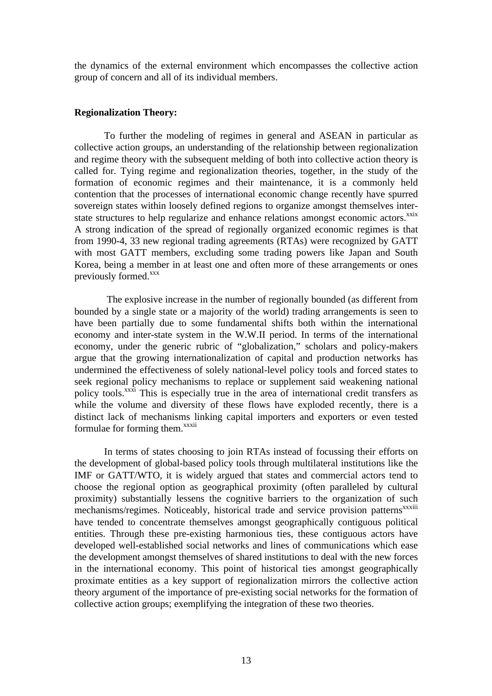the dynamics of the external environment which encompasses the collective action group of concern and all of its individual members.

#### **Regionalization Theory:**

To further the modeling of regimes in general and ASEAN in particular as collective action groups, an understanding of the relationship between regionalization and regime theory with the subsequent melding of both into collective action theory is called for. Tying regime and regionalization theories, together, in the study of the formation of economic regimes and their maintenance, it is a commonly held contention that the processes of international economic change recently have spurred sovereign states within loosely defined regions to organize amongst themselves interstate structures to help regularize and enhance relations amongst economic actors.<sup>xxix</sup> A strong indication of the spread of regionally organized economic regimes is that from 1990-4, 33 new regional trading agreements (RTAs) were recognized by GATT with most GATT members, excluding some trading powers like Japan and South Korea, being a member in at least one and often more of these arrangements or ones previously formed.<sup>xxx</sup>

 The explosive increase in the number of regionally bounded (as different from bounded by a single state or a majority of the world) trading arrangements is seen to have been partially due to some fundamental shifts both within the international economy and inter-state system in the W.W.II period. In terms of the international economy, under the generic rubric of "globalization," scholars and policy-makers argue that the growing internationalization of capital and production networks has undermined the effectiveness of solely national-level policy tools and forced states to seek regional policy mechanisms to replace or supplement said weakening national policy tools.<sup>xxxi</sup> This is especially true in the area of international credit transfers as while the volume and diversity of these flows have exploded recently, there is a distinct lack of mechanisms linking capital importers and exporters or even tested formulae for forming them.<sup>xxxii</sup>

In terms of states choosing to join RTAs instead of focussing their efforts on the development of global-based policy tools through multilateral institutions like the IMF or GATT/WTO, it is widely argued that states and commercial actors tend to choose the regional option as geographical proximity (often paralleled by cultural proximity) substantially lessens the cognitive barriers to the organization of such mechanisms/regimes. Noticeably, historical trade and service provision patterns<sup>xxxiii</sup> have tended to concentrate themselves amongst geographically contiguous political entities. Through these pre-existing harmonious ties, these contiguous actors have developed well-established social networks and lines of communications which ease the development amongst themselves of shared institutions to deal with the new forces in the international economy. This point of historical ties amongst geographically proximate entities as a key support of regionalization mirrors the collective action theory argument of the importance of pre-existing social networks for the formation of collective action groups; exemplifying the integration of these two theories.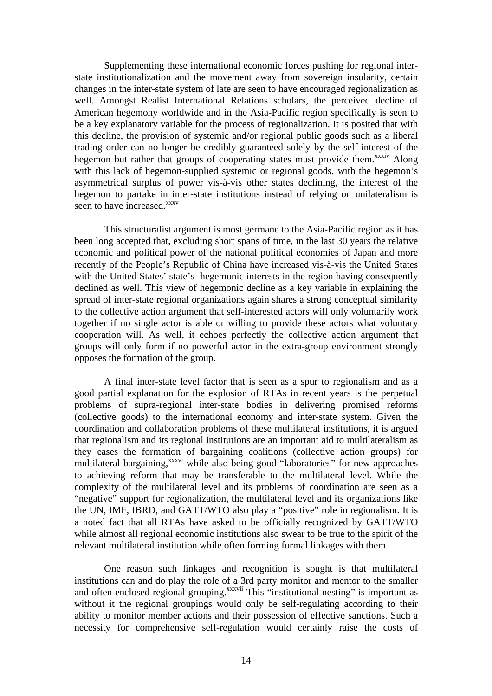Supplementing these international economic forces pushing for regional interstate institutionalization and the movement away from sovereign insularity, certain changes in the inter-state system of late are seen to have encouraged regionalization as well. Amongst Realist International Relations scholars, the perceived decline of American hegemony worldwide and in the Asia-Pacific region specifically is seen to be a key explanatory variable for the process of regionalization. It is posited that with this decline, the provision of systemic and/or regional public goods such as a liberal trading order can no longer be credibly guaranteed solely by the self-interest of the hegemon but rather that groups of cooperating states must provide them.<sup>xxxiv</sup> Along with this lack of hegemon-supplied systemic or regional goods, with the hegemon's asymmetrical surplus of power vis-à-vis other states declining, the interest of the hegemon to partake in inter-state institutions instead of relying on unilateralism is seen to have increased.<sup>xxxv</sup>

This structuralist argument is most germane to the Asia-Pacific region as it has been long accepted that, excluding short spans of time, in the last 30 years the relative economic and political power of the national political economies of Japan and more recently of the People's Republic of China have increased vis-à-vis the United States with the United States' state's hegemonic interests in the region having consequently declined as well. This view of hegemonic decline as a key variable in explaining the spread of inter-state regional organizations again shares a strong conceptual similarity to the collective action argument that self-interested actors will only voluntarily work together if no single actor is able or willing to provide these actors what voluntary cooperation will. As well, it echoes perfectly the collective action argument that groups will only form if no powerful actor in the extra-group environment strongly opposes the formation of the group.

A final inter-state level factor that is seen as a spur to regionalism and as a good partial explanation for the explosion of RTAs in recent years is the perpetual problems of supra-regional inter-state bodies in delivering promised reforms (collective goods) to the international economy and inter-state system. Given the coordination and collaboration problems of these multilateral institutions, it is argued that regionalism and its regional institutions are an important aid to multilateralism as they eases the formation of bargaining coalitions (collective action groups) for multilateral bargaining,<sup>xxxvi</sup> while also being good "laboratories" for new approaches to achieving reform that may be transferable to the multilateral level. While the complexity of the multilateral level and its problems of coordination are seen as a "negative" support for regionalization, the multilateral level and its organizations like the UN, IMF, IBRD, and GATT/WTO also play a "positive" role in regionalism. It is a noted fact that all RTAs have asked to be officially recognized by GATT/WTO while almost all regional economic institutions also swear to be true to the spirit of the relevant multilateral institution while often forming formal linkages with them.

One reason such linkages and recognition is sought is that multilateral institutions can and do play the role of a 3rd party monitor and mentor to the smaller and often enclosed regional grouping.<sup>xxxvii</sup> This "institutional nesting" is important as without it the regional groupings would only be self-regulating according to their ability to monitor member actions and their possession of effective sanctions. Such a necessity for comprehensive self-regulation would certainly raise the costs of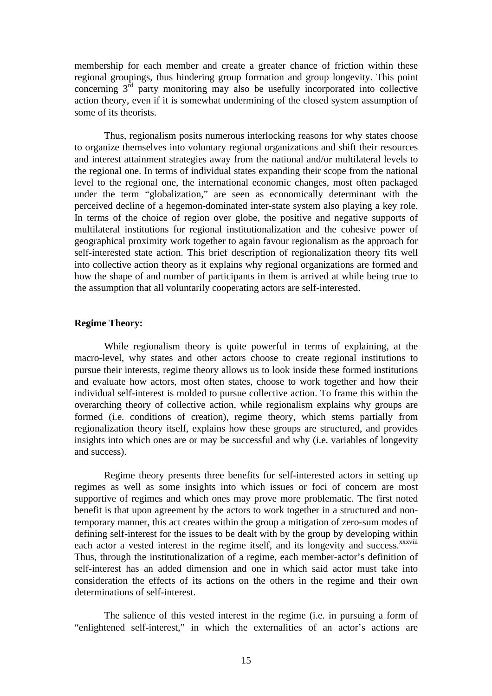membership for each member and create a greater chance of friction within these regional groupings, thus hindering group formation and group longevity. This point concerning 3rd party monitoring may also be usefully incorporated into collective action theory, even if it is somewhat undermining of the closed system assumption of some of its theorists.

Thus, regionalism posits numerous interlocking reasons for why states choose to organize themselves into voluntary regional organizations and shift their resources and interest attainment strategies away from the national and/or multilateral levels to the regional one. In terms of individual states expanding their scope from the national level to the regional one, the international economic changes, most often packaged under the term "globalization," are seen as economically determinant with the perceived decline of a hegemon-dominated inter-state system also playing a key role. In terms of the choice of region over globe, the positive and negative supports of multilateral institutions for regional institutionalization and the cohesive power of geographical proximity work together to again favour regionalism as the approach for self-interested state action. This brief description of regionalization theory fits well into collective action theory as it explains why regional organizations are formed and how the shape of and number of participants in them is arrived at while being true to the assumption that all voluntarily cooperating actors are self-interested.

#### **Regime Theory:**

While regionalism theory is quite powerful in terms of explaining, at the macro-level, why states and other actors choose to create regional institutions to pursue their interests, regime theory allows us to look inside these formed institutions and evaluate how actors, most often states, choose to work together and how their individual self-interest is molded to pursue collective action. To frame this within the overarching theory of collective action, while regionalism explains why groups are formed (i.e. conditions of creation), regime theory, which stems partially from regionalization theory itself, explains how these groups are structured, and provides insights into which ones are or may be successful and why (i.e. variables of longevity and success).

Regime theory presents three benefits for self-interested actors in setting up regimes as well as some insights into which issues or foci of concern are most supportive of regimes and which ones may prove more problematic. The first noted benefit is that upon agreement by the actors to work together in a structured and nontemporary manner, this act creates within the group a mitigation of zero-sum modes of defining self-interest for the issues to be dealt with by the group by developing within each actor a vested interest in the regime itself, and its longevity and success.<sup>xxxviii</sup> Thus, through the institutionalization of a regime, each member-actor's definition of self-interest has an added dimension and one in which said actor must take into consideration the effects of its actions on the others in the regime and their own determinations of self-interest.

The salience of this vested interest in the regime (i.e. in pursuing a form of "enlightened self-interest," in which the externalities of an actor's actions are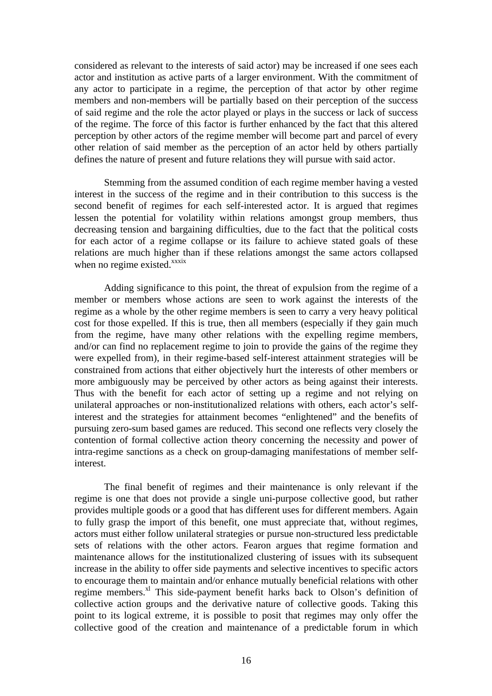considered as relevant to the interests of said actor) may be increased if one sees each actor and institution as active parts of a larger environment. With the commitment of any actor to participate in a regime, the perception of that actor by other regime members and non-members will be partially based on their perception of the success of said regime and the role the actor played or plays in the success or lack of success of the regime. The force of this factor is further enhanced by the fact that this altered perception by other actors of the regime member will become part and parcel of every other relation of said member as the perception of an actor held by others partially defines the nature of present and future relations they will pursue with said actor.

Stemming from the assumed condition of each regime member having a vested interest in the success of the regime and in their contribution to this success is the second benefit of regimes for each self-interested actor. It is argued that regimes lessen the potential for volatility within relations amongst group members, thus decreasing tension and bargaining difficulties, due to the fact that the political costs for each actor of a regime collapse or its failure to achieve stated goals of these relations are much higher than if these relations amongst the same actors collapsed when no regime existed. $x$ <sup>xxxix</sup>

Adding significance to this point, the threat of expulsion from the regime of a member or members whose actions are seen to work against the interests of the regime as a whole by the other regime members is seen to carry a very heavy political cost for those expelled. If this is true, then all members (especially if they gain much from the regime, have many other relations with the expelling regime members, and/or can find no replacement regime to join to provide the gains of the regime they were expelled from), in their regime-based self-interest attainment strategies will be constrained from actions that either objectively hurt the interests of other members or more ambiguously may be perceived by other actors as being against their interests. Thus with the benefit for each actor of setting up a regime and not relying on unilateral approaches or non-institutionalized relations with others, each actor's selfinterest and the strategies for attainment becomes "enlightened" and the benefits of pursuing zero-sum based games are reduced. This second one reflects very closely the contention of formal collective action theory concerning the necessity and power of intra-regime sanctions as a check on group-damaging manifestations of member selfinterest.

The final benefit of regimes and their maintenance is only relevant if the regime is one that does not provide a single uni-purpose collective good, but rather provides multiple goods or a good that has different uses for different members. Again to fully grasp the import of this benefit, one must appreciate that, without regimes, actors must either follow unilateral strategies or pursue non-structured less predictable sets of relations with the other actors. Fearon argues that regime formation and maintenance allows for the institutionalized clustering of issues with its subsequent increase in the ability to offer side payments and selective incentives to specific actors to encourage them to maintain and/or enhance mutually beneficial relations with other regime members. $x_i$ <sup>I</sup> This side-payment benefit harks back to Olson's definition of collective action groups and the derivative nature of collective goods. Taking this point to its logical extreme, it is possible to posit that regimes may only offer the collective good of the creation and maintenance of a predictable forum in which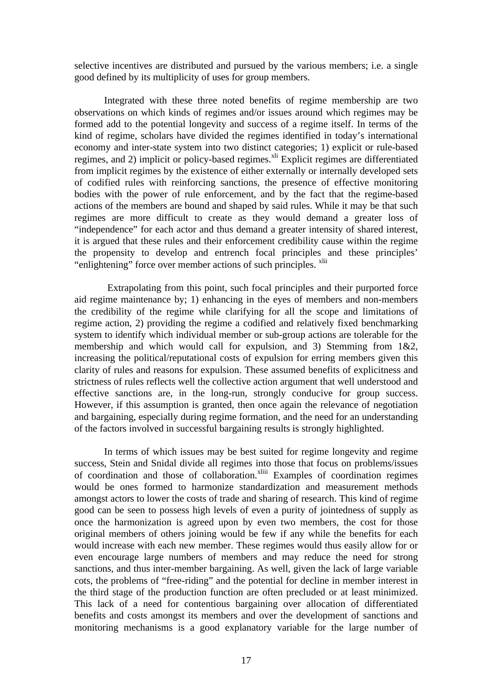selective incentives are distributed and pursued by the various members; i.e. a single good defined by its multiplicity of uses for group members.

Integrated with these three noted benefits of regime membership are two observations on which kinds of regimes and/or issues around which regimes may be formed add to the potential longevity and success of a regime itself. In terms of the kind of regime, scholars have divided the regimes identified in today's international economy and inter-state system into two distinct categories; 1) explicit or rule-based regimes, and 2) implicit or policy-based regimes.<sup>xli</sup> Explicit regimes are differentiated from implicit regimes by the existence of either externally or internally developed sets of codified rules with reinforcing sanctions, the presence of effective monitoring bodies with the power of rule enforcement, and by the fact that the regime-based actions of the members are bound and shaped by said rules. While it may be that such regimes are more difficult to create as they would demand a greater loss of "independence" for each actor and thus demand a greater intensity of shared interest, it is argued that these rules and their enforcement credibility cause within the regime the propensity to develop and entrench focal principles and these principles' "enlightening" force over member actions of such principles. <sup>xlii</sup>

Extrapolating from this point, such focal principles and their purported force aid regime maintenance by; 1) enhancing in the eyes of members and non-members the credibility of the regime while clarifying for all the scope and limitations of regime action, 2) providing the regime a codified and relatively fixed benchmarking system to identify which individual member or sub-group actions are tolerable for the membership and which would call for expulsion, and 3) Stemming from 1&2, increasing the political/reputational costs of expulsion for erring members given this clarity of rules and reasons for expulsion. These assumed benefits of explicitness and strictness of rules reflects well the collective action argument that well understood and effective sanctions are, in the long-run, strongly conducive for group success. However, if this assumption is granted, then once again the relevance of negotiation and bargaining, especially during regime formation, and the need for an understanding of the factors involved in successful bargaining results is strongly highlighted.

In terms of which issues may be best suited for regime longevity and regime success, Stein and Snidal divide all regimes into those that focus on problems/issues of coordination and those of collaboration.<sup>xliii</sup> Examples of coordination regimes would be ones formed to harmonize standardization and measurement methods amongst actors to lower the costs of trade and sharing of research. This kind of regime good can be seen to possess high levels of even a purity of jointedness of supply as once the harmonization is agreed upon by even two members, the cost for those original members of others joining would be few if any while the benefits for each would increase with each new member. These regimes would thus easily allow for or even encourage large numbers of members and may reduce the need for strong sanctions, and thus inter-member bargaining. As well, given the lack of large variable cots, the problems of "free-riding" and the potential for decline in member interest in the third stage of the production function are often precluded or at least minimized. This lack of a need for contentious bargaining over allocation of differentiated benefits and costs amongst its members and over the development of sanctions and monitoring mechanisms is a good explanatory variable for the large number of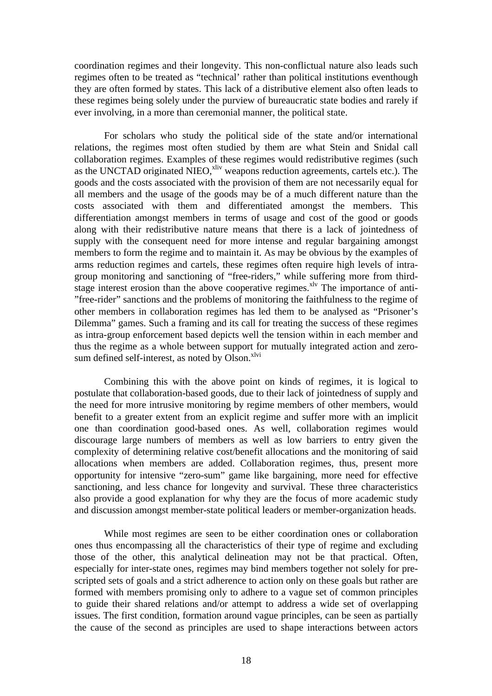coordination regimes and their longevity. This non-conflictual nature also leads such regimes often to be treated as "technical' rather than political institutions eventhough they are often formed by states. This lack of a distributive element also often leads to these regimes being solely under the purview of bureaucratic state bodies and rarely if ever involving, in a more than ceremonial manner, the political state.

For scholars who study the political side of the state and/or international relations, the regimes most often studied by them are what Stein and Snidal call collaboration regimes. Examples of these regimes would redistributive regimes (such as the UNCTAD originated NIEO,<sup>xliv</sup> weapons reduction agreements, cartels etc.). The goods and the costs associated with the provision of them are not necessarily equal for all members and the usage of the goods may be of a much different nature than the costs associated with them and differentiated amongst the members. This differentiation amongst members in terms of usage and cost of the good or goods along with their redistributive nature means that there is a lack of jointedness of supply with the consequent need for more intense and regular bargaining amongst members to form the regime and to maintain it. As may be obvious by the examples of arms reduction regimes and cartels, these regimes often require high levels of intragroup monitoring and sanctioning of "free-riders," while suffering more from thirdstage interest erosion than the above cooperative regimes.<sup>xlv</sup> The importance of anti-"free-rider" sanctions and the problems of monitoring the faithfulness to the regime of other members in collaboration regimes has led them to be analysed as "Prisoner's Dilemma" games. Such a framing and its call for treating the success of these regimes as intra-group enforcement based depicts well the tension within in each member and thus the regime as a whole between support for mutually integrated action and zerosum defined self-interest, as noted by Olson.<sup>xlvi</sup>

Combining this with the above point on kinds of regimes, it is logical to postulate that collaboration-based goods, due to their lack of jointedness of supply and the need for more intrusive monitoring by regime members of other members, would benefit to a greater extent from an explicit regime and suffer more with an implicit one than coordination good-based ones. As well, collaboration regimes would discourage large numbers of members as well as low barriers to entry given the complexity of determining relative cost/benefit allocations and the monitoring of said allocations when members are added. Collaboration regimes, thus, present more opportunity for intensive "zero-sum" game like bargaining, more need for effective sanctioning, and less chance for longevity and survival. These three characteristics also provide a good explanation for why they are the focus of more academic study and discussion amongst member-state political leaders or member-organization heads.

While most regimes are seen to be either coordination ones or collaboration ones thus encompassing all the characteristics of their type of regime and excluding those of the other, this analytical delineation may not be that practical. Often, especially for inter-state ones, regimes may bind members together not solely for prescripted sets of goals and a strict adherence to action only on these goals but rather are formed with members promising only to adhere to a vague set of common principles to guide their shared relations and/or attempt to address a wide set of overlapping issues. The first condition, formation around vague principles, can be seen as partially the cause of the second as principles are used to shape interactions between actors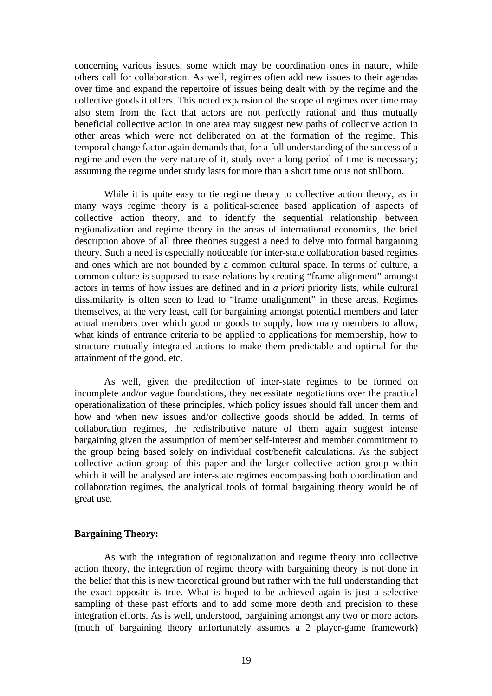concerning various issues, some which may be coordination ones in nature, while others call for collaboration. As well, regimes often add new issues to their agendas over time and expand the repertoire of issues being dealt with by the regime and the collective goods it offers. This noted expansion of the scope of regimes over time may also stem from the fact that actors are not perfectly rational and thus mutually beneficial collective action in one area may suggest new paths of collective action in other areas which were not deliberated on at the formation of the regime. This temporal change factor again demands that, for a full understanding of the success of a regime and even the very nature of it, study over a long period of time is necessary; assuming the regime under study lasts for more than a short time or is not stillborn.

While it is quite easy to tie regime theory to collective action theory, as in many ways regime theory is a political-science based application of aspects of collective action theory, and to identify the sequential relationship between regionalization and regime theory in the areas of international economics, the brief description above of all three theories suggest a need to delve into formal bargaining theory. Such a need is especially noticeable for inter-state collaboration based regimes and ones which are not bounded by a common cultural space. In terms of culture, a common culture is supposed to ease relations by creating "frame alignment" amongst actors in terms of how issues are defined and in *a priori* priority lists, while cultural dissimilarity is often seen to lead to "frame unalignment" in these areas. Regimes themselves, at the very least, call for bargaining amongst potential members and later actual members over which good or goods to supply, how many members to allow, what kinds of entrance criteria to be applied to applications for membership, how to structure mutually integrated actions to make them predictable and optimal for the attainment of the good, etc.

As well, given the predilection of inter-state regimes to be formed on incomplete and/or vague foundations, they necessitate negotiations over the practical operationalization of these principles, which policy issues should fall under them and how and when new issues and/or collective goods should be added. In terms of collaboration regimes, the redistributive nature of them again suggest intense bargaining given the assumption of member self-interest and member commitment to the group being based solely on individual cost/benefit calculations. As the subject collective action group of this paper and the larger collective action group within which it will be analysed are inter-state regimes encompassing both coordination and collaboration regimes, the analytical tools of formal bargaining theory would be of great use.

#### **Bargaining Theory:**

As with the integration of regionalization and regime theory into collective action theory, the integration of regime theory with bargaining theory is not done in the belief that this is new theoretical ground but rather with the full understanding that the exact opposite is true. What is hoped to be achieved again is just a selective sampling of these past efforts and to add some more depth and precision to these integration efforts. As is well, understood, bargaining amongst any two or more actors (much of bargaining theory unfortunately assumes a 2 player-game framework)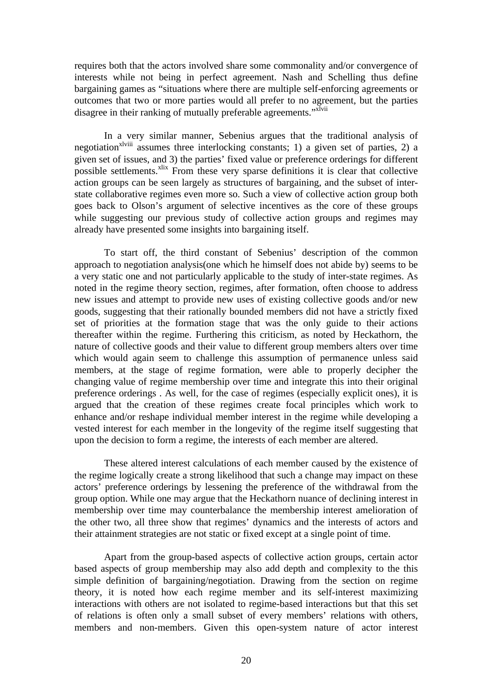requires both that the actors involved share some commonality and/or convergence of interests while not being in perfect agreement. Nash and Schelling thus define bargaining games as "situations where there are multiple self-enforcing agreements or outcomes that two or more parties would all prefer to no agreement, but the parties disagree in their ranking of mutually preferable agreements."<sup>Xlvii</sup>

In a very similar manner, Sebenius argues that the traditional analysis of negotiation<sup>xlviii</sup> assumes three interlocking constants; 1) a given set of parties, 2) a given set of issues, and 3) the parties' fixed value or preference orderings for different possible settlements.<sup>xlix</sup> From these very sparse definitions it is clear that collective action groups can be seen largely as structures of bargaining, and the subset of interstate collaborative regimes even more so. Such a view of collective action group both goes back to Olson's argument of selective incentives as the core of these groups while suggesting our previous study of collective action groups and regimes may already have presented some insights into bargaining itself.

To start off, the third constant of Sebenius' description of the common approach to negotiation analysis(one which he himself does not abide by) seems to be a very static one and not particularly applicable to the study of inter-state regimes. As noted in the regime theory section, regimes, after formation, often choose to address new issues and attempt to provide new uses of existing collective goods and/or new goods, suggesting that their rationally bounded members did not have a strictly fixed set of priorities at the formation stage that was the only guide to their actions thereafter within the regime. Furthering this criticism, as noted by Heckathorn, the nature of collective goods and their value to different group members alters over time which would again seem to challenge this assumption of permanence unless said members, at the stage of regime formation, were able to properly decipher the changing value of regime membership over time and integrate this into their original preference orderings . As well, for the case of regimes (especially explicit ones), it is argued that the creation of these regimes create focal principles which work to enhance and/or reshape individual member interest in the regime while developing a vested interest for each member in the longevity of the regime itself suggesting that upon the decision to form a regime, the interests of each member are altered.

These altered interest calculations of each member caused by the existence of the regime logically create a strong likelihood that such a change may impact on these actors' preference orderings by lessening the preference of the withdrawal from the group option. While one may argue that the Heckathorn nuance of declining interest in membership over time may counterbalance the membership interest amelioration of the other two, all three show that regimes' dynamics and the interests of actors and their attainment strategies are not static or fixed except at a single point of time.

Apart from the group-based aspects of collective action groups, certain actor based aspects of group membership may also add depth and complexity to the this simple definition of bargaining/negotiation. Drawing from the section on regime theory, it is noted how each regime member and its self-interest maximizing interactions with others are not isolated to regime-based interactions but that this set of relations is often only a small subset of every members' relations with others, members and non-members. Given this open-system nature of actor interest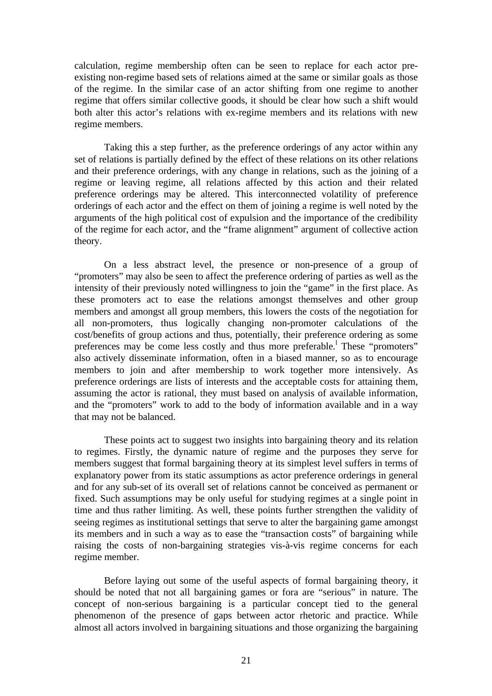calculation, regime membership often can be seen to replace for each actor preexisting non-regime based sets of relations aimed at the same or similar goals as those of the regime. In the similar case of an actor shifting from one regime to another regime that offers similar collective goods, it should be clear how such a shift would both alter this actor's relations with ex-regime members and its relations with new regime members.

Taking this a step further, as the preference orderings of any actor within any set of relations is partially defined by the effect of these relations on its other relations and their preference orderings, with any change in relations, such as the joining of a regime or leaving regime, all relations affected by this action and their related preference orderings may be altered. This interconnected volatility of preference orderings of each actor and the effect on them of joining a regime is well noted by the arguments of the high political cost of expulsion and the importance of the credibility of the regime for each actor, and the "frame alignment" argument of collective action theory.

On a less abstract level, the presence or non-presence of a group of "promoters" may also be seen to affect the preference ordering of parties as well as the intensity of their previously noted willingness to join the "game" in the first place. As these promoters act to ease the relations amongst themselves and other group members and amongst all group members, this lowers the costs of the negotiation for all non-promoters, thus logically changing non-promoter calculations of the cost/benefits of group actions and thus, potentially, their preference ordering as some preferences may be come less costly and thus more preferable.<sup>1</sup> These "promoters" also actively disseminate information, often in a biased manner, so as to encourage members to join and after membership to work together more intensively. As preference orderings are lists of interests and the acceptable costs for attaining them, assuming the actor is rational, they must based on analysis of available information, and the "promoters" work to add to the body of information available and in a way that may not be balanced.

These points act to suggest two insights into bargaining theory and its relation to regimes. Firstly, the dynamic nature of regime and the purposes they serve for members suggest that formal bargaining theory at its simplest level suffers in terms of explanatory power from its static assumptions as actor preference orderings in general and for any sub-set of its overall set of relations cannot be conceived as permanent or fixed. Such assumptions may be only useful for studying regimes at a single point in time and thus rather limiting. As well, these points further strengthen the validity of seeing regimes as institutional settings that serve to alter the bargaining game amongst its members and in such a way as to ease the "transaction costs" of bargaining while raising the costs of non-bargaining strategies vis-à-vis regime concerns for each regime member.

Before laying out some of the useful aspects of formal bargaining theory, it should be noted that not all bargaining games or fora are "serious" in nature. The concept of non-serious bargaining is a particular concept tied to the general phenomenon of the presence of gaps between actor rhetoric and practice. While almost all actors involved in bargaining situations and those organizing the bargaining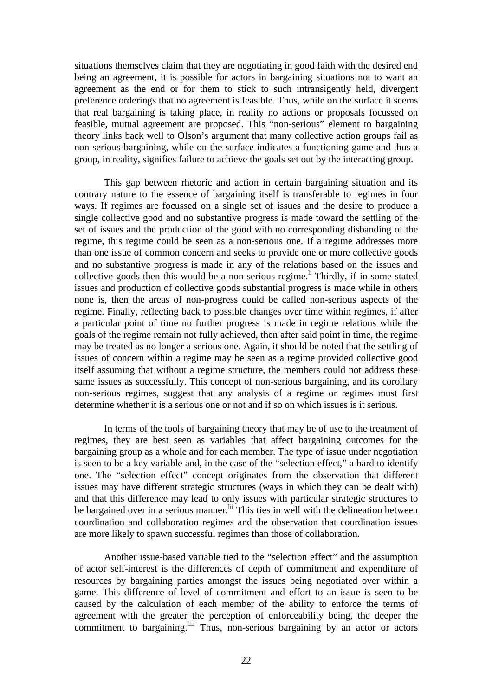situations themselves claim that they are negotiating in good faith with the desired end being an agreement, it is possible for actors in bargaining situations not to want an agreement as the end or for them to stick to such intransigently held, divergent preference orderings that no agreement is feasible. Thus, while on the surface it seems that real bargaining is taking place, in reality no actions or proposals focussed on feasible, mutual agreement are proposed. This "non-serious" element to bargaining theory links back well to Olson's argument that many collective action groups fail as non-serious bargaining, while on the surface indicates a functioning game and thus a group, in reality, signifies failure to achieve the goals set out by the interacting group.

This gap between rhetoric and action in certain bargaining situation and its contrary nature to the essence of bargaining itself is transferable to regimes in four ways. If regimes are focussed on a single set of issues and the desire to produce a single collective good and no substantive progress is made toward the settling of the set of issues and the production of the good with no corresponding disbanding of the regime, this regime could be seen as a non-serious one. If a regime addresses more than one issue of common concern and seeks to provide one or more collective goods and no substantive progress is made in any of the relations based on the issues and collective goods then this would be a non-serious regime.<sup>li</sup> Thirdly, if in some stated issues and production of collective goods substantial progress is made while in others none is, then the areas of non-progress could be called non-serious aspects of the regime. Finally, reflecting back to possible changes over time within regimes, if after a particular point of time no further progress is made in regime relations while the goals of the regime remain not fully achieved, then after said point in time, the regime may be treated as no longer a serious one. Again, it should be noted that the settling of issues of concern within a regime may be seen as a regime provided collective good itself assuming that without a regime structure, the members could not address these same issues as successfully. This concept of non-serious bargaining, and its corollary non-serious regimes, suggest that any analysis of a regime or regimes must first determine whether it is a serious one or not and if so on which issues is it serious.

In terms of the tools of bargaining theory that may be of use to the treatment of regimes, they are best seen as variables that affect bargaining outcomes for the bargaining group as a whole and for each member. The type of issue under negotiation is seen to be a key variable and, in the case of the "selection effect," a hard to identify one. The "selection effect" concept originates from the observation that different issues may have different strategic structures (ways in which they can be dealt with) and that this difference may lead to only issues with particular strategic structures to be bargained over in a serious manner.<sup>lii</sup> This ties in well with the delineation between coordination and collaboration regimes and the observation that coordination issues are more likely to spawn successful regimes than those of collaboration.

Another issue-based variable tied to the "selection effect" and the assumption of actor self-interest is the differences of depth of commitment and expenditure of resources by bargaining parties amongst the issues being negotiated over within a game. This difference of level of commitment and effort to an issue is seen to be caused by the calculation of each member of the ability to enforce the terms of agreement with the greater the perception of enforceability being, the deeper the commitment to bargaining.<sup>liii</sup> Thus, non-serious bargaining by an actor or actors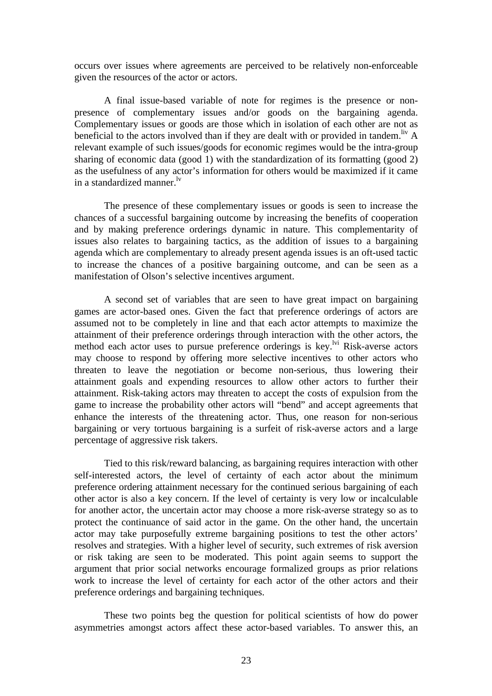occurs over issues where agreements are perceived to be relatively non-enforceable given the resources of the actor or actors.

A final issue-based variable of note for regimes is the presence or nonpresence of complementary issues and/or goods on the bargaining agenda. Complementary issues or goods are those which in isolation of each other are not as beneficial to the actors involved than if they are dealt with or provided in tandem.<sup>liv</sup> A relevant example of such issues/goods for economic regimes would be the intra-group sharing of economic data (good 1) with the standardization of its formatting (good 2) as the usefulness of any actor's information for others would be maximized if it came in a standardized manner.<sup>Iv</sup>

The presence of these complementary issues or goods is seen to increase the chances of a successful bargaining outcome by increasing the benefits of cooperation and by making preference orderings dynamic in nature. This complementarity of issues also relates to bargaining tactics, as the addition of issues to a bargaining agenda which are complementary to already present agenda issues is an oft-used tactic to increase the chances of a positive bargaining outcome, and can be seen as a manifestation of Olson's selective incentives argument.

A second set of variables that are seen to have great impact on bargaining games are actor-based ones. Given the fact that preference orderings of actors are assumed not to be completely in line and that each actor attempts to maximize the attainment of their preference orderings through interaction with the other actors, the method each actor uses to pursue preference orderings is key.<sup>1vi</sup> Risk-averse actors may choose to respond by offering more selective incentives to other actors who threaten to leave the negotiation or become non-serious, thus lowering their attainment goals and expending resources to allow other actors to further their attainment. Risk-taking actors may threaten to accept the costs of expulsion from the game to increase the probability other actors will "bend" and accept agreements that enhance the interests of the threatening actor. Thus, one reason for non-serious bargaining or very tortuous bargaining is a surfeit of risk-averse actors and a large percentage of aggressive risk takers.

Tied to this risk/reward balancing, as bargaining requires interaction with other self-interested actors, the level of certainty of each actor about the minimum preference ordering attainment necessary for the continued serious bargaining of each other actor is also a key concern. If the level of certainty is very low or incalculable for another actor, the uncertain actor may choose a more risk-averse strategy so as to protect the continuance of said actor in the game. On the other hand, the uncertain actor may take purposefully extreme bargaining positions to test the other actors' resolves and strategies. With a higher level of security, such extremes of risk aversion or risk taking are seen to be moderated. This point again seems to support the argument that prior social networks encourage formalized groups as prior relations work to increase the level of certainty for each actor of the other actors and their preference orderings and bargaining techniques.

These two points beg the question for political scientists of how do power asymmetries amongst actors affect these actor-based variables. To answer this, an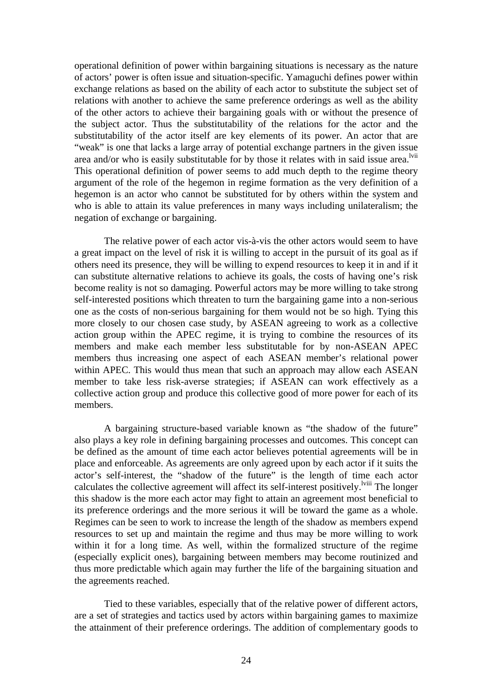operational definition of power within bargaining situations is necessary as the nature of actors' power is often issue and situation-specific. Yamaguchi defines power within exchange relations as based on the ability of each actor to substitute the subject set of relations with another to achieve the same preference orderings as well as the ability of the other actors to achieve their bargaining goals with or without the presence of the subject actor. Thus the substitutability of the relations for the actor and the substitutability of the actor itself are key elements of its power. An actor that are "weak" is one that lacks a large array of potential exchange partners in the given issue area and/or who is easily substitutable for by those it relates with in said issue area.<sup>lvii</sup> This operational definition of power seems to add much depth to the regime theory argument of the role of the hegemon in regime formation as the very definition of a hegemon is an actor who cannot be substituted for by others within the system and who is able to attain its value preferences in many ways including unilateralism; the negation of exchange or bargaining.

The relative power of each actor vis-à-vis the other actors would seem to have a great impact on the level of risk it is willing to accept in the pursuit of its goal as if others need its presence, they will be willing to expend resources to keep it in and if it can substitute alternative relations to achieve its goals, the costs of having one's risk become reality is not so damaging. Powerful actors may be more willing to take strong self-interested positions which threaten to turn the bargaining game into a non-serious one as the costs of non-serious bargaining for them would not be so high. Tying this more closely to our chosen case study, by ASEAN agreeing to work as a collective action group within the APEC regime, it is trying to combine the resources of its members and make each member less substitutable for by non-ASEAN APEC members thus increasing one aspect of each ASEAN member's relational power within APEC. This would thus mean that such an approach may allow each ASEAN member to take less risk-averse strategies; if ASEAN can work effectively as a collective action group and produce this collective good of more power for each of its members.

A bargaining structure-based variable known as "the shadow of the future" also plays a key role in defining bargaining processes and outcomes. This concept can be defined as the amount of time each actor believes potential agreements will be in place and enforceable. As agreements are only agreed upon by each actor if it suits the actor's self-interest, the "shadow of the future" is the length of time each actor calculates the collective agreement will affect its self-interest positively.<sup>Iviii</sup> The longer this shadow is the more each actor may fight to attain an agreement most beneficial to its preference orderings and the more serious it will be toward the game as a whole. Regimes can be seen to work to increase the length of the shadow as members expend resources to set up and maintain the regime and thus may be more willing to work within it for a long time. As well, within the formalized structure of the regime (especially explicit ones), bargaining between members may become routinized and thus more predictable which again may further the life of the bargaining situation and the agreements reached.

Tied to these variables, especially that of the relative power of different actors, are a set of strategies and tactics used by actors within bargaining games to maximize the attainment of their preference orderings. The addition of complementary goods to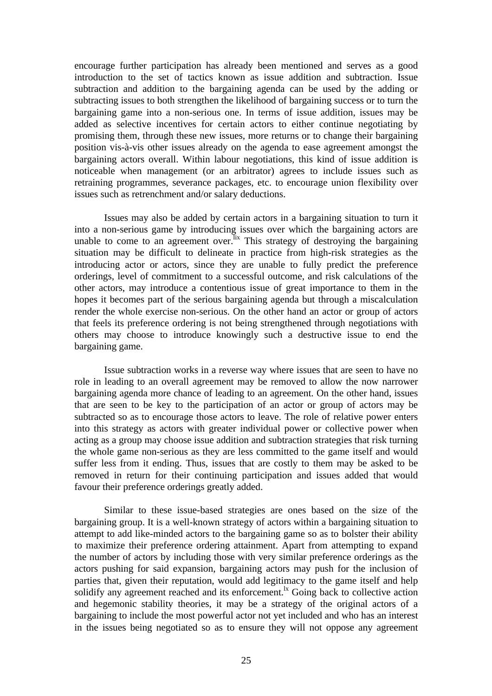encourage further participation has already been mentioned and serves as a good introduction to the set of tactics known as issue addition and subtraction. Issue subtraction and addition to the bargaining agenda can be used by the adding or subtracting issues to both strengthen the likelihood of bargaining success or to turn the bargaining game into a non-serious one. In terms of issue addition, issues may be added as selective incentives for certain actors to either continue negotiating by promising them, through these new issues, more returns or to change their bargaining position vis-à-vis other issues already on the agenda to ease agreement amongst the bargaining actors overall. Within labour negotiations, this kind of issue addition is noticeable when management (or an arbitrator) agrees to include issues such as retraining programmes, severance packages, etc. to encourage union flexibility over issues such as retrenchment and/or salary deductions.

Issues may also be added by certain actors in a bargaining situation to turn it into a non-serious game by introducing issues over which the bargaining actors are unable to come to an agreement over. Its strategy of destroying the bargaining situation may be difficult to delineate in practice from high-risk strategies as the introducing actor or actors, since they are unable to fully predict the preference orderings, level of commitment to a successful outcome, and risk calculations of the other actors, may introduce a contentious issue of great importance to them in the hopes it becomes part of the serious bargaining agenda but through a miscalculation render the whole exercise non-serious. On the other hand an actor or group of actors that feels its preference ordering is not being strengthened through negotiations with others may choose to introduce knowingly such a destructive issue to end the bargaining game.

Issue subtraction works in a reverse way where issues that are seen to have no role in leading to an overall agreement may be removed to allow the now narrower bargaining agenda more chance of leading to an agreement. On the other hand, issues that are seen to be key to the participation of an actor or group of actors may be subtracted so as to encourage those actors to leave. The role of relative power enters into this strategy as actors with greater individual power or collective power when acting as a group may choose issue addition and subtraction strategies that risk turning the whole game non-serious as they are less committed to the game itself and would suffer less from it ending. Thus, issues that are costly to them may be asked to be removed in return for their continuing participation and issues added that would favour their preference orderings greatly added.

Similar to these issue-based strategies are ones based on the size of the bargaining group. It is a well-known strategy of actors within a bargaining situation to attempt to add like-minded actors to the bargaining game so as to bolster their ability to maximize their preference ordering attainment. Apart from attempting to expand the number of actors by including those with very similar preference orderings as the actors pushing for said expansion, bargaining actors may push for the inclusion of parties that, given their reputation, would add legitimacy to the game itself and help solidify any agreement reached and its enforcement.<sup> $k$ </sup> Going back to collective action and hegemonic stability theories, it may be a strategy of the original actors of a bargaining to include the most powerful actor not yet included and who has an interest in the issues being negotiated so as to ensure they will not oppose any agreement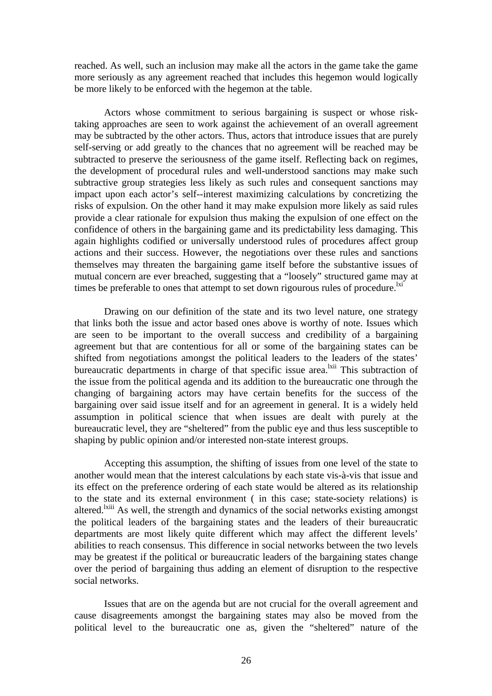reached. As well, such an inclusion may make all the actors in the game take the game more seriously as any agreement reached that includes this hegemon would logically be more likely to be enforced with the hegemon at the table.

Actors whose commitment to serious bargaining is suspect or whose risktaking approaches are seen to work against the achievement of an overall agreement may be subtracted by the other actors. Thus, actors that introduce issues that are purely self-serving or add greatly to the chances that no agreement will be reached may be subtracted to preserve the seriousness of the game itself. Reflecting back on regimes, the development of procedural rules and well-understood sanctions may make such subtractive group strategies less likely as such rules and consequent sanctions may impact upon each actor's self--interest maximizing calculations by concretizing the risks of expulsion. On the other hand it may make expulsion more likely as said rules provide a clear rationale for expulsion thus making the expulsion of one effect on the confidence of others in the bargaining game and its predictability less damaging. This again highlights codified or universally understood rules of procedures affect group actions and their success. However, the negotiations over these rules and sanctions themselves may threaten the bargaining game itself before the substantive issues of mutual concern are ever breached, suggesting that a "loosely" structured game may at times be preferable to ones that attempt to set down rigourous rules of procedure.<sup>1xi</sup>

Drawing on our definition of the state and its two level nature, one strategy that links both the issue and actor based ones above is worthy of note. Issues which are seen to be important to the overall success and credibility of a bargaining agreement but that are contentious for all or some of the bargaining states can be shifted from negotiations amongst the political leaders to the leaders of the states' bureaucratic departments in charge of that specific issue area.<sup>1xii</sup> This subtraction of the issue from the political agenda and its addition to the bureaucratic one through the changing of bargaining actors may have certain benefits for the success of the bargaining over said issue itself and for an agreement in general. It is a widely held assumption in political science that when issues are dealt with purely at the bureaucratic level, they are "sheltered" from the public eye and thus less susceptible to shaping by public opinion and/or interested non-state interest groups.

Accepting this assumption, the shifting of issues from one level of the state to another would mean that the interest calculations by each state vis-à-vis that issue and its effect on the preference ordering of each state would be altered as its relationship to the state and its external environment ( in this case; state-society relations) is altered.<sup>Ixiii</sup> As well, the strength and dynamics of the social networks existing amongst the political leaders of the bargaining states and the leaders of their bureaucratic departments are most likely quite different which may affect the different levels' abilities to reach consensus. This difference in social networks between the two levels may be greatest if the political or bureaucratic leaders of the bargaining states change over the period of bargaining thus adding an element of disruption to the respective social networks.

Issues that are on the agenda but are not crucial for the overall agreement and cause disagreements amongst the bargaining states may also be moved from the political level to the bureaucratic one as, given the "sheltered" nature of the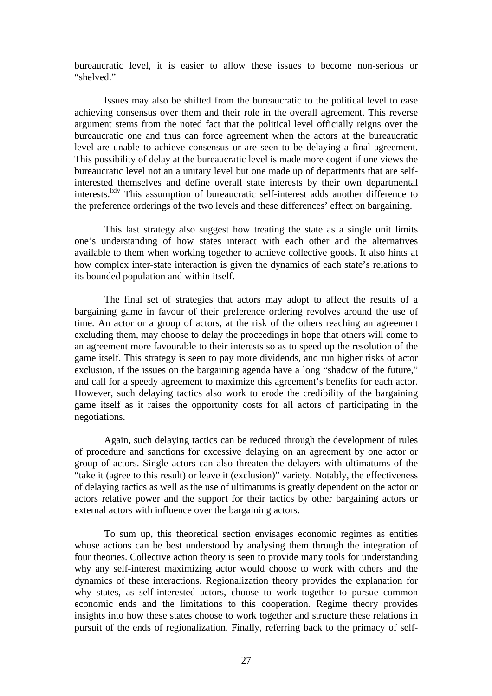bureaucratic level, it is easier to allow these issues to become non-serious or "shelved."

Issues may also be shifted from the bureaucratic to the political level to ease achieving consensus over them and their role in the overall agreement. This reverse argument stems from the noted fact that the political level officially reigns over the bureaucratic one and thus can force agreement when the actors at the bureaucratic level are unable to achieve consensus or are seen to be delaying a final agreement. This possibility of delay at the bureaucratic level is made more cogent if one views the bureaucratic level not an a unitary level but one made up of departments that are selfinterested themselves and define overall state interests by their own departmental interests.<sup>1xiv</sup> This assumption of bureaucratic self-interest adds another difference to the preference orderings of the two levels and these differences' effect on bargaining.

This last strategy also suggest how treating the state as a single unit limits one's understanding of how states interact with each other and the alternatives available to them when working together to achieve collective goods. It also hints at how complex inter-state interaction is given the dynamics of each state's relations to its bounded population and within itself.

The final set of strategies that actors may adopt to affect the results of a bargaining game in favour of their preference ordering revolves around the use of time. An actor or a group of actors, at the risk of the others reaching an agreement excluding them, may choose to delay the proceedings in hope that others will come to an agreement more favourable to their interests so as to speed up the resolution of the game itself. This strategy is seen to pay more dividends, and run higher risks of actor exclusion, if the issues on the bargaining agenda have a long "shadow of the future," and call for a speedy agreement to maximize this agreement's benefits for each actor. However, such delaying tactics also work to erode the credibility of the bargaining game itself as it raises the opportunity costs for all actors of participating in the negotiations.

Again, such delaying tactics can be reduced through the development of rules of procedure and sanctions for excessive delaying on an agreement by one actor or group of actors. Single actors can also threaten the delayers with ultimatums of the "take it (agree to this result) or leave it (exclusion)" variety. Notably, the effectiveness of delaying tactics as well as the use of ultimatums is greatly dependent on the actor or actors relative power and the support for their tactics by other bargaining actors or external actors with influence over the bargaining actors.

To sum up, this theoretical section envisages economic regimes as entities whose actions can be best understood by analysing them through the integration of four theories. Collective action theory is seen to provide many tools for understanding why any self-interest maximizing actor would choose to work with others and the dynamics of these interactions. Regionalization theory provides the explanation for why states, as self-interested actors, choose to work together to pursue common economic ends and the limitations to this cooperation. Regime theory provides insights into how these states choose to work together and structure these relations in pursuit of the ends of regionalization. Finally, referring back to the primacy of self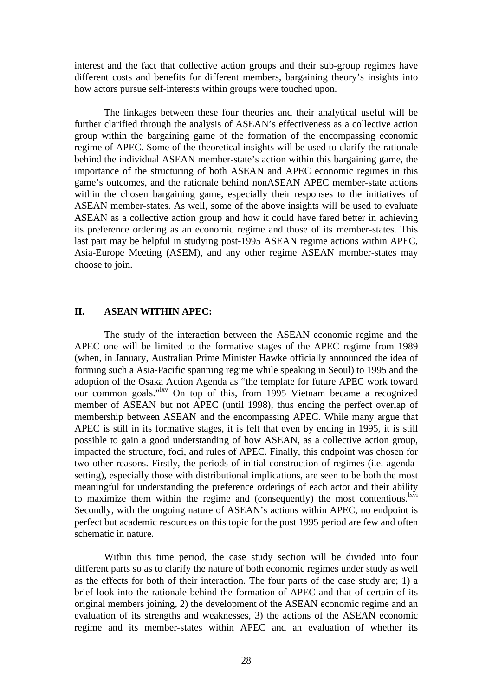interest and the fact that collective action groups and their sub-group regimes have different costs and benefits for different members, bargaining theory's insights into how actors pursue self-interests within groups were touched upon.

The linkages between these four theories and their analytical useful will be further clarified through the analysis of ASEAN's effectiveness as a collective action group within the bargaining game of the formation of the encompassing economic regime of APEC. Some of the theoretical insights will be used to clarify the rationale behind the individual ASEAN member-state's action within this bargaining game, the importance of the structuring of both ASEAN and APEC economic regimes in this game's outcomes, and the rationale behind nonASEAN APEC member-state actions within the chosen bargaining game, especially their responses to the initiatives of ASEAN member-states. As well, some of the above insights will be used to evaluate ASEAN as a collective action group and how it could have fared better in achieving its preference ordering as an economic regime and those of its member-states. This last part may be helpful in studying post-1995 ASEAN regime actions within APEC, Asia-Europe Meeting (ASEM), and any other regime ASEAN member-states may choose to join.

#### **II. ASEAN WITHIN APEC:**

The study of the interaction between the ASEAN economic regime and the APEC one will be limited to the formative stages of the APEC regime from 1989 (when, in January, Australian Prime Minister Hawke officially announced the idea of forming such a Asia-Pacific spanning regime while speaking in Seoul) to 1995 and the adoption of the Osaka Action Agenda as "the template for future APEC work toward our common goals."lxv On top of this, from 1995 Vietnam became a recognized member of ASEAN but not APEC (until 1998), thus ending the perfect overlap of membership between ASEAN and the encompassing APEC. While many argue that APEC is still in its formative stages, it is felt that even by ending in 1995, it is still possible to gain a good understanding of how ASEAN, as a collective action group, impacted the structure, foci, and rules of APEC. Finally, this endpoint was chosen for two other reasons. Firstly, the periods of initial construction of regimes (i.e. agendasetting), especially those with distributional implications, are seen to be both the most meaningful for understanding the preference orderings of each actor and their ability to maximize them within the regime and (consequently) the most contentious.<sup>lxvi</sup> Secondly, with the ongoing nature of ASEAN's actions within APEC, no endpoint is perfect but academic resources on this topic for the post 1995 period are few and often schematic in nature.

Within this time period, the case study section will be divided into four different parts so as to clarify the nature of both economic regimes under study as well as the effects for both of their interaction. The four parts of the case study are; 1) a brief look into the rationale behind the formation of APEC and that of certain of its original members joining, 2) the development of the ASEAN economic regime and an evaluation of its strengths and weaknesses, 3) the actions of the ASEAN economic regime and its member-states within APEC and an evaluation of whether its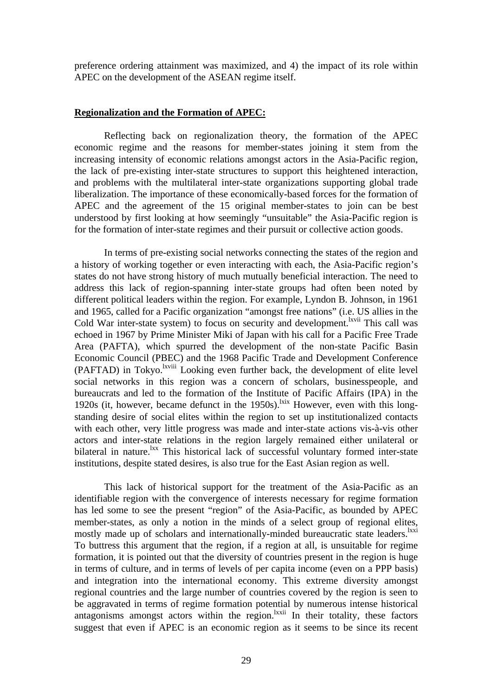preference ordering attainment was maximized, and 4) the impact of its role within APEC on the development of the ASEAN regime itself.

#### **Regionalization and the Formation of APEC:**

Reflecting back on regionalization theory, the formation of the APEC economic regime and the reasons for member-states joining it stem from the increasing intensity of economic relations amongst actors in the Asia-Pacific region, the lack of pre-existing inter-state structures to support this heightened interaction, and problems with the multilateral inter-state organizations supporting global trade liberalization. The importance of these economically-based forces for the formation of APEC and the agreement of the 15 original member-states to join can be best understood by first looking at how seemingly "unsuitable" the Asia-Pacific region is for the formation of inter-state regimes and their pursuit or collective action goods.

In terms of pre-existing social networks connecting the states of the region and a history of working together or even interacting with each, the Asia-Pacific region's states do not have strong history of much mutually beneficial interaction. The need to address this lack of region-spanning inter-state groups had often been noted by different political leaders within the region. For example, Lyndon B. Johnson, in 1961 and 1965, called for a Pacific organization "amongst free nations" (i.e. US allies in the Cold War inter-state system) to focus on security and development.<sup>lxvii</sup> This call was echoed in 1967 by Prime Minister Miki of Japan with his call for a Pacific Free Trade Area (PAFTA), which spurred the development of the non-state Pacific Basin Economic Council (PBEC) and the 1968 Pacific Trade and Development Conference (PAFTAD) in Tokyo.<sup>lxviii</sup> Looking even further back, the development of elite level social networks in this region was a concern of scholars, businesspeople, and bureaucrats and led to the formation of the Institute of Pacific Affairs (IPA) in the 1920s (it, however, became defunct in the 1950s).<sup>lxix</sup> However, even with this longstanding desire of social elites within the region to set up institutionalized contacts with each other, very little progress was made and inter-state actions vis-à-vis other actors and inter-state relations in the region largely remained either unilateral or bilateral in nature.<sup>1xx</sup> This historical lack of successful voluntary formed inter-state institutions, despite stated desires, is also true for the East Asian region as well.

This lack of historical support for the treatment of the Asia-Pacific as an identifiable region with the convergence of interests necessary for regime formation has led some to see the present "region" of the Asia-Pacific, as bounded by APEC member-states, as only a notion in the minds of a select group of regional elites, mostly made up of scholars and internationally-minded bureaucratic state leaders.<sup>1xxi</sup> To buttress this argument that the region, if a region at all, is unsuitable for regime formation, it is pointed out that the diversity of countries present in the region is huge in terms of culture, and in terms of levels of per capita income (even on a PPP basis) and integration into the international economy. This extreme diversity amongst regional countries and the large number of countries covered by the region is seen to be aggravated in terms of regime formation potential by numerous intense historical antagonisms amongst actors within the region.<sup>lxxii</sup> In their totality, these factors suggest that even if APEC is an economic region as it seems to be since its recent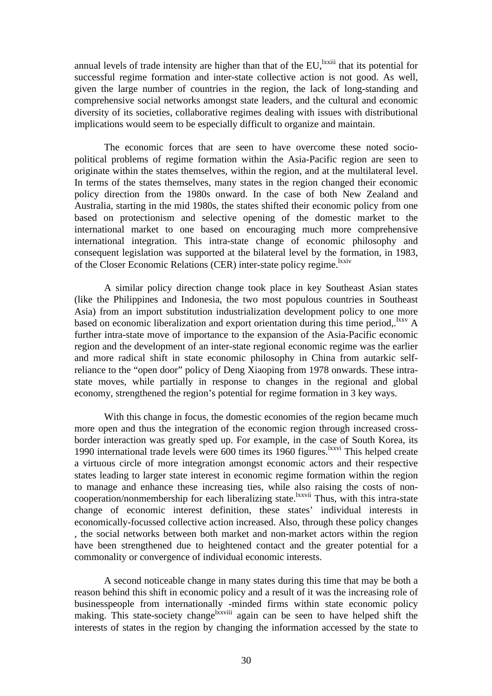annual levels of trade intensity are higher than that of the  $EU$ , <sup>lxxiii</sup> that its potential for successful regime formation and inter-state collective action is not good. As well, given the large number of countries in the region, the lack of long-standing and comprehensive social networks amongst state leaders, and the cultural and economic diversity of its societies, collaborative regimes dealing with issues with distributional implications would seem to be especially difficult to organize and maintain.

The economic forces that are seen to have overcome these noted sociopolitical problems of regime formation within the Asia-Pacific region are seen to originate within the states themselves, within the region, and at the multilateral level. In terms of the states themselves, many states in the region changed their economic policy direction from the 1980s onward. In the case of both New Zealand and Australia, starting in the mid 1980s, the states shifted their economic policy from one based on protectionism and selective opening of the domestic market to the international market to one based on encouraging much more comprehensive international integration. This intra-state change of economic philosophy and consequent legislation was supported at the bilateral level by the formation, in 1983, of the Closer Economic Relations (CER) inter-state policy regime.

A similar policy direction change took place in key Southeast Asian states (like the Philippines and Indonesia, the two most populous countries in Southeast Asia) from an import substitution industrialization development policy to one more based on economic liberalization and export orientation during this time period, <sup>lxxv</sup> A further intra-state move of importance to the expansion of the Asia-Pacific economic region and the development of an inter-state regional economic regime was the earlier and more radical shift in state economic philosophy in China from autarkic selfreliance to the "open door" policy of Deng Xiaoping from 1978 onwards. These intrastate moves, while partially in response to changes in the regional and global economy, strengthened the region's potential for regime formation in 3 key ways.

With this change in focus, the domestic economies of the region became much more open and thus the integration of the economic region through increased crossborder interaction was greatly sped up. For example, in the case of South Korea, its 1990 international trade levels were 600 times its 1960 figures.lxxvi This helped create a virtuous circle of more integration amongst economic actors and their respective states leading to larger state interest in economic regime formation within the region to manage and enhance these increasing ties, while also raising the costs of noncooperation/nonmembership for each liberalizing state.<sup>lxxvii</sup> Thus, with this intra-state change of economic interest definition, these states' individual interests in economically-focussed collective action increased. Also, through these policy changes , the social networks between both market and non-market actors within the region have been strengthened due to heightened contact and the greater potential for a commonality or convergence of individual economic interests.

A second noticeable change in many states during this time that may be both a reason behind this shift in economic policy and a result of it was the increasing role of businesspeople from internationally -minded firms within state economic policy making. This state-society change<sup>lxxviii</sup> again can be seen to have helped shift the interests of states in the region by changing the information accessed by the state to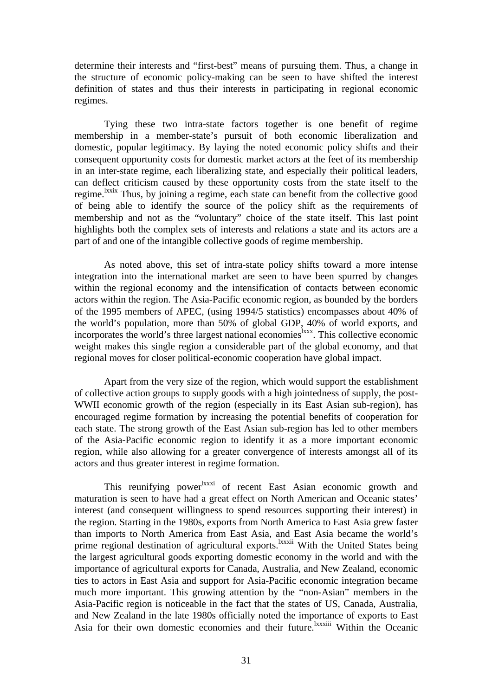determine their interests and "first-best" means of pursuing them. Thus, a change in the structure of economic policy-making can be seen to have shifted the interest definition of states and thus their interests in participating in regional economic regimes.

Tying these two intra-state factors together is one benefit of regime membership in a member-state's pursuit of both economic liberalization and domestic, popular legitimacy. By laying the noted economic policy shifts and their consequent opportunity costs for domestic market actors at the feet of its membership in an inter-state regime, each liberalizing state, and especially their political leaders, can deflect criticism caused by these opportunity costs from the state itself to the regime.<sup>lxxix</sup> Thus, by joining a regime, each state can benefit from the collective good of being able to identify the source of the policy shift as the requirements of membership and not as the "voluntary" choice of the state itself. This last point highlights both the complex sets of interests and relations a state and its actors are a part of and one of the intangible collective goods of regime membership.

As noted above, this set of intra-state policy shifts toward a more intense integration into the international market are seen to have been spurred by changes within the regional economy and the intensification of contacts between economic actors within the region. The Asia-Pacific economic region, as bounded by the borders of the 1995 members of APEC, (using 1994/5 statistics) encompasses about 40% of the world's population, more than 50% of global GDP, 40% of world exports, and incorporates the world's three largest national economies<sup>lxxx</sup>. This collective economic weight makes this single region a considerable part of the global economy, and that regional moves for closer political-economic cooperation have global impact.

Apart from the very size of the region, which would support the establishment of collective action groups to supply goods with a high jointedness of supply, the post-WWII economic growth of the region (especially in its East Asian sub-region), has encouraged regime formation by increasing the potential benefits of cooperation for each state. The strong growth of the East Asian sub-region has led to other members of the Asia-Pacific economic region to identify it as a more important economic region, while also allowing for a greater convergence of interests amongst all of its actors and thus greater interest in regime formation.

This reunifying power<sup>lxxxi</sup> of recent East Asian economic growth and maturation is seen to have had a great effect on North American and Oceanic states' interest (and consequent willingness to spend resources supporting their interest) in the region. Starting in the 1980s, exports from North America to East Asia grew faster than imports to North America from East Asia, and East Asia became the world's prime regional destination of agricultural exports.<sup>1xxxii</sup> With the United States being the largest agricultural goods exporting domestic economy in the world and with the importance of agricultural exports for Canada, Australia, and New Zealand, economic ties to actors in East Asia and support for Asia-Pacific economic integration became much more important. This growing attention by the "non-Asian" members in the Asia-Pacific region is noticeable in the fact that the states of US, Canada, Australia, and New Zealand in the late 1980s officially noted the importance of exports to East Asia for their own domestic economies and their future.<sup>lxxxiii</sup> Within the Oceanic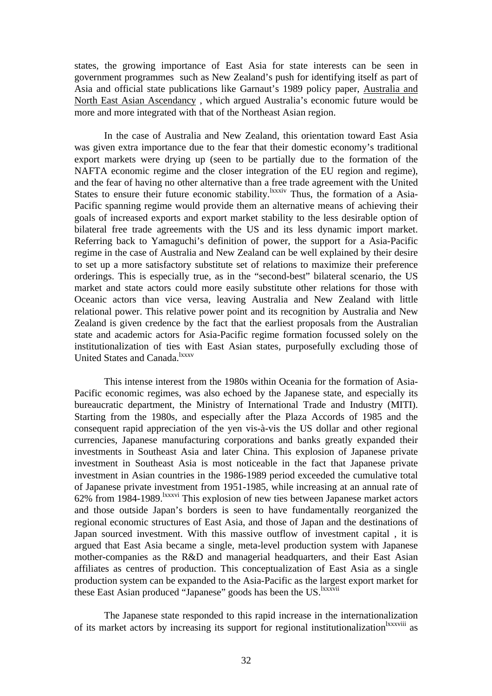states, the growing importance of East Asia for state interests can be seen in government programmes such as New Zealand's push for identifying itself as part of Asia and official state publications like Garnaut's 1989 policy paper, Australia and North East Asian Ascendancy , which argued Australia's economic future would be more and more integrated with that of the Northeast Asian region.

In the case of Australia and New Zealand, this orientation toward East Asia was given extra importance due to the fear that their domestic economy's traditional export markets were drying up (seen to be partially due to the formation of the NAFTA economic regime and the closer integration of the EU region and regime), and the fear of having no other alternative than a free trade agreement with the United States to ensure their future economic stability.<sup>1xxxiv</sup> Thus, the formation of a Asia-Pacific spanning regime would provide them an alternative means of achieving their goals of increased exports and export market stability to the less desirable option of bilateral free trade agreements with the US and its less dynamic import market. Referring back to Yamaguchi's definition of power, the support for a Asia-Pacific regime in the case of Australia and New Zealand can be well explained by their desire to set up a more satisfactory substitute set of relations to maximize their preference orderings. This is especially true, as in the "second-best" bilateral scenario, the US market and state actors could more easily substitute other relations for those with Oceanic actors than vice versa, leaving Australia and New Zealand with little relational power. This relative power point and its recognition by Australia and New Zealand is given credence by the fact that the earliest proposals from the Australian state and academic actors for Asia-Pacific regime formation focussed solely on the institutionalization of ties with East Asian states, purposefully excluding those of United States and Canada.<sup>lxxxv</sup>

This intense interest from the 1980s within Oceania for the formation of Asia-Pacific economic regimes, was also echoed by the Japanese state, and especially its bureaucratic department, the Ministry of International Trade and Industry (MITI). Starting from the 1980s, and especially after the Plaza Accords of 1985 and the consequent rapid appreciation of the yen vis-à-vis the US dollar and other regional currencies, Japanese manufacturing corporations and banks greatly expanded their investments in Southeast Asia and later China. This explosion of Japanese private investment in Southeast Asia is most noticeable in the fact that Japanese private investment in Asian countries in the 1986-1989 period exceeded the cumulative total of Japanese private investment from 1951-1985, while increasing at an annual rate of 62% from 1984-1989.lxxxvi This explosion of new ties between Japanese market actors and those outside Japan's borders is seen to have fundamentally reorganized the regional economic structures of East Asia, and those of Japan and the destinations of Japan sourced investment. With this massive outflow of investment capital , it is argued that East Asia became a single, meta-level production system with Japanese mother-companies as the R&D and managerial headquarters, and their East Asian affiliates as centres of production. This conceptualization of East Asia as a single production system can be expanded to the Asia-Pacific as the largest export market for these East Asian produced "Japanese" goods has been the US.<sup>lxxxvii</sup>

The Japanese state responded to this rapid increase in the internationalization of its market actors by increasing its support for regional institutionalization<sup>lxxxviii</sup> as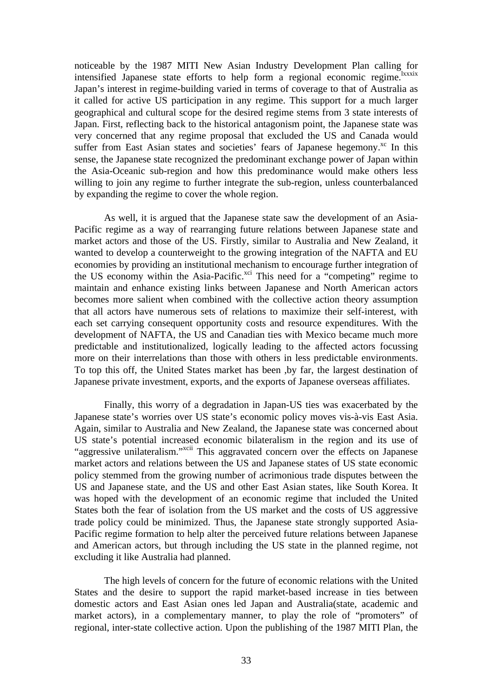noticeable by the 1987 MITI New Asian Industry Development Plan calling for intensified Japanese state efforts to help form a regional economic regime.<sup>lxxxix</sup> Japan's interest in regime-building varied in terms of coverage to that of Australia as it called for active US participation in any regime. This support for a much larger geographical and cultural scope for the desired regime stems from 3 state interests of Japan. First, reflecting back to the historical antagonism point, the Japanese state was very concerned that any regime proposal that excluded the US and Canada would suffer from East Asian states and societies' fears of Japanese hegemony.<sup>xc</sup> In this sense, the Japanese state recognized the predominant exchange power of Japan within the Asia-Oceanic sub-region and how this predominance would make others less willing to join any regime to further integrate the sub-region, unless counterbalanced by expanding the regime to cover the whole region.

As well, it is argued that the Japanese state saw the development of an Asia-Pacific regime as a way of rearranging future relations between Japanese state and market actors and those of the US. Firstly, similar to Australia and New Zealand, it wanted to develop a counterweight to the growing integration of the NAFTA and EU economies by providing an institutional mechanism to encourage further integration of the US economy within the Asia-Pacific.<sup>xci</sup> This need for a "competing" regime to maintain and enhance existing links between Japanese and North American actors becomes more salient when combined with the collective action theory assumption that all actors have numerous sets of relations to maximize their self-interest, with each set carrying consequent opportunity costs and resource expenditures. With the development of NAFTA, the US and Canadian ties with Mexico became much more predictable and institutionalized, logically leading to the affected actors focussing more on their interrelations than those with others in less predictable environments. To top this off, the United States market has been ,by far, the largest destination of Japanese private investment, exports, and the exports of Japanese overseas affiliates.

Finally, this worry of a degradation in Japan-US ties was exacerbated by the Japanese state's worries over US state's economic policy moves vis-à-vis East Asia. Again, similar to Australia and New Zealand, the Japanese state was concerned about US state's potential increased economic bilateralism in the region and its use of "aggressive unilateralism."<sup>xcii</sup> This aggravated concern over the effects on Japanese market actors and relations between the US and Japanese states of US state economic policy stemmed from the growing number of acrimonious trade disputes between the US and Japanese state, and the US and other East Asian states, like South Korea. It was hoped with the development of an economic regime that included the United States both the fear of isolation from the US market and the costs of US aggressive trade policy could be minimized. Thus, the Japanese state strongly supported Asia-Pacific regime formation to help alter the perceived future relations between Japanese and American actors, but through including the US state in the planned regime, not excluding it like Australia had planned.

The high levels of concern for the future of economic relations with the United States and the desire to support the rapid market-based increase in ties between domestic actors and East Asian ones led Japan and Australia(state, academic and market actors), in a complementary manner, to play the role of "promoters" of regional, inter-state collective action. Upon the publishing of the 1987 MITI Plan, the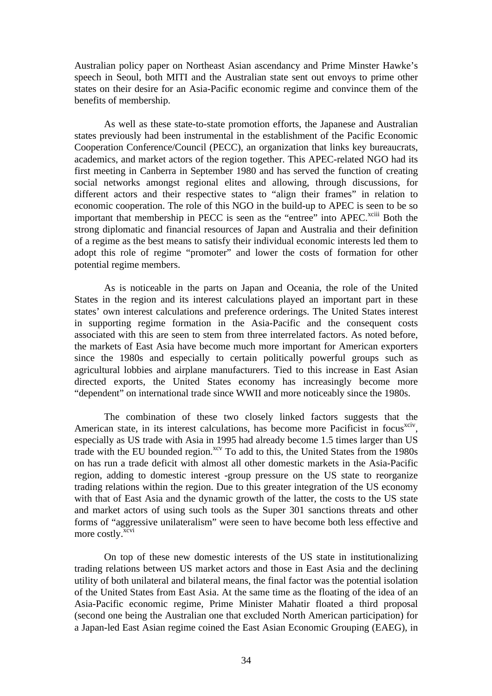Australian policy paper on Northeast Asian ascendancy and Prime Minster Hawke's speech in Seoul, both MITI and the Australian state sent out envoys to prime other states on their desire for an Asia-Pacific economic regime and convince them of the benefits of membership.

As well as these state-to-state promotion efforts, the Japanese and Australian states previously had been instrumental in the establishment of the Pacific Economic Cooperation Conference/Council (PECC), an organization that links key bureaucrats, academics, and market actors of the region together. This APEC-related NGO had its first meeting in Canberra in September 1980 and has served the function of creating social networks amongst regional elites and allowing, through discussions, for different actors and their respective states to "align their frames" in relation to economic cooperation. The role of this NGO in the build-up to APEC is seen to be so important that membership in PECC is seen as the "entree" into APEC.<sup>xciii</sup> Both the strong diplomatic and financial resources of Japan and Australia and their definition of a regime as the best means to satisfy their individual economic interests led them to adopt this role of regime "promoter" and lower the costs of formation for other potential regime members.

As is noticeable in the parts on Japan and Oceania, the role of the United States in the region and its interest calculations played an important part in these states' own interest calculations and preference orderings. The United States interest in supporting regime formation in the Asia-Pacific and the consequent costs associated with this are seen to stem from three interrelated factors. As noted before, the markets of East Asia have become much more important for American exporters since the 1980s and especially to certain politically powerful groups such as agricultural lobbies and airplane manufacturers. Tied to this increase in East Asian directed exports, the United States economy has increasingly become more "dependent" on international trade since WWII and more noticeably since the 1980s.

The combination of these two closely linked factors suggests that the American state, in its interest calculations, has become more Pacificist in focus<sup>xciv</sup>, especially as US trade with Asia in 1995 had already become 1.5 times larger than US trade with the EU bounded region.<sup>xcv</sup> To add to this, the United States from the 1980s on has run a trade deficit with almost all other domestic markets in the Asia-Pacific region, adding to domestic interest -group pressure on the US state to reorganize trading relations within the region. Due to this greater integration of the US economy with that of East Asia and the dynamic growth of the latter, the costs to the US state and market actors of using such tools as the Super 301 sanctions threats and other forms of "aggressive unilateralism" were seen to have become both less effective and more costly.<sup>xcvi</sup>

On top of these new domestic interests of the US state in institutionalizing trading relations between US market actors and those in East Asia and the declining utility of both unilateral and bilateral means, the final factor was the potential isolation of the United States from East Asia. At the same time as the floating of the idea of an Asia-Pacific economic regime, Prime Minister Mahatir floated a third proposal (second one being the Australian one that excluded North American participation) for a Japan-led East Asian regime coined the East Asian Economic Grouping (EAEG), in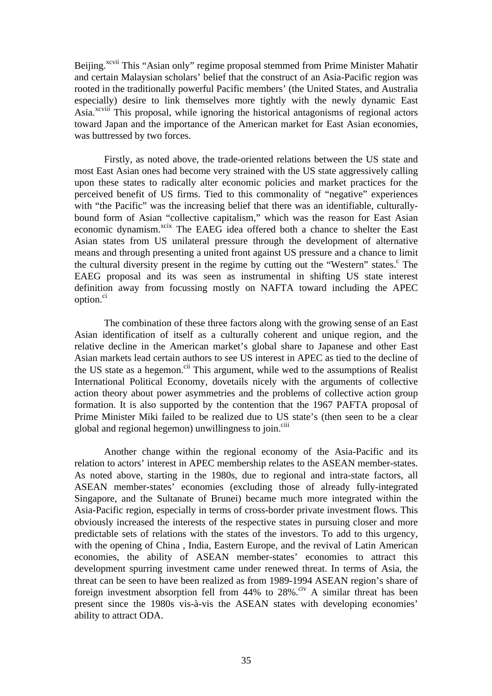Beijing.<sup>xcvii</sup> This "Asian only" regime proposal stemmed from Prime Minister Mahatir and certain Malaysian scholars' belief that the construct of an Asia-Pacific region was rooted in the traditionally powerful Pacific members' (the United States, and Australia especially) desire to link themselves more tightly with the newly dynamic East Asia.<sup>xcviii</sup> This proposal, while ignoring the historical antagonisms of regional actors toward Japan and the importance of the American market for East Asian economies, was buttressed by two forces.

Firstly, as noted above, the trade-oriented relations between the US state and most East Asian ones had become very strained with the US state aggressively calling upon these states to radically alter economic policies and market practices for the perceived benefit of US firms. Tied to this commonality of "negative" experiences with "the Pacific" was the increasing belief that there was an identifiable, culturallybound form of Asian "collective capitalism," which was the reason for East Asian economic dynamism.<sup>xcix</sup> The EAEG idea offered both a chance to shelter the East Asian states from US unilateral pressure through the development of alternative means and through presenting a united front against US pressure and a chance to limit the cultural diversity present in the regime by cutting out the "Western" states.<sup>c</sup> The EAEG proposal and its was seen as instrumental in shifting US state interest definition away from focussing mostly on NAFTA toward including the APEC option.<sup>ci</sup>

The combination of these three factors along with the growing sense of an East Asian identification of itself as a culturally coherent and unique region, and the relative decline in the American market's global share to Japanese and other East Asian markets lead certain authors to see US interest in APEC as tied to the decline of the US state as a hegemon.<sup>cii</sup> This argument, while wed to the assumptions of Realist International Political Economy, dovetails nicely with the arguments of collective action theory about power asymmetries and the problems of collective action group formation. It is also supported by the contention that the 1967 PAFTA proposal of Prime Minister Miki failed to be realized due to US state's (then seen to be a clear global and regional hegemon) unwillingness to join.<sup>ciii</sup>

Another change within the regional economy of the Asia-Pacific and its relation to actors' interest in APEC membership relates to the ASEAN member-states. As noted above, starting in the 1980s, due to regional and intra-state factors, all ASEAN member-states' economies (excluding those of already fully-integrated Singapore, and the Sultanate of Brunei) became much more integrated within the Asia-Pacific region, especially in terms of cross-border private investment flows. This obviously increased the interests of the respective states in pursuing closer and more predictable sets of relations with the states of the investors. To add to this urgency, with the opening of China , India, Eastern Europe, and the revival of Latin American economies, the ability of ASEAN member-states' economies to attract this development spurring investment came under renewed threat. In terms of Asia, the threat can be seen to have been realized as from 1989-1994 ASEAN region's share of foreign investment absorption fell from  $44\%$  to  $28\%$ .<sup>civ</sup> A similar threat has been present since the 1980s vis-à-vis the ASEAN states with developing economies' ability to attract ODA.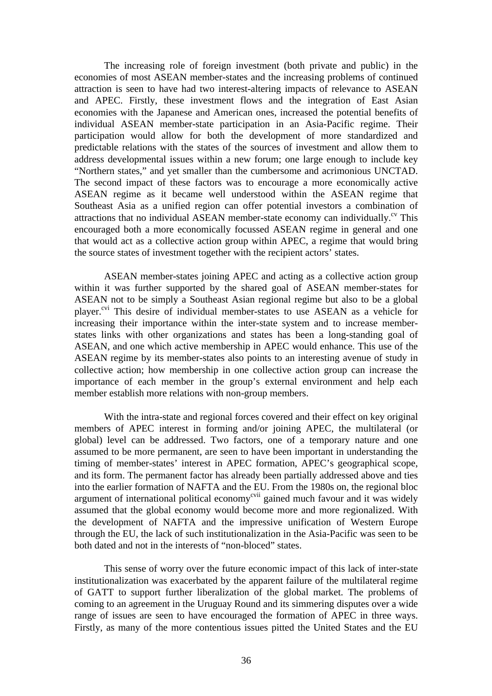The increasing role of foreign investment (both private and public) in the economies of most ASEAN member-states and the increasing problems of continued attraction is seen to have had two interest-altering impacts of relevance to ASEAN and APEC. Firstly, these investment flows and the integration of East Asian economies with the Japanese and American ones, increased the potential benefits of individual ASEAN member-state participation in an Asia-Pacific regime. Their participation would allow for both the development of more standardized and predictable relations with the states of the sources of investment and allow them to address developmental issues within a new forum; one large enough to include key "Northern states," and yet smaller than the cumbersome and acrimonious UNCTAD. The second impact of these factors was to encourage a more economically active ASEAN regime as it became well understood within the ASEAN regime that Southeast Asia as a unified region can offer potential investors a combination of attractions that no individual ASEAN member-state economy can individually.<sup>cv</sup> This encouraged both a more economically focussed ASEAN regime in general and one that would act as a collective action group within APEC, a regime that would bring the source states of investment together with the recipient actors' states.

ASEAN member-states joining APEC and acting as a collective action group within it was further supported by the shared goal of ASEAN member-states for ASEAN not to be simply a Southeast Asian regional regime but also to be a global player.<sup>cvi</sup> This desire of individual member-states to use ASEAN as a vehicle for increasing their importance within the inter-state system and to increase memberstates links with other organizations and states has been a long-standing goal of ASEAN, and one which active membership in APEC would enhance. This use of the ASEAN regime by its member-states also points to an interesting avenue of study in collective action; how membership in one collective action group can increase the importance of each member in the group's external environment and help each member establish more relations with non-group members.

With the intra-state and regional forces covered and their effect on key original members of APEC interest in forming and/or joining APEC, the multilateral (or global) level can be addressed. Two factors, one of a temporary nature and one assumed to be more permanent, are seen to have been important in understanding the timing of member-states' interest in APEC formation, APEC's geographical scope, and its form. The permanent factor has already been partially addressed above and ties into the earlier formation of NAFTA and the EU. From the 1980s on, the regional bloc argument of international political economy<sup>cvii</sup> gained much favour and it was widely assumed that the global economy would become more and more regionalized. With the development of NAFTA and the impressive unification of Western Europe through the EU, the lack of such institutionalization in the Asia-Pacific was seen to be both dated and not in the interests of "non-bloced" states.

This sense of worry over the future economic impact of this lack of inter-state institutionalization was exacerbated by the apparent failure of the multilateral regime of GATT to support further liberalization of the global market. The problems of coming to an agreement in the Uruguay Round and its simmering disputes over a wide range of issues are seen to have encouraged the formation of APEC in three ways. Firstly, as many of the more contentious issues pitted the United States and the EU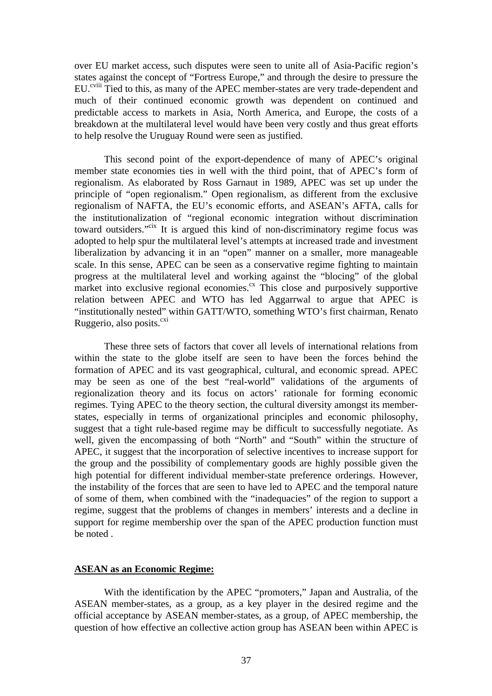over EU market access, such disputes were seen to unite all of Asia-Pacific region's states against the concept of "Fortress Europe," and through the desire to pressure the EU.<sup>cviii</sup> Tied to this, as many of the APEC member-states are very trade-dependent and much of their continued economic growth was dependent on continued and predictable access to markets in Asia, North America, and Europe, the costs of a breakdown at the multilateral level would have been very costly and thus great efforts to help resolve the Uruguay Round were seen as justified.

This second point of the export-dependence of many of APEC's original member state economies ties in well with the third point, that of APEC's form of regionalism. As elaborated by Ross Garnaut in 1989, APEC was set up under the principle of "open regionalism." Open regionalism, as different from the exclusive regionalism of NAFTA, the EU's economic efforts, and ASEAN's AFTA, calls for the institutionalization of "regional economic integration without discrimination toward outsiders."<sup>cix</sup> It is argued this kind of non-discriminatory regime focus was adopted to help spur the multilateral level's attempts at increased trade and investment liberalization by advancing it in an "open" manner on a smaller, more manageable scale. In this sense, APEC can be seen as a conservative regime fighting to maintain progress at the multilateral level and working against the "blocing" of the global market into exclusive regional economies. $\alpha$  This close and purposively supportive relation between APEC and WTO has led Aggarrwal to argue that APEC is "institutionally nested" within GATT/WTO, something WTO's first chairman, Renato Ruggerio, also posits. $\alpha$ <sup>cxi</sup>

These three sets of factors that cover all levels of international relations from within the state to the globe itself are seen to have been the forces behind the formation of APEC and its vast geographical, cultural, and economic spread. APEC may be seen as one of the best "real-world" validations of the arguments of regionalization theory and its focus on actors' rationale for forming economic regimes. Tying APEC to the theory section, the cultural diversity amongst its memberstates, especially in terms of organizational principles and economic philosophy, suggest that a tight rule-based regime may be difficult to successfully negotiate. As well, given the encompassing of both "North" and "South" within the structure of APEC, it suggest that the incorporation of selective incentives to increase support for the group and the possibility of complementary goods are highly possible given the high potential for different individual member-state preference orderings. However, the instability of the forces that are seen to have led to APEC and the temporal nature of some of them, when combined with the "inadequacies" of the region to support a regime, suggest that the problems of changes in members' interests and a decline in support for regime membership over the span of the APEC production function must be noted .

## **ASEAN as an Economic Regime:**

With the identification by the APEC "promoters," Japan and Australia, of the ASEAN member-states, as a group, as a key player in the desired regime and the official acceptance by ASEAN member-states, as a group, of APEC membership, the question of how effective an collective action group has ASEAN been within APEC is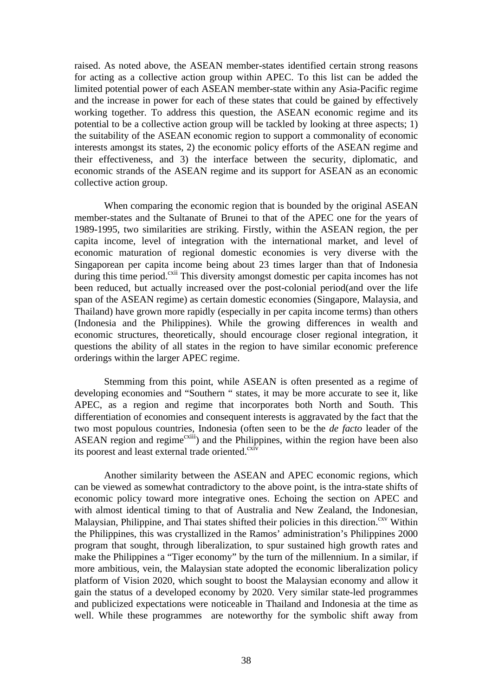raised. As noted above, the ASEAN member-states identified certain strong reasons for acting as a collective action group within APEC. To this list can be added the limited potential power of each ASEAN member-state within any Asia-Pacific regime and the increase in power for each of these states that could be gained by effectively working together. To address this question, the ASEAN economic regime and its potential to be a collective action group will be tackled by looking at three aspects; 1) the suitability of the ASEAN economic region to support a commonality of economic interests amongst its states, 2) the economic policy efforts of the ASEAN regime and their effectiveness, and 3) the interface between the security, diplomatic, and economic strands of the ASEAN regime and its support for ASEAN as an economic collective action group.

When comparing the economic region that is bounded by the original ASEAN member-states and the Sultanate of Brunei to that of the APEC one for the years of 1989-1995, two similarities are striking. Firstly, within the ASEAN region, the per capita income, level of integration with the international market, and level of economic maturation of regional domestic economies is very diverse with the Singaporean per capita income being about 23 times larger than that of Indonesia during this time period.<sup>cxii</sup> This diversity amongst domestic per capita incomes has not been reduced, but actually increased over the post-colonial period(and over the life span of the ASEAN regime) as certain domestic economies (Singapore, Malaysia, and Thailand) have grown more rapidly (especially in per capita income terms) than others (Indonesia and the Philippines). While the growing differences in wealth and economic structures, theoretically, should encourage closer regional integration, it questions the ability of all states in the region to have similar economic preference orderings within the larger APEC regime.

Stemming from this point, while ASEAN is often presented as a regime of developing economies and "Southern " states, it may be more accurate to see it, like APEC, as a region and regime that incorporates both North and South. This differentiation of economies and consequent interests is aggravated by the fact that the two most populous countries, Indonesia (often seen to be the *de facto* leader of the ASEAN region and regime<sup>cxiii</sup>) and the Philippines, within the region have been also its poorest and least external trade oriented.<sup>cxiv</sup>

Another similarity between the ASEAN and APEC economic regions, which can be viewed as somewhat contradictory to the above point, is the intra-state shifts of economic policy toward more integrative ones. Echoing the section on APEC and with almost identical timing to that of Australia and New Zealand, the Indonesian, Malaysian, Philippine, and Thai states shifted their policies in this direction.<sup>cxv</sup> Within the Philippines, this was crystallized in the Ramos' administration's Philippines 2000 program that sought, through liberalization, to spur sustained high growth rates and make the Philippines a "Tiger economy" by the turn of the millennium. In a similar, if more ambitious, vein, the Malaysian state adopted the economic liberalization policy platform of Vision 2020, which sought to boost the Malaysian economy and allow it gain the status of a developed economy by 2020. Very similar state-led programmes and publicized expectations were noticeable in Thailand and Indonesia at the time as well. While these programmes are noteworthy for the symbolic shift away from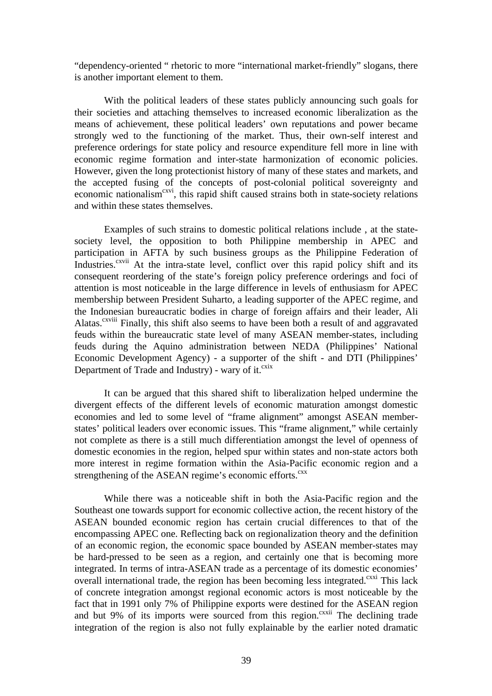"dependency-oriented " rhetoric to more "international market-friendly" slogans, there is another important element to them.

With the political leaders of these states publicly announcing such goals for their societies and attaching themselves to increased economic liberalization as the means of achievement, these political leaders' own reputations and power became strongly wed to the functioning of the market. Thus, their own-self interest and preference orderings for state policy and resource expenditure fell more in line with economic regime formation and inter-state harmonization of economic policies. However, given the long protectionist history of many of these states and markets, and the accepted fusing of the concepts of post-colonial political sovereignty and economic nationalism<sup>cxvi</sup>, this rapid shift caused strains both in state-society relations and within these states themselves.

Examples of such strains to domestic political relations include , at the statesociety level, the opposition to both Philippine membership in APEC and participation in AFTA by such business groups as the Philippine Federation of Industries.<sup>cxvii</sup> At the intra-state level, conflict over this rapid policy shift and its consequent reordering of the state's foreign policy preference orderings and foci of attention is most noticeable in the large difference in levels of enthusiasm for APEC membership between President Suharto, a leading supporter of the APEC regime, and the Indonesian bureaucratic bodies in charge of foreign affairs and their leader, Ali Alatas.<sup>cxviii</sup> Finally, this shift also seems to have been both a result of and aggravated feuds within the bureaucratic state level of many ASEAN member-states, including feuds during the Aquino administration between NEDA (Philippines' National Economic Development Agency) - a supporter of the shift - and DTI (Philippines' Department of Trade and Industry) - wary of it. $\frac{c}{x}$ 

It can be argued that this shared shift to liberalization helped undermine the divergent effects of the different levels of economic maturation amongst domestic economies and led to some level of "frame alignment" amongst ASEAN memberstates' political leaders over economic issues. This "frame alignment," while certainly not complete as there is a still much differentiation amongst the level of openness of domestic economies in the region, helped spur within states and non-state actors both more interest in regime formation within the Asia-Pacific economic region and a strengthening of the ASEAN regime's economic efforts.<sup>cxx</sup>

While there was a noticeable shift in both the Asia-Pacific region and the Southeast one towards support for economic collective action, the recent history of the ASEAN bounded economic region has certain crucial differences to that of the encompassing APEC one. Reflecting back on regionalization theory and the definition of an economic region, the economic space bounded by ASEAN member-states may be hard-pressed to be seen as a region, and certainly one that is becoming more integrated. In terms of intra-ASEAN trade as a percentage of its domestic economies' overall international trade, the region has been becoming less integrated.<sup>cxxi</sup> This lack of concrete integration amongst regional economic actors is most noticeable by the fact that in 1991 only 7% of Philippine exports were destined for the ASEAN region and but 9% of its imports were sourced from this region.<sup>cxxii</sup> The declining trade integration of the region is also not fully explainable by the earlier noted dramatic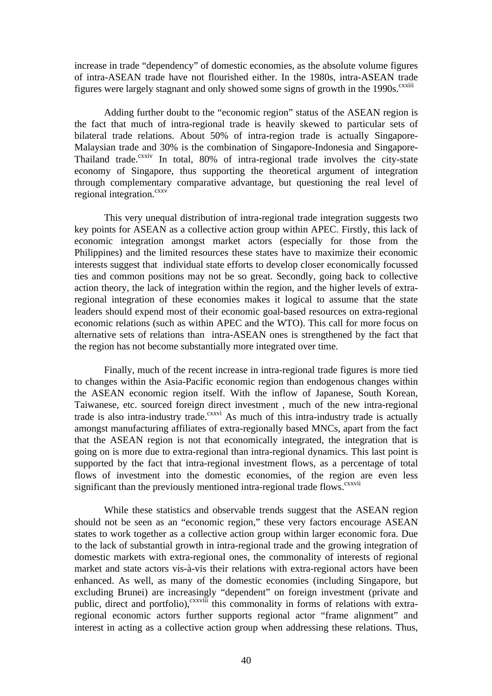increase in trade "dependency" of domestic economies, as the absolute volume figures of intra-ASEAN trade have not flourished either. In the 1980s, intra-ASEAN trade figures were largely stagnant and only showed some signs of growth in the  $1990s$ .<sup>cxxiii</sup>

Adding further doubt to the "economic region" status of the ASEAN region is the fact that much of intra-regional trade is heavily skewed to particular sets of bilateral trade relations. About 50% of intra-region trade is actually Singapore-Malaysian trade and 30% is the combination of Singapore-Indonesia and Singapore-Thailand trade. $\frac{c}{}$  In total, 80% of intra-regional trade involves the city-state economy of Singapore, thus supporting the theoretical argument of integration through complementary comparative advantage, but questioning the real level of regional integration. $\frac{cxxv}{cxxv}$ 

This very unequal distribution of intra-regional trade integration suggests two key points for ASEAN as a collective action group within APEC. Firstly, this lack of economic integration amongst market actors (especially for those from the Philippines) and the limited resources these states have to maximize their economic interests suggest that individual state efforts to develop closer economically focussed ties and common positions may not be so great. Secondly, going back to collective action theory, the lack of integration within the region, and the higher levels of extraregional integration of these economies makes it logical to assume that the state leaders should expend most of their economic goal-based resources on extra-regional economic relations (such as within APEC and the WTO). This call for more focus on alternative sets of relations than intra-ASEAN ones is strengthened by the fact that the region has not become substantially more integrated over time.

Finally, much of the recent increase in intra-regional trade figures is more tied to changes within the Asia-Pacific economic region than endogenous changes within the ASEAN economic region itself. With the inflow of Japanese, South Korean, Taiwanese, etc. sourced foreign direct investment , much of the new intra-regional trade is also intra-industry trade.<sup>cxxvi</sup> As much of this intra-industry trade is actually amongst manufacturing affiliates of extra-regionally based MNCs, apart from the fact that the ASEAN region is not that economically integrated, the integration that is going on is more due to extra-regional than intra-regional dynamics. This last point is supported by the fact that intra-regional investment flows, as a percentage of total flows of investment into the domestic economies, of the region are even less significant than the previously mentioned intra-regional trade flows. $\frac{cxxvii}{c}$ 

While these statistics and observable trends suggest that the ASEAN region should not be seen as an "economic region," these very factors encourage ASEAN states to work together as a collective action group within larger economic fora. Due to the lack of substantial growth in intra-regional trade and the growing integration of domestic markets with extra-regional ones, the commonality of interests of regional market and state actors vis-à-vis their relations with extra-regional actors have been enhanced. As well, as many of the domestic economies (including Singapore, but excluding Brunei) are increasingly "dependent" on foreign investment (private and public, direct and portfolio), $\frac{cxxviii}{m}$  this commonality in forms of relations with extraregional economic actors further supports regional actor "frame alignment" and interest in acting as a collective action group when addressing these relations. Thus,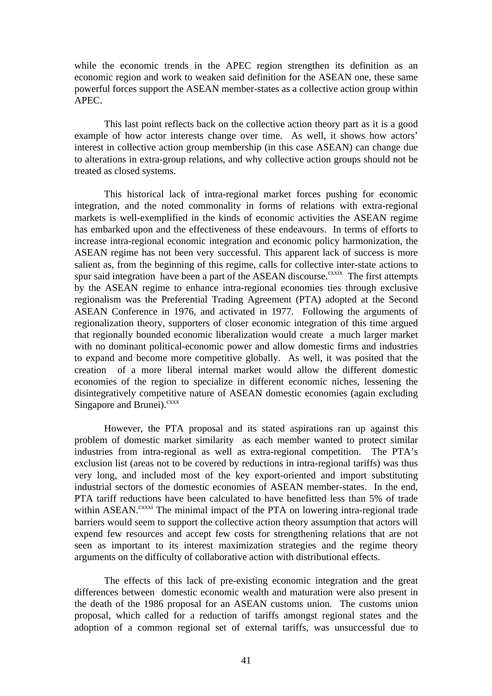while the economic trends in the APEC region strengthen its definition as an economic region and work to weaken said definition for the ASEAN one, these same powerful forces support the ASEAN member-states as a collective action group within APEC.

This last point reflects back on the collective action theory part as it is a good example of how actor interests change over time. As well, it shows how actors' interest in collective action group membership (in this case ASEAN) can change due to alterations in extra-group relations, and why collective action groups should not be treated as closed systems.

This historical lack of intra-regional market forces pushing for economic integration, and the noted commonality in forms of relations with extra-regional markets is well-exemplified in the kinds of economic activities the ASEAN regime has embarked upon and the effectiveness of these endeavours. In terms of efforts to increase intra-regional economic integration and economic policy harmonization, the ASEAN regime has not been very successful. This apparent lack of success is more salient as, from the beginning of this regime, calls for collective inter-state actions to spur said integration have been a part of the ASEAN discourse.<sup>cxxix</sup> The first attempts by the ASEAN regime to enhance intra-regional economies ties through exclusive regionalism was the Preferential Trading Agreement (PTA) adopted at the Second ASEAN Conference in 1976, and activated in 1977. Following the arguments of regionalization theory, supporters of closer economic integration of this time argued that regionally bounded economic liberalization would create a much larger market with no dominant political-economic power and allow domestic firms and industries to expand and become more competitive globally. As well, it was posited that the creation of a more liberal internal market would allow the different domestic economies of the region to specialize in different economic niches, lessening the disintegratively competitive nature of ASEAN domestic economies (again excluding Singapore and Brunei).<sup>cxxx</sup>

However, the PTA proposal and its stated aspirations ran up against this problem of domestic market similarity as each member wanted to protect similar industries from intra-regional as well as extra-regional competition. The PTA's exclusion list (areas not to be covered by reductions in intra-regional tariffs) was thus very long, and included most of the key export-oriented and import substituting industrial sectors of the domestic economies of ASEAN member-states. In the end, PTA tariff reductions have been calculated to have benefitted less than 5% of trade within ASEAN.<sup>cxxxi</sup> The minimal impact of the PTA on lowering intra-regional trade barriers would seem to support the collective action theory assumption that actors will expend few resources and accept few costs for strengthening relations that are not seen as important to its interest maximization strategies and the regime theory arguments on the difficulty of collaborative action with distributional effects.

The effects of this lack of pre-existing economic integration and the great differences between domestic economic wealth and maturation were also present in the death of the 1986 proposal for an ASEAN customs union. The customs union proposal, which called for a reduction of tariffs amongst regional states and the adoption of a common regional set of external tariffs, was unsuccessful due to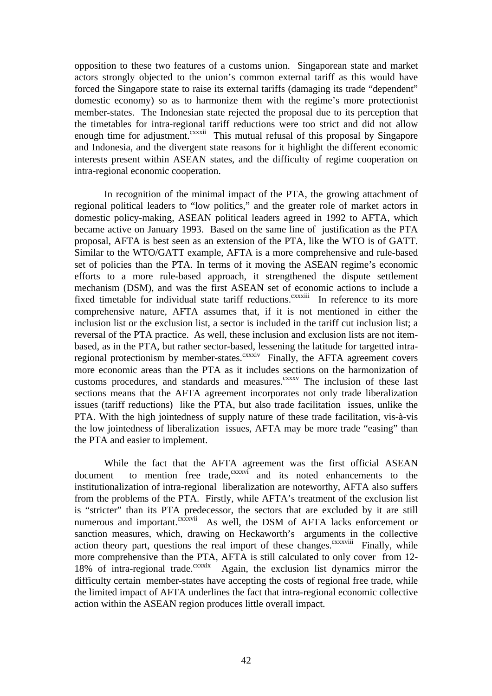opposition to these two features of a customs union. Singaporean state and market actors strongly objected to the union's common external tariff as this would have forced the Singapore state to raise its external tariffs (damaging its trade "dependent" domestic economy) so as to harmonize them with the regime's more protectionist member-states. The Indonesian state rejected the proposal due to its perception that the timetables for intra-regional tariff reductions were too strict and did not allow enough time for adjustment.<sup>cxxxii</sup> This mutual refusal of this proposal by Singapore and Indonesia, and the divergent state reasons for it highlight the different economic interests present within ASEAN states, and the difficulty of regime cooperation on intra-regional economic cooperation.

In recognition of the minimal impact of the PTA, the growing attachment of regional political leaders to "low politics," and the greater role of market actors in domestic policy-making, ASEAN political leaders agreed in 1992 to AFTA, which became active on January 1993. Based on the same line of justification as the PTA proposal, AFTA is best seen as an extension of the PTA, like the WTO is of GATT. Similar to the WTO/GATT example, AFTA is a more comprehensive and rule-based set of policies than the PTA. In terms of it moving the ASEAN regime's economic efforts to a more rule-based approach, it strengthened the dispute settlement mechanism (DSM), and was the first ASEAN set of economic actions to include a fixed timetable for individual state tariff reductions.<sup>cxxxiii</sup> In reference to its more comprehensive nature, AFTA assumes that, if it is not mentioned in either the inclusion list or the exclusion list, a sector is included in the tariff cut inclusion list; a reversal of the PTA practice. As well, these inclusion and exclusion lists are not itembased, as in the PTA, but rather sector-based, lessening the latitude for targetted intraregional protectionism by member-states.<sup>cxxxiv</sup> Finally, the AFTA agreement covers more economic areas than the PTA as it includes sections on the harmonization of customs procedures, and standards and measures.<sup>cxxxv</sup> The inclusion of these last sections means that the AFTA agreement incorporates not only trade liberalization issues (tariff reductions) like the PTA, but also trade facilitation issues, unlike the PTA. With the high jointedness of supply nature of these trade facilitation, vis-à-vis the low jointedness of liberalization issues, AFTA may be more trade "easing" than the PTA and easier to implement.

While the fact that the AFTA agreement was the first official ASEAN document to mention free trade,<sup>cxxxvi</sup> and its noted enhancements to the institutionalization of intra-regional liberalization are noteworthy, AFTA also suffers from the problems of the PTA. Firstly, while AFTA's treatment of the exclusion list is "stricter" than its PTA predecessor, the sectors that are excluded by it are still numerous and important.<sup>cxxxvii</sup> As well, the DSM of AFTA lacks enforcement or sanction measures, which, drawing on Heckaworth's arguments in the collective action theory part, questions the real import of these changes.<sup>cxxxviii</sup> Finally, while more comprehensive than the PTA, AFTA is still calculated to only cover from 12- 18% of intra-regional trade. $\frac{cxx}{x}$  Again, the exclusion list dynamics mirror the difficulty certain member-states have accepting the costs of regional free trade, while the limited impact of AFTA underlines the fact that intra-regional economic collective action within the ASEAN region produces little overall impact.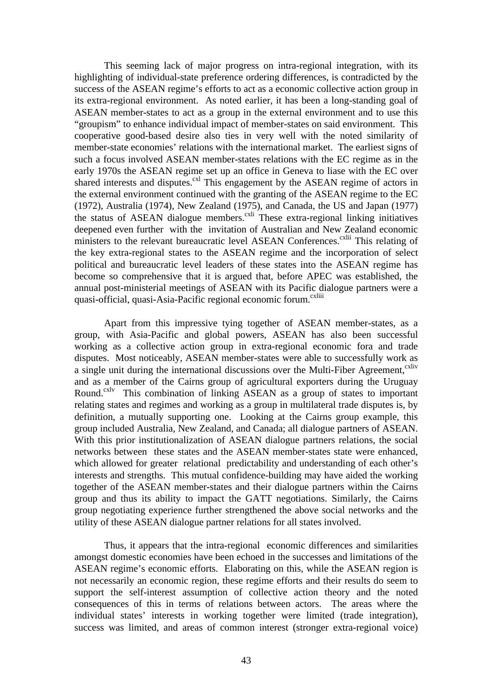This seeming lack of major progress on intra-regional integration, with its highlighting of individual-state preference ordering differences, is contradicted by the success of the ASEAN regime's efforts to act as a economic collective action group in its extra-regional environment. As noted earlier, it has been a long-standing goal of ASEAN member-states to act as a group in the external environment and to use this "groupism" to enhance individual impact of member-states on said environment. This cooperative good-based desire also ties in very well with the noted similarity of member-state economies' relations with the international market. The earliest signs of such a focus involved ASEAN member-states relations with the EC regime as in the early 1970s the ASEAN regime set up an office in Geneva to liase with the EC over shared interests and disputes.<sup>cxl</sup> This engagement by the ASEAN regime of actors in the external environment continued with the granting of the ASEAN regime to the EC (1972), Australia (1974), New Zealand (1975), and Canada, the US and Japan (1977) the status of ASEAN dialogue members.<sup>cxli</sup> These extra-regional linking initiatives deepened even further with the invitation of Australian and New Zealand economic ministers to the relevant bureaucratic level ASEAN Conferences.<sup>cxlii</sup> This relating of the key extra-regional states to the ASEAN regime and the incorporation of select political and bureaucratic level leaders of these states into the ASEAN regime has become so comprehensive that it is argued that, before APEC was established, the annual post-ministerial meetings of ASEAN with its Pacific dialogue partners were a quasi-official, quasi-Asia-Pacific regional economic forum.<sup>cxliii</sup>

Apart from this impressive tying together of ASEAN member-states, as a group, with Asia-Pacific and global powers, ASEAN has also been successful working as a collective action group in extra-regional economic fora and trade disputes. Most noticeably, ASEAN member-states were able to successfully work as a single unit during the international discussions over the Multi-Fiber Agreement, <sup>cxliv</sup> and as a member of the Cairns group of agricultural exporters during the Uruguay Round.<sup>cxlv</sup> This combination of linking ASEAN as a group of states to important relating states and regimes and working as a group in multilateral trade disputes is, by definition, a mutually supporting one. Looking at the Cairns group example, this group included Australia, New Zealand, and Canada; all dialogue partners of ASEAN. With this prior institutionalization of ASEAN dialogue partners relations, the social networks between these states and the ASEAN member-states state were enhanced, which allowed for greater relational predictability and understanding of each other's interests and strengths. This mutual confidence-building may have aided the working together of the ASEAN member-states and their dialogue partners within the Cairns group and thus its ability to impact the GATT negotiations. Similarly, the Cairns group negotiating experience further strengthened the above social networks and the utility of these ASEAN dialogue partner relations for all states involved.

Thus, it appears that the intra-regional economic differences and similarities amongst domestic economies have been echoed in the successes and limitations of the ASEAN regime's economic efforts. Elaborating on this, while the ASEAN region is not necessarily an economic region, these regime efforts and their results do seem to support the self-interest assumption of collective action theory and the noted consequences of this in terms of relations between actors. The areas where the individual states' interests in working together were limited (trade integration), success was limited, and areas of common interest (stronger extra-regional voice)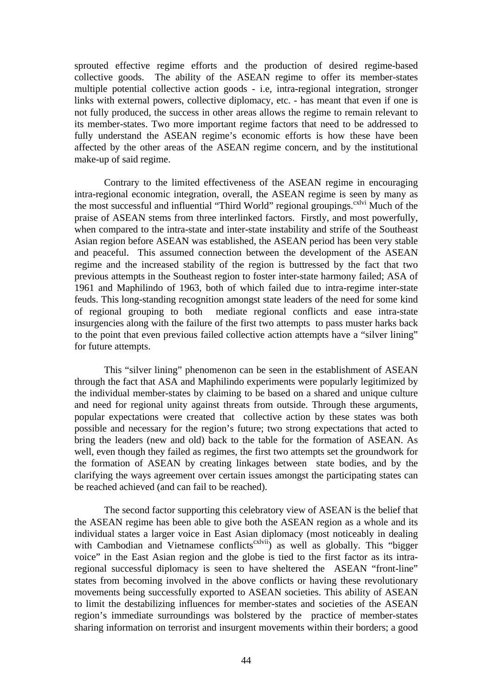sprouted effective regime efforts and the production of desired regime-based collective goods. The ability of the ASEAN regime to offer its member-states multiple potential collective action goods - i.e, intra-regional integration, stronger links with external powers, collective diplomacy, etc. - has meant that even if one is not fully produced, the success in other areas allows the regime to remain relevant to its member-states. Two more important regime factors that need to be addressed to fully understand the ASEAN regime's economic efforts is how these have been affected by the other areas of the ASEAN regime concern, and by the institutional make-up of said regime.

Contrary to the limited effectiveness of the ASEAN regime in encouraging intra-regional economic integration, overall, the ASEAN regime is seen by many as the most successful and influential "Third World" regional groupings.<sup>cxlvi</sup> Much of the praise of ASEAN stems from three interlinked factors. Firstly, and most powerfully, when compared to the intra-state and inter-state instability and strife of the Southeast Asian region before ASEAN was established, the ASEAN period has been very stable and peaceful. This assumed connection between the development of the ASEAN regime and the increased stability of the region is buttressed by the fact that two previous attempts in the Southeast region to foster inter-state harmony failed; ASA of 1961 and Maphilindo of 1963, both of which failed due to intra-regime inter-state feuds. This long-standing recognition amongst state leaders of the need for some kind of regional grouping to both mediate regional conflicts and ease intra-state insurgencies along with the failure of the first two attempts to pass muster harks back to the point that even previous failed collective action attempts have a "silver lining" for future attempts.

This "silver lining" phenomenon can be seen in the establishment of ASEAN through the fact that ASA and Maphilindo experiments were popularly legitimized by the individual member-states by claiming to be based on a shared and unique culture and need for regional unity against threats from outside. Through these arguments, popular expectations were created that collective action by these states was both possible and necessary for the region's future; two strong expectations that acted to bring the leaders (new and old) back to the table for the formation of ASEAN. As well, even though they failed as regimes, the first two attempts set the groundwork for the formation of ASEAN by creating linkages between state bodies, and by the clarifying the ways agreement over certain issues amongst the participating states can be reached achieved (and can fail to be reached).

The second factor supporting this celebratory view of ASEAN is the belief that the ASEAN regime has been able to give both the ASEAN region as a whole and its individual states a larger voice in East Asian diplomacy (most noticeably in dealing with Cambodian and Vietnamese conflicts<sup>cxlvii</sup>) as well as globally. This "bigger voice" in the East Asian region and the globe is tied to the first factor as its intraregional successful diplomacy is seen to have sheltered the ASEAN "front-line" states from becoming involved in the above conflicts or having these revolutionary movements being successfully exported to ASEAN societies. This ability of ASEAN to limit the destabilizing influences for member-states and societies of the ASEAN region's immediate surroundings was bolstered by the practice of member-states sharing information on terrorist and insurgent movements within their borders; a good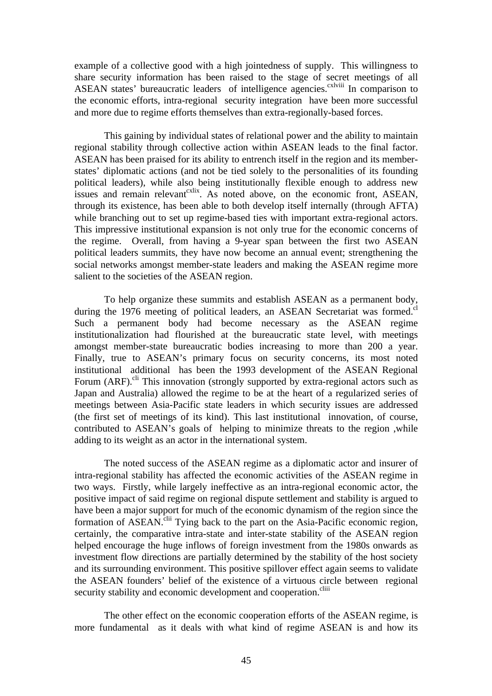example of a collective good with a high jointedness of supply. This willingness to share security information has been raised to the stage of secret meetings of all ASEAN states' bureaucratic leaders of intelligence agencies.<sup>cxlviii</sup> In comparison to the economic efforts, intra-regional security integration have been more successful and more due to regime efforts themselves than extra-regionally-based forces.

This gaining by individual states of relational power and the ability to maintain regional stability through collective action within ASEAN leads to the final factor. ASEAN has been praised for its ability to entrench itself in the region and its memberstates' diplomatic actions (and not be tied solely to the personalities of its founding political leaders), while also being institutionally flexible enough to address new issues and remain relevant  $\sum_{k=1}^{\infty}$  as noted above, on the economic front, ASEAN, through its existence, has been able to both develop itself internally (through AFTA) while branching out to set up regime-based ties with important extra-regional actors. This impressive institutional expansion is not only true for the economic concerns of the regime. Overall, from having a 9-year span between the first two ASEAN political leaders summits, they have now become an annual event; strengthening the social networks amongst member-state leaders and making the ASEAN regime more salient to the societies of the ASEAN region.

To help organize these summits and establish ASEAN as a permanent body, during the 1976 meeting of political leaders, an ASEAN Secretariat was formed.<sup>cl</sup> Such a permanent body had become necessary as the ASEAN regime institutionalization had flourished at the bureaucratic state level, with meetings amongst member-state bureaucratic bodies increasing to more than 200 a year. Finally, true to ASEAN's primary focus on security concerns, its most noted institutional additional has been the 1993 development of the ASEAN Regional Forum (ARF).<sup>cli</sup> This innovation (strongly supported by extra-regional actors such as Japan and Australia) allowed the regime to be at the heart of a regularized series of meetings between Asia-Pacific state leaders in which security issues are addressed (the first set of meetings of its kind). This last institutional innovation, of course, contributed to ASEAN's goals of helping to minimize threats to the region ,while adding to its weight as an actor in the international system.

The noted success of the ASEAN regime as a diplomatic actor and insurer of intra-regional stability has affected the economic activities of the ASEAN regime in two ways. Firstly, while largely ineffective as an intra-regional economic actor, the positive impact of said regime on regional dispute settlement and stability is argued to have been a major support for much of the economic dynamism of the region since the formation of ASEAN.<sup>clii</sup> Tying back to the part on the Asia-Pacific economic region, certainly, the comparative intra-state and inter-state stability of the ASEAN region helped encourage the huge inflows of foreign investment from the 1980s onwards as investment flow directions are partially determined by the stability of the host society and its surrounding environment. This positive spillover effect again seems to validate the ASEAN founders' belief of the existence of a virtuous circle between regional security stability and economic development and cooperation.<sup>cliii</sup>

The other effect on the economic cooperation efforts of the ASEAN regime, is more fundamental as it deals with what kind of regime ASEAN is and how its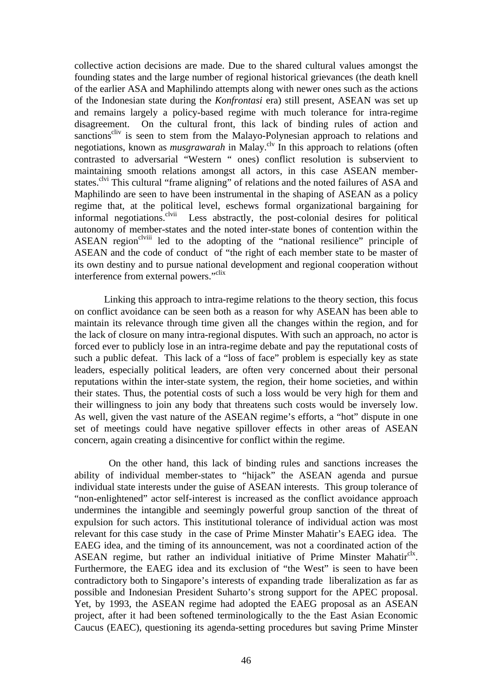collective action decisions are made. Due to the shared cultural values amongst the founding states and the large number of regional historical grievances (the death knell of the earlier ASA and Maphilindo attempts along with newer ones such as the actions of the Indonesian state during the *Konfrontasi* era) still present, ASEAN was set up and remains largely a policy-based regime with much tolerance for intra-regime disagreement. On the cultural front, this lack of binding rules of action and sanctions<sup>cliv</sup> is seen to stem from the Malayo-Polynesian approach to relations and negotiations, known as *musgrawarah* in Malay.<sup>clv</sup> In this approach to relations (often contrasted to adversarial "Western " ones) conflict resolution is subservient to maintaining smooth relations amongst all actors, in this case ASEAN memberstates.<sup>clvi</sup> This cultural "frame aligning" of relations and the noted failures of ASA and Maphilindo are seen to have been instrumental in the shaping of ASEAN as a policy regime that, at the political level, eschews formal organizational bargaining for informal negotiations.<sup>clvii</sup> Less abstractly, the post-colonial desires for political Less abstractly, the post-colonial desires for political autonomy of member-states and the noted inter-state bones of contention within the ASEAN region<sup>clviii</sup> led to the adopting of the "national resilience" principle of ASEAN and the code of conduct of "the right of each member state to be master of its own destiny and to pursue national development and regional cooperation without interference from external powers."<sup>clix</sup>

Linking this approach to intra-regime relations to the theory section, this focus on conflict avoidance can be seen both as a reason for why ASEAN has been able to maintain its relevance through time given all the changes within the region, and for the lack of closure on many intra-regional disputes. With such an approach, no actor is forced ever to publicly lose in an intra-regime debate and pay the reputational costs of such a public defeat. This lack of a "loss of face" problem is especially key as state leaders, especially political leaders, are often very concerned about their personal reputations within the inter-state system, the region, their home societies, and within their states. Thus, the potential costs of such a loss would be very high for them and their willingness to join any body that threatens such costs would be inversely low. As well, given the vast nature of the ASEAN regime's efforts, a "hot" dispute in one set of meetings could have negative spillover effects in other areas of ASEAN concern, again creating a disincentive for conflict within the regime.

 On the other hand, this lack of binding rules and sanctions increases the ability of individual member-states to "hijack" the ASEAN agenda and pursue individual state interests under the guise of ASEAN interests. This group tolerance of "non-enlightened" actor self-interest is increased as the conflict avoidance approach undermines the intangible and seemingly powerful group sanction of the threat of expulsion for such actors. This institutional tolerance of individual action was most relevant for this case study in the case of Prime Minster Mahatir's EAEG idea. The EAEG idea, and the timing of its announcement, was not a coordinated action of the ASEAN regime, but rather an individual initiative of Prime Minster Mahatir<sup>clx</sup>. Furthermore, the EAEG idea and its exclusion of "the West" is seen to have been contradictory both to Singapore's interests of expanding trade liberalization as far as possible and Indonesian President Suharto's strong support for the APEC proposal. Yet, by 1993, the ASEAN regime had adopted the EAEG proposal as an ASEAN project, after it had been softened terminologically to the the East Asian Economic Caucus (EAEC), questioning its agenda-setting procedures but saving Prime Minster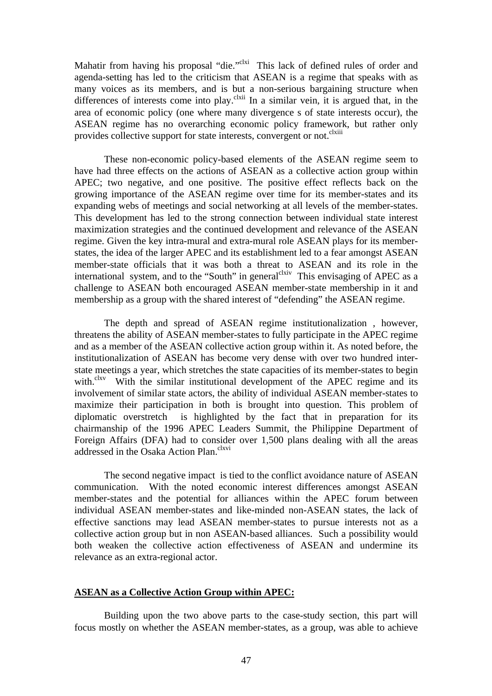Mahatir from having his proposal "die."<sup>clxi</sup> This lack of defined rules of order and agenda-setting has led to the criticism that ASEAN is a regime that speaks with as many voices as its members, and is but a non-serious bargaining structure when differences of interests come into play.<sup>clxii</sup> In a similar vein, it is argued that, in the area of economic policy (one where many divergence s of state interests occur), the ASEAN regime has no overarching economic policy framework, but rather only provides collective support for state interests, convergent or not.<sup>clxiii</sup>

These non-economic policy-based elements of the ASEAN regime seem to have had three effects on the actions of ASEAN as a collective action group within APEC; two negative, and one positive. The positive effect reflects back on the growing importance of the ASEAN regime over time for its member-states and its expanding webs of meetings and social networking at all levels of the member-states. This development has led to the strong connection between individual state interest maximization strategies and the continued development and relevance of the ASEAN regime. Given the key intra-mural and extra-mural role ASEAN plays for its memberstates, the idea of the larger APEC and its establishment led to a fear amongst ASEAN member-state officials that it was both a threat to ASEAN and its role in the international system, and to the "South" in general  $\alpha$ <sup>clxiv</sup> This envisaging of APEC as a challenge to ASEAN both encouraged ASEAN member-state membership in it and membership as a group with the shared interest of "defending" the ASEAN regime.

The depth and spread of ASEAN regime institutionalization , however, threatens the ability of ASEAN member-states to fully participate in the APEC regime and as a member of the ASEAN collective action group within it. As noted before, the institutionalization of ASEAN has become very dense with over two hundred interstate meetings a year, which stretches the state capacities of its member-states to begin with.<sup>clxv</sup> With the similar institutional development of the APEC regime and its involvement of similar state actors, the ability of individual ASEAN member-states to maximize their participation in both is brought into question. This problem of diplomatic overstretch is highlighted by the fact that in preparation for its chairmanship of the 1996 APEC Leaders Summit, the Philippine Department of Foreign Affairs (DFA) had to consider over 1,500 plans dealing with all the areas addressed in the Osaka Action Plan.<sup>clxvi</sup>

The second negative impact is tied to the conflict avoidance nature of ASEAN communication. With the noted economic interest differences amongst ASEAN member-states and the potential for alliances within the APEC forum between individual ASEAN member-states and like-minded non-ASEAN states, the lack of effective sanctions may lead ASEAN member-states to pursue interests not as a collective action group but in non ASEAN-based alliances. Such a possibility would both weaken the collective action effectiveness of ASEAN and undermine its relevance as an extra-regional actor.

## **ASEAN as a Collective Action Group within APEC:**

Building upon the two above parts to the case-study section, this part will focus mostly on whether the ASEAN member-states, as a group, was able to achieve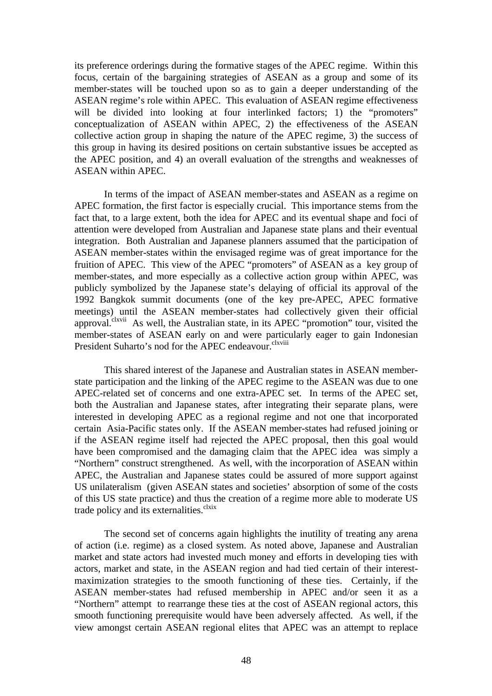its preference orderings during the formative stages of the APEC regime. Within this focus, certain of the bargaining strategies of ASEAN as a group and some of its member-states will be touched upon so as to gain a deeper understanding of the ASEAN regime's role within APEC. This evaluation of ASEAN regime effectiveness will be divided into looking at four interlinked factors; 1) the "promoters" conceptualization of ASEAN within APEC, 2) the effectiveness of the ASEAN collective action group in shaping the nature of the APEC regime, 3) the success of this group in having its desired positions on certain substantive issues be accepted as the APEC position, and 4) an overall evaluation of the strengths and weaknesses of ASEAN within APEC.

In terms of the impact of ASEAN member-states and ASEAN as a regime on APEC formation, the first factor is especially crucial. This importance stems from the fact that, to a large extent, both the idea for APEC and its eventual shape and foci of attention were developed from Australian and Japanese state plans and their eventual integration. Both Australian and Japanese planners assumed that the participation of ASEAN member-states within the envisaged regime was of great importance for the fruition of APEC. This view of the APEC "promoters" of ASEAN as a key group of member-states, and more especially as a collective action group within APEC, was publicly symbolized by the Japanese state's delaying of official its approval of the 1992 Bangkok summit documents (one of the key pre-APEC, APEC formative meetings) until the ASEAN member-states had collectively given their official approval.<sup>clxvii</sup> As well, the Australian state, in its APEC "promotion" tour, visited the member-states of ASEAN early on and were particularly eager to gain Indonesian President Suharto's nod for the APEC endeavour.<sup>clxviii</sup>

This shared interest of the Japanese and Australian states in ASEAN memberstate participation and the linking of the APEC regime to the ASEAN was due to one APEC-related set of concerns and one extra-APEC set. In terms of the APEC set, both the Australian and Japanese states, after integrating their separate plans, were interested in developing APEC as a regional regime and not one that incorporated certain Asia-Pacific states only. If the ASEAN member-states had refused joining or if the ASEAN regime itself had rejected the APEC proposal, then this goal would have been compromised and the damaging claim that the APEC idea was simply a "Northern" construct strengthened. As well, with the incorporation of ASEAN within APEC, the Australian and Japanese states could be assured of more support against US unilateralism (given ASEAN states and societies' absorption of some of the costs of this US state practice) and thus the creation of a regime more able to moderate US trade policy and its externalities.<sup>clxix</sup>

The second set of concerns again highlights the inutility of treating any arena of action (i.e. regime) as a closed system. As noted above, Japanese and Australian market and state actors had invested much money and efforts in developing ties with actors, market and state, in the ASEAN region and had tied certain of their interestmaximization strategies to the smooth functioning of these ties. Certainly, if the ASEAN member-states had refused membership in APEC and/or seen it as a "Northern" attempt to rearrange these ties at the cost of ASEAN regional actors, this smooth functioning prerequisite would have been adversely affected. As well, if the view amongst certain ASEAN regional elites that APEC was an attempt to replace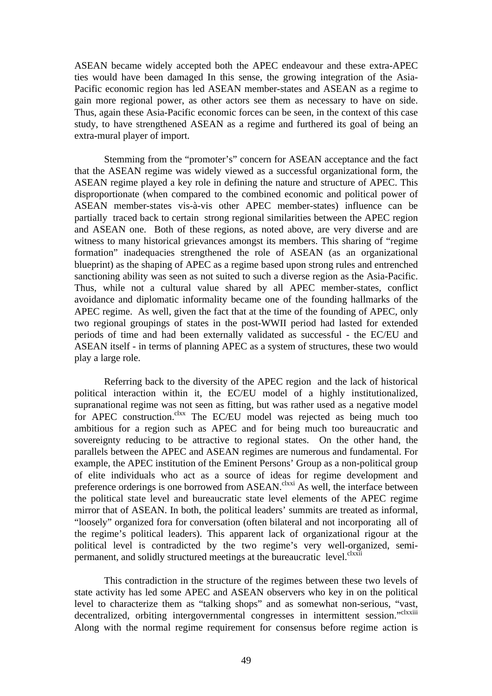ASEAN became widely accepted both the APEC endeavour and these extra-APEC ties would have been damaged In this sense, the growing integration of the Asia-Pacific economic region has led ASEAN member-states and ASEAN as a regime to gain more regional power, as other actors see them as necessary to have on side. Thus, again these Asia-Pacific economic forces can be seen, in the context of this case study, to have strengthened ASEAN as a regime and furthered its goal of being an extra-mural player of import.

Stemming from the "promoter's" concern for ASEAN acceptance and the fact that the ASEAN regime was widely viewed as a successful organizational form, the ASEAN regime played a key role in defining the nature and structure of APEC. This disproportionate (when compared to the combined economic and political power of ASEAN member-states vis-à-vis other APEC member-states) influence can be partially traced back to certain strong regional similarities between the APEC region and ASEAN one. Both of these regions, as noted above, are very diverse and are witness to many historical grievances amongst its members. This sharing of "regime formation" inadequacies strengthened the role of ASEAN (as an organizational blueprint) as the shaping of APEC as a regime based upon strong rules and entrenched sanctioning ability was seen as not suited to such a diverse region as the Asia-Pacific. Thus, while not a cultural value shared by all APEC member-states, conflict avoidance and diplomatic informality became one of the founding hallmarks of the APEC regime. As well, given the fact that at the time of the founding of APEC, only two regional groupings of states in the post-WWII period had lasted for extended periods of time and had been externally validated as successful - the EC/EU and ASEAN itself - in terms of planning APEC as a system of structures, these two would play a large role.

Referring back to the diversity of the APEC region and the lack of historical political interaction within it, the EC/EU model of a highly institutionalized, supranational regime was not seen as fitting, but was rather used as a negative model for APEC construction.<sup>clxx</sup> The EC/EU model was rejected as being much too ambitious for a region such as APEC and for being much too bureaucratic and sovereignty reducing to be attractive to regional states. On the other hand, the parallels between the APEC and ASEAN regimes are numerous and fundamental. For example, the APEC institution of the Eminent Persons' Group as a non-political group of elite individuals who act as a source of ideas for regime development and preference orderings is one borrowed from ASEAN.<sup>clxxi</sup> As well, the interface between the political state level and bureaucratic state level elements of the APEC regime mirror that of ASEAN. In both, the political leaders' summits are treated as informal, "loosely" organized fora for conversation (often bilateral and not incorporating all of the regime's political leaders). This apparent lack of organizational rigour at the political level is contradicted by the two regime's very well-organized, semipermanent, and solidly structured meetings at the bureaucratic level.<sup>clxxii</sup>

This contradiction in the structure of the regimes between these two levels of state activity has led some APEC and ASEAN observers who key in on the political level to characterize them as "talking shops" and as somewhat non-serious, "vast, decentralized, orbiting intergovernmental congresses in intermittent session."clxxiii Along with the normal regime requirement for consensus before regime action is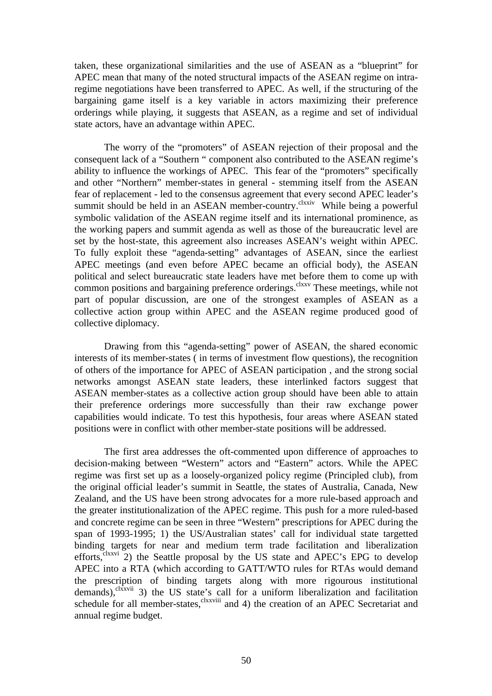taken, these organizational similarities and the use of ASEAN as a "blueprint" for APEC mean that many of the noted structural impacts of the ASEAN regime on intraregime negotiations have been transferred to APEC. As well, if the structuring of the bargaining game itself is a key variable in actors maximizing their preference orderings while playing, it suggests that ASEAN, as a regime and set of individual state actors, have an advantage within APEC.

The worry of the "promoters" of ASEAN rejection of their proposal and the consequent lack of a "Southern " component also contributed to the ASEAN regime's ability to influence the workings of APEC. This fear of the "promoters" specifically and other "Northern" member-states in general - stemming itself from the ASEAN fear of replacement - led to the consensus agreement that every second APEC leader's summit should be held in an ASEAN member-country.<sup>clxxiv</sup> While being a powerful symbolic validation of the ASEAN regime itself and its international prominence, as the working papers and summit agenda as well as those of the bureaucratic level are set by the host-state, this agreement also increases ASEAN's weight within APEC. To fully exploit these "agenda-setting" advantages of ASEAN, since the earliest APEC meetings (and even before APEC became an official body), the ASEAN political and select bureaucratic state leaders have met before them to come up with common positions and bargaining preference orderings.<sup>clxxv</sup> These meetings, while not part of popular discussion, are one of the strongest examples of ASEAN as a collective action group within APEC and the ASEAN regime produced good of collective diplomacy.

Drawing from this "agenda-setting" power of ASEAN, the shared economic interests of its member-states ( in terms of investment flow questions), the recognition of others of the importance for APEC of ASEAN participation , and the strong social networks amongst ASEAN state leaders, these interlinked factors suggest that ASEAN member-states as a collective action group should have been able to attain their preference orderings more successfully than their raw exchange power capabilities would indicate. To test this hypothesis, four areas where ASEAN stated positions were in conflict with other member-state positions will be addressed.

The first area addresses the oft-commented upon difference of approaches to decision-making between "Western" actors and "Eastern" actors. While the APEC regime was first set up as a loosely-organized policy regime (Principled club), from the original official leader's summit in Seattle, the states of Australia, Canada, New Zealand, and the US have been strong advocates for a more rule-based approach and the greater institutionalization of the APEC regime. This push for a more ruled-based and concrete regime can be seen in three "Western" prescriptions for APEC during the span of 1993-1995; 1) the US/Australian states' call for individual state targetted binding targets for near and medium term trade facilitation and liberalization efforts, $c^{lxxvi}$  2) the Seattle proposal by the US state and APEC's EPG to develop APEC into a RTA (which according to GATT/WTO rules for RTAs would demand the prescription of binding targets along with more rigourous institutional demands),  $<sup>clxxvii</sup>$  3) the US state's call for a uniform liberalization and facilitation</sup> schedule for all member-states,<sup>clxxviii</sup> and 4) the creation of an APEC Secretariat and annual regime budget.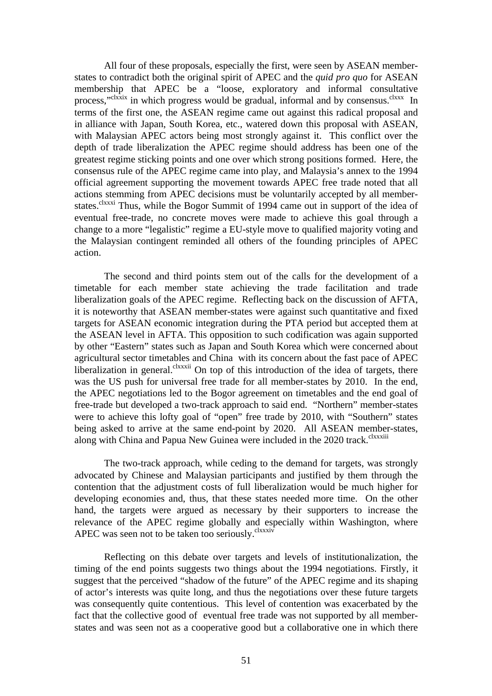All four of these proposals, especially the first, were seen by ASEAN memberstates to contradict both the original spirit of APEC and the *quid pro quo* for ASEAN membership that APEC be a "loose, exploratory and informal consultative process,"<sup>clxxix</sup> in which progress would be gradual, informal and by consensus.<sup>clxxx</sup> In terms of the first one, the ASEAN regime came out against this radical proposal and in alliance with Japan, South Korea, etc., watered down this proposal with ASEAN, with Malaysian APEC actors being most strongly against it. This conflict over the depth of trade liberalization the APEC regime should address has been one of the greatest regime sticking points and one over which strong positions formed. Here, the consensus rule of the APEC regime came into play, and Malaysia's annex to the 1994 official agreement supporting the movement towards APEC free trade noted that all actions stemming from APEC decisions must be voluntarily accepted by all memberstates.<sup>clxxxi</sup> Thus, while the Bogor Summit of 1994 came out in support of the idea of eventual free-trade, no concrete moves were made to achieve this goal through a change to a more "legalistic" regime a EU-style move to qualified majority voting and the Malaysian contingent reminded all others of the founding principles of APEC action.

The second and third points stem out of the calls for the development of a timetable for each member state achieving the trade facilitation and trade liberalization goals of the APEC regime. Reflecting back on the discussion of AFTA, it is noteworthy that ASEAN member-states were against such quantitative and fixed targets for ASEAN economic integration during the PTA period but accepted them at the ASEAN level in AFTA. This opposition to such codification was again supported by other "Eastern" states such as Japan and South Korea which were concerned about agricultural sector timetables and China with its concern about the fast pace of APEC liberalization in general.<sup>clxxxii</sup> On top of this introduction of the idea of targets, there was the US push for universal free trade for all member-states by 2010. In the end, the APEC negotiations led to the Bogor agreement on timetables and the end goal of free-trade but developed a two-track approach to said end. "Northern" member-states were to achieve this lofty goal of "open" free trade by 2010, with "Southern" states being asked to arrive at the same end-point by 2020. All ASEAN member-states, along with China and Papua New Guinea were included in the 2020 track.<sup>clxxxiii</sup>

The two-track approach, while ceding to the demand for targets, was strongly advocated by Chinese and Malaysian participants and justified by them through the contention that the adjustment costs of full liberalization would be much higher for developing economies and, thus, that these states needed more time. On the other hand, the targets were argued as necessary by their supporters to increase the relevance of the APEC regime globally and especially within Washington, where APEC was seen not to be taken too seriously.<sup>clxxxiv</sup>

Reflecting on this debate over targets and levels of institutionalization, the timing of the end points suggests two things about the 1994 negotiations. Firstly, it suggest that the perceived "shadow of the future" of the APEC regime and its shaping of actor's interests was quite long, and thus the negotiations over these future targets was consequently quite contentious. This level of contention was exacerbated by the fact that the collective good of eventual free trade was not supported by all memberstates and was seen not as a cooperative good but a collaborative one in which there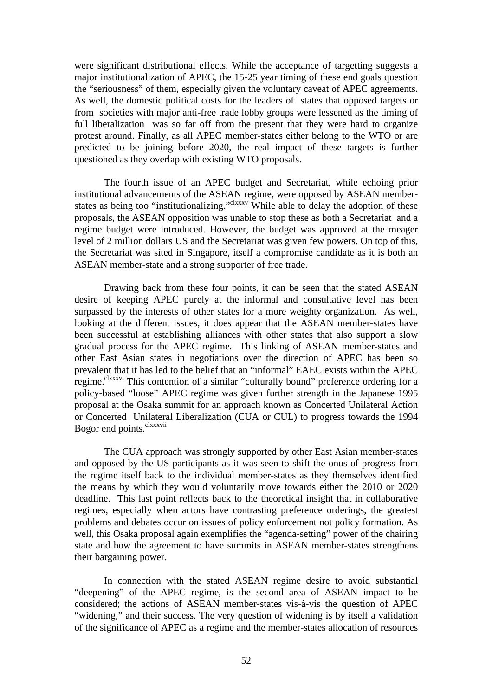were significant distributional effects. While the acceptance of targetting suggests a major institutionalization of APEC, the 15-25 year timing of these end goals question the "seriousness" of them, especially given the voluntary caveat of APEC agreements. As well, the domestic political costs for the leaders of states that opposed targets or from societies with major anti-free trade lobby groups were lessened as the timing of full liberalization was so far off from the present that they were hard to organize protest around. Finally, as all APEC member-states either belong to the WTO or are predicted to be joining before 2020, the real impact of these targets is further questioned as they overlap with existing WTO proposals.

The fourth issue of an APEC budget and Secretariat, while echoing prior institutional advancements of the ASEAN regime, were opposed by ASEAN memberstates as being too "institutionalizing."<sup>clxxxv</sup> While able to delay the adoption of these proposals, the ASEAN opposition was unable to stop these as both a Secretariat and a regime budget were introduced. However, the budget was approved at the meager level of 2 million dollars US and the Secretariat was given few powers. On top of this, the Secretariat was sited in Singapore, itself a compromise candidate as it is both an ASEAN member-state and a strong supporter of free trade.

Drawing back from these four points, it can be seen that the stated ASEAN desire of keeping APEC purely at the informal and consultative level has been surpassed by the interests of other states for a more weighty organization. As well, looking at the different issues, it does appear that the ASEAN member-states have been successful at establishing alliances with other states that also support a slow gradual process for the APEC regime. This linking of ASEAN member-states and other East Asian states in negotiations over the direction of APEC has been so prevalent that it has led to the belief that an "informal" EAEC exists within the APEC regime.<sup>clxxxvi</sup> This contention of a similar "culturally bound" preference ordering for a policy-based "loose" APEC regime was given further strength in the Japanese 1995 proposal at the Osaka summit for an approach known as Concerted Unilateral Action or Concerted Unilateral Liberalization (CUA or CUL) to progress towards the 1994 Bogor end points.<sup>clxxxvii</sup>

The CUA approach was strongly supported by other East Asian member-states and opposed by the US participants as it was seen to shift the onus of progress from the regime itself back to the individual member-states as they themselves identified the means by which they would voluntarily move towards either the 2010 or 2020 deadline. This last point reflects back to the theoretical insight that in collaborative regimes, especially when actors have contrasting preference orderings, the greatest problems and debates occur on issues of policy enforcement not policy formation. As well, this Osaka proposal again exemplifies the "agenda-setting" power of the chairing state and how the agreement to have summits in ASEAN member-states strengthens their bargaining power.

In connection with the stated ASEAN regime desire to avoid substantial "deepening" of the APEC regime, is the second area of ASEAN impact to be considered; the actions of ASEAN member-states vis-à-vis the question of APEC "widening," and their success. The very question of widening is by itself a validation of the significance of APEC as a regime and the member-states allocation of resources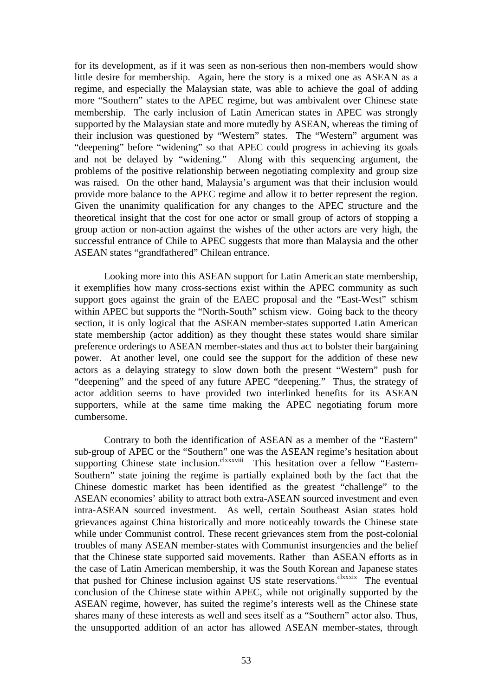for its development, as if it was seen as non-serious then non-members would show little desire for membership. Again, here the story is a mixed one as ASEAN as a regime, and especially the Malaysian state, was able to achieve the goal of adding more "Southern" states to the APEC regime, but was ambivalent over Chinese state membership. The early inclusion of Latin American states in APEC was strongly supported by the Malaysian state and more mutedly by ASEAN, whereas the timing of their inclusion was questioned by "Western" states. The "Western" argument was "deepening" before "widening" so that APEC could progress in achieving its goals and not be delayed by "widening." Along with this sequencing argument, the problems of the positive relationship between negotiating complexity and group size was raised. On the other hand, Malaysia's argument was that their inclusion would provide more balance to the APEC regime and allow it to better represent the region. Given the unanimity qualification for any changes to the APEC structure and the theoretical insight that the cost for one actor or small group of actors of stopping a group action or non-action against the wishes of the other actors are very high, the successful entrance of Chile to APEC suggests that more than Malaysia and the other ASEAN states "grandfathered" Chilean entrance.

Looking more into this ASEAN support for Latin American state membership, it exemplifies how many cross-sections exist within the APEC community as such support goes against the grain of the EAEC proposal and the "East-West" schism within APEC but supports the "North-South" schism view. Going back to the theory section, it is only logical that the ASEAN member-states supported Latin American state membership (actor addition) as they thought these states would share similar preference orderings to ASEAN member-states and thus act to bolster their bargaining power. At another level, one could see the support for the addition of these new actors as a delaying strategy to slow down both the present "Western" push for "deepening" and the speed of any future APEC "deepening." Thus, the strategy of actor addition seems to have provided two interlinked benefits for its ASEAN supporters, while at the same time making the APEC negotiating forum more cumbersome.

Contrary to both the identification of ASEAN as a member of the "Eastern" sub-group of APEC or the "Southern" one was the ASEAN regime's hesitation about supporting Chinese state inclusion.<sup>clxxxviii</sup> This hesitation over a fellow "Eastern-Southern" state joining the regime is partially explained both by the fact that the Chinese domestic market has been identified as the greatest "challenge" to the ASEAN economies' ability to attract both extra-ASEAN sourced investment and even intra-ASEAN sourced investment. As well, certain Southeast Asian states hold grievances against China historically and more noticeably towards the Chinese state while under Communist control. These recent grievances stem from the post-colonial troubles of many ASEAN member-states with Communist insurgencies and the belief that the Chinese state supported said movements. Rather than ASEAN efforts as in the case of Latin American membership, it was the South Korean and Japanese states that pushed for Chinese inclusion against US state reservations.<sup>clxxxix</sup> The eventual conclusion of the Chinese state within APEC, while not originally supported by the ASEAN regime, however, has suited the regime's interests well as the Chinese state shares many of these interests as well and sees itself as a "Southern" actor also. Thus, the unsupported addition of an actor has allowed ASEAN member-states, through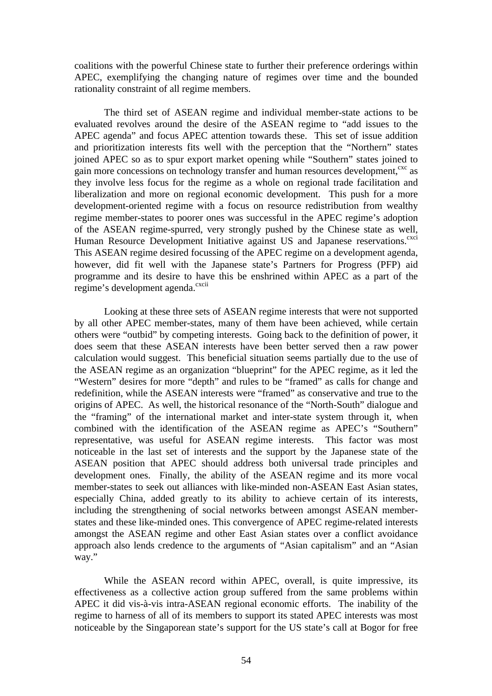coalitions with the powerful Chinese state to further their preference orderings within APEC, exemplifying the changing nature of regimes over time and the bounded rationality constraint of all regime members.

The third set of ASEAN regime and individual member-state actions to be evaluated revolves around the desire of the ASEAN regime to "add issues to the APEC agenda" and focus APEC attention towards these. This set of issue addition and prioritization interests fits well with the perception that the "Northern" states joined APEC so as to spur export market opening while "Southern" states joined to gain more concessions on technology transfer and human resources development, <sup>cxc</sup> as they involve less focus for the regime as a whole on regional trade facilitation and liberalization and more on regional economic development. This push for a more development-oriented regime with a focus on resource redistribution from wealthy regime member-states to poorer ones was successful in the APEC regime's adoption of the ASEAN regime-spurred, very strongly pushed by the Chinese state as well, Human Resource Development Initiative against US and Japanese reservations.<sup>cxci</sup> This ASEAN regime desired focussing of the APEC regime on a development agenda, however, did fit well with the Japanese state's Partners for Progress (PFP) aid programme and its desire to have this be enshrined within APEC as a part of the regime's development agenda.<sup>cxcii</sup>

Looking at these three sets of ASEAN regime interests that were not supported by all other APEC member-states, many of them have been achieved, while certain others were "outbid" by competing interests. Going back to the definition of power, it does seem that these ASEAN interests have been better served then a raw power calculation would suggest. This beneficial situation seems partially due to the use of the ASEAN regime as an organization "blueprint" for the APEC regime, as it led the "Western" desires for more "depth" and rules to be "framed" as calls for change and redefinition, while the ASEAN interests were "framed" as conservative and true to the origins of APEC. As well, the historical resonance of the "North-South" dialogue and the "framing" of the international market and inter-state system through it, when combined with the identification of the ASEAN regime as APEC's "Southern" representative, was useful for ASEAN regime interests. This factor was most noticeable in the last set of interests and the support by the Japanese state of the ASEAN position that APEC should address both universal trade principles and development ones. Finally, the ability of the ASEAN regime and its more vocal member-states to seek out alliances with like-minded non-ASEAN East Asian states, especially China, added greatly to its ability to achieve certain of its interests, including the strengthening of social networks between amongst ASEAN memberstates and these like-minded ones. This convergence of APEC regime-related interests amongst the ASEAN regime and other East Asian states over a conflict avoidance approach also lends credence to the arguments of "Asian capitalism" and an "Asian way."

While the ASEAN record within APEC, overall, is quite impressive, its effectiveness as a collective action group suffered from the same problems within APEC it did vis-à-vis intra-ASEAN regional economic efforts. The inability of the regime to harness of all of its members to support its stated APEC interests was most noticeable by the Singaporean state's support for the US state's call at Bogor for free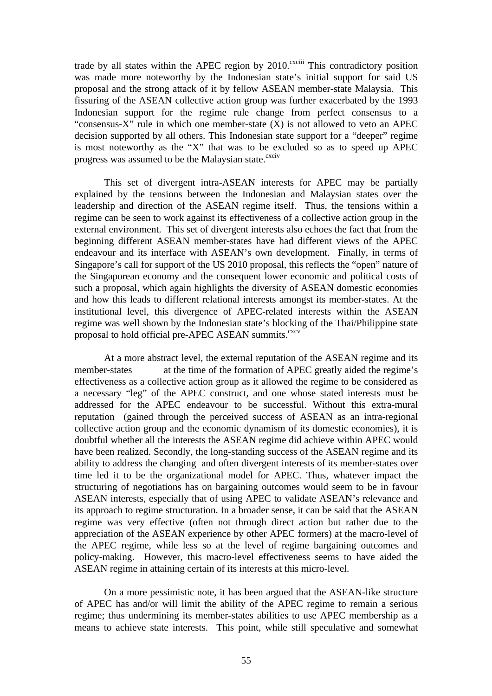trade by all states within the APEC region by  $2010$ .<sup>cxciii</sup> This contradictory position was made more noteworthy by the Indonesian state's initial support for said US proposal and the strong attack of it by fellow ASEAN member-state Malaysia. This fissuring of the ASEAN collective action group was further exacerbated by the 1993 Indonesian support for the regime rule change from perfect consensus to a "consensus-X" rule in which one member-state (X) is not allowed to veto an APEC decision supported by all others. This Indonesian state support for a "deeper" regime is most noteworthy as the "X" that was to be excluded so as to speed up APEC progress was assumed to be the Malaysian state.<sup>cxciv</sup>

This set of divergent intra-ASEAN interests for APEC may be partially explained by the tensions between the Indonesian and Malaysian states over the leadership and direction of the ASEAN regime itself. Thus, the tensions within a regime can be seen to work against its effectiveness of a collective action group in the external environment. This set of divergent interests also echoes the fact that from the beginning different ASEAN member-states have had different views of the APEC endeavour and its interface with ASEAN's own development. Finally, in terms of Singapore's call for support of the US 2010 proposal, this reflects the "open" nature of the Singaporean economy and the consequent lower economic and political costs of such a proposal, which again highlights the diversity of ASEAN domestic economies and how this leads to different relational interests amongst its member-states. At the institutional level, this divergence of APEC-related interests within the ASEAN regime was well shown by the Indonesian state's blocking of the Thai/Philippine state proposal to hold official pre-APEC ASEAN summits.<sup>cxcv</sup>

At a more abstract level, the external reputation of the ASEAN regime and its member-states at the time of the formation of APEC greatly aided the regime's effectiveness as a collective action group as it allowed the regime to be considered as a necessary "leg" of the APEC construct, and one whose stated interests must be addressed for the APEC endeavour to be successful. Without this extra-mural reputation (gained through the perceived success of ASEAN as an intra-regional collective action group and the economic dynamism of its domestic economies), it is doubtful whether all the interests the ASEAN regime did achieve within APEC would have been realized. Secondly, the long-standing success of the ASEAN regime and its ability to address the changing and often divergent interests of its member-states over time led it to be the organizational model for APEC. Thus, whatever impact the structuring of negotiations has on bargaining outcomes would seem to be in favour ASEAN interests, especially that of using APEC to validate ASEAN's relevance and its approach to regime structuration. In a broader sense, it can be said that the ASEAN regime was very effective (often not through direct action but rather due to the appreciation of the ASEAN experience by other APEC formers) at the macro-level of the APEC regime, while less so at the level of regime bargaining outcomes and policy-making. However, this macro-level effectiveness seems to have aided the ASEAN regime in attaining certain of its interests at this micro-level.

On a more pessimistic note, it has been argued that the ASEAN-like structure of APEC has and/or will limit the ability of the APEC regime to remain a serious regime; thus undermining its member-states abilities to use APEC membership as a means to achieve state interests. This point, while still speculative and somewhat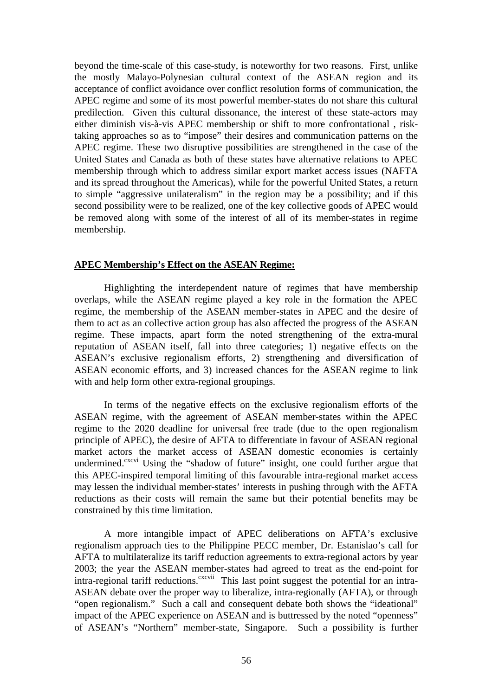beyond the time-scale of this case-study, is noteworthy for two reasons. First, unlike the mostly Malayo-Polynesian cultural context of the ASEAN region and its acceptance of conflict avoidance over conflict resolution forms of communication, the APEC regime and some of its most powerful member-states do not share this cultural predilection. Given this cultural dissonance, the interest of these state-actors may either diminish vis-à-vis APEC membership or shift to more confrontational , risktaking approaches so as to "impose" their desires and communication patterns on the APEC regime. These two disruptive possibilities are strengthened in the case of the United States and Canada as both of these states have alternative relations to APEC membership through which to address similar export market access issues (NAFTA and its spread throughout the Americas), while for the powerful United States, a return to simple "aggressive unilateralism" in the region may be a possibility; and if this second possibility were to be realized, one of the key collective goods of APEC would be removed along with some of the interest of all of its member-states in regime membership.

#### **APEC Membership's Effect on the ASEAN Regime:**

Highlighting the interdependent nature of regimes that have membership overlaps, while the ASEAN regime played a key role in the formation the APEC regime, the membership of the ASEAN member-states in APEC and the desire of them to act as an collective action group has also affected the progress of the ASEAN regime. These impacts, apart form the noted strengthening of the extra-mural reputation of ASEAN itself, fall into three categories; 1) negative effects on the ASEAN's exclusive regionalism efforts, 2) strengthening and diversification of ASEAN economic efforts, and 3) increased chances for the ASEAN regime to link with and help form other extra-regional groupings.

In terms of the negative effects on the exclusive regionalism efforts of the ASEAN regime, with the agreement of ASEAN member-states within the APEC regime to the 2020 deadline for universal free trade (due to the open regionalism principle of APEC), the desire of AFTA to differentiate in favour of ASEAN regional market actors the market access of ASEAN domestic economies is certainly undermined.<sup>cxcvi</sup> Using the "shadow of future" insight, one could further argue that this APEC-inspired temporal limiting of this favourable intra-regional market access may lessen the individual member-states' interests in pushing through with the AFTA reductions as their costs will remain the same but their potential benefits may be constrained by this time limitation.

A more intangible impact of APEC deliberations on AFTA's exclusive regionalism approach ties to the Philippine PECC member, Dr. Estanislao's call for AFTA to multilateralize its tariff reduction agreements to extra-regional actors by year 2003; the year the ASEAN member-states had agreed to treat as the end-point for  $\overline{\text{intra-regional}}$  tariff reductions.<sup>cxcvii</sup> This last point suggest the potential for an intra-ASEAN debate over the proper way to liberalize, intra-regionally (AFTA), or through "open regionalism." Such a call and consequent debate both shows the "ideational" impact of the APEC experience on ASEAN and is buttressed by the noted "openness" of ASEAN's "Northern" member-state, Singapore. Such a possibility is further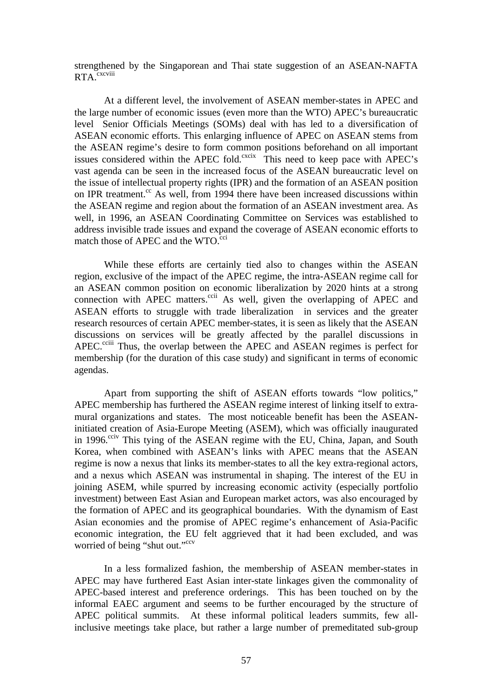strengthened by the Singaporean and Thai state suggestion of an ASEAN-NAFTA RTA<sub>cxcviii</sub>

At a different level, the involvement of ASEAN member-states in APEC and the large number of economic issues (even more than the WTO) APEC's bureaucratic level Senior Officials Meetings (SOMs) deal with has led to a diversification of ASEAN economic efforts. This enlarging influence of APEC on ASEAN stems from the ASEAN regime's desire to form common positions beforehand on all important issues considered within the APEC fold. $\frac{c}{c}$  This need to keep pace with APEC's vast agenda can be seen in the increased focus of the ASEAN bureaucratic level on the issue of intellectual property rights (IPR) and the formation of an ASEAN position on IPR treatment. $\frac{cc}{dx}$  As well, from 1994 there have been increased discussions within the ASEAN regime and region about the formation of an ASEAN investment area. As well, in 1996, an ASEAN Coordinating Committee on Services was established to address invisible trade issues and expand the coverage of ASEAN economic efforts to match those of APEC and the  $WTO<sup>cci</sup>$ 

While these efforts are certainly tied also to changes within the ASEAN region, exclusive of the impact of the APEC regime, the intra-ASEAN regime call for an ASEAN common position on economic liberalization by 2020 hints at a strong connection with APEC matters.<sup>ccii</sup> As well, given the overlapping of APEC and ASEAN efforts to struggle with trade liberalization in services and the greater research resources of certain APEC member-states, it is seen as likely that the ASEAN discussions on services will be greatly affected by the parallel discussions in APEC.<sup>cciii</sup> Thus, the overlap between the APEC and ASEAN regimes is perfect for membership (for the duration of this case study) and significant in terms of economic agendas.

Apart from supporting the shift of ASEAN efforts towards "low politics," APEC membership has furthered the ASEAN regime interest of linking itself to extramural organizations and states. The most noticeable benefit has been the ASEANinitiated creation of Asia-Europe Meeting (ASEM), which was officially inaugurated in 1996.<sup>cciv</sup> This tying of the ASEAN regime with the EU, China, Japan, and South Korea, when combined with ASEAN's links with APEC means that the ASEAN regime is now a nexus that links its member-states to all the key extra-regional actors, and a nexus which ASEAN was instrumental in shaping. The interest of the EU in joining ASEM, while spurred by increasing economic activity (especially portfolio investment) between East Asian and European market actors, was also encouraged by the formation of APEC and its geographical boundaries. With the dynamism of East Asian economies and the promise of APEC regime's enhancement of Asia-Pacific economic integration, the EU felt aggrieved that it had been excluded, and was worried of being "shut out."<sup>ccv</sup>

In a less formalized fashion, the membership of ASEAN member-states in APEC may have furthered East Asian inter-state linkages given the commonality of APEC-based interest and preference orderings. This has been touched on by the informal EAEC argument and seems to be further encouraged by the structure of APEC political summits. At these informal political leaders summits, few allinclusive meetings take place, but rather a large number of premeditated sub-group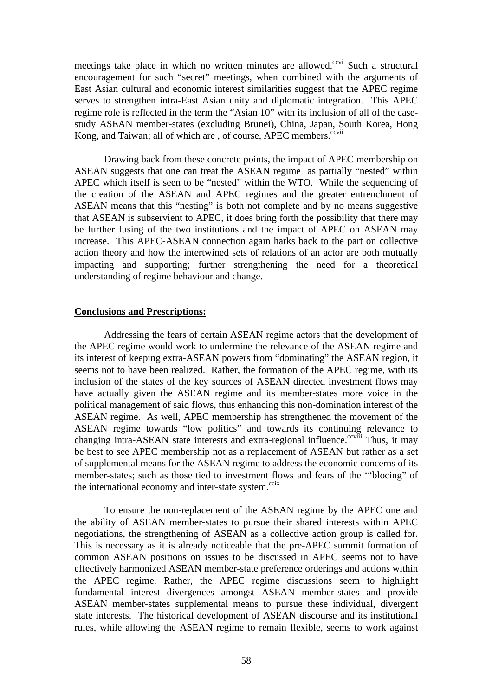meetings take place in which no written minutes are allowed.<sup>ccvi</sup> Such a structural encouragement for such "secret" meetings, when combined with the arguments of East Asian cultural and economic interest similarities suggest that the APEC regime serves to strengthen intra-East Asian unity and diplomatic integration. This APEC regime role is reflected in the term the "Asian 10" with its inclusion of all of the casestudy ASEAN member-states (excluding Brunei), China, Japan, South Korea, Hong Kong, and Taiwan; all of which are, of course, APEC members.<sup>ccvii</sup>

Drawing back from these concrete points, the impact of APEC membership on ASEAN suggests that one can treat the ASEAN regime as partially "nested" within APEC which itself is seen to be "nested" within the WTO. While the sequencing of the creation of the ASEAN and APEC regimes and the greater entrenchment of ASEAN means that this "nesting" is both not complete and by no means suggestive that ASEAN is subservient to APEC, it does bring forth the possibility that there may be further fusing of the two institutions and the impact of APEC on ASEAN may increase. This APEC-ASEAN connection again harks back to the part on collective action theory and how the intertwined sets of relations of an actor are both mutually impacting and supporting; further strengthening the need for a theoretical understanding of regime behaviour and change.

### **Conclusions and Prescriptions:**

Addressing the fears of certain ASEAN regime actors that the development of the APEC regime would work to undermine the relevance of the ASEAN regime and its interest of keeping extra-ASEAN powers from "dominating" the ASEAN region, it seems not to have been realized. Rather, the formation of the APEC regime, with its inclusion of the states of the key sources of ASEAN directed investment flows may have actually given the ASEAN regime and its member-states more voice in the political management of said flows, thus enhancing this non-domination interest of the ASEAN regime. As well, APEC membership has strengthened the movement of the ASEAN regime towards "low politics" and towards its continuing relevance to changing intra-ASEAN state interests and extra-regional influence.<sup>ccviii</sup> Thus, it may be best to see APEC membership not as a replacement of ASEAN but rather as a set of supplemental means for the ASEAN regime to address the economic concerns of its member-states; such as those tied to investment flows and fears of the '"blocing" of the international economy and inter-state system. $\frac{ccix}{c}$ 

To ensure the non-replacement of the ASEAN regime by the APEC one and the ability of ASEAN member-states to pursue their shared interests within APEC negotiations, the strengthening of ASEAN as a collective action group is called for. This is necessary as it is already noticeable that the pre-APEC summit formation of common ASEAN positions on issues to be discussed in APEC seems not to have effectively harmonized ASEAN member-state preference orderings and actions within the APEC regime. Rather, the APEC regime discussions seem to highlight fundamental interest divergences amongst ASEAN member-states and provide ASEAN member-states supplemental means to pursue these individual, divergent state interests. The historical development of ASEAN discourse and its institutional rules, while allowing the ASEAN regime to remain flexible, seems to work against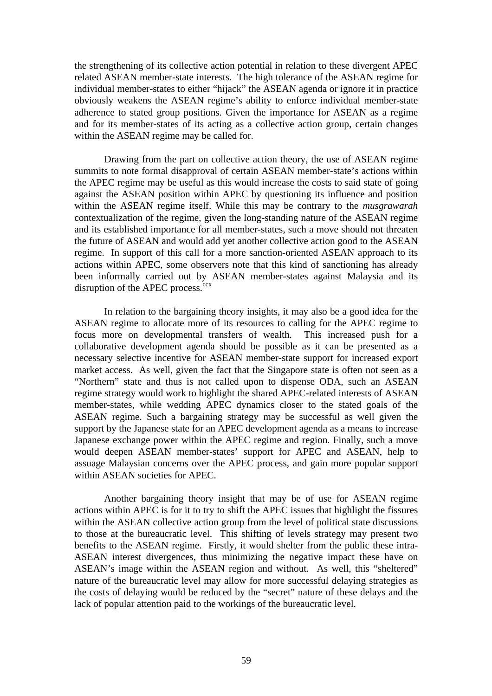the strengthening of its collective action potential in relation to these divergent APEC related ASEAN member-state interests. The high tolerance of the ASEAN regime for individual member-states to either "hijack" the ASEAN agenda or ignore it in practice obviously weakens the ASEAN regime's ability to enforce individual member-state adherence to stated group positions. Given the importance for ASEAN as a regime and for its member-states of its acting as a collective action group, certain changes within the ASEAN regime may be called for.

Drawing from the part on collective action theory, the use of ASEAN regime summits to note formal disapproval of certain ASEAN member-state's actions within the APEC regime may be useful as this would increase the costs to said state of going against the ASEAN position within APEC by questioning its influence and position within the ASEAN regime itself. While this may be contrary to the *musgrawarah* contextualization of the regime, given the long-standing nature of the ASEAN regime and its established importance for all member-states, such a move should not threaten the future of ASEAN and would add yet another collective action good to the ASEAN regime. In support of this call for a more sanction-oriented ASEAN approach to its actions within APEC, some observers note that this kind of sanctioning has already been informally carried out by ASEAN member-states against Malaysia and its disruption of the APEC process. $ccx$ 

In relation to the bargaining theory insights, it may also be a good idea for the ASEAN regime to allocate more of its resources to calling for the APEC regime to focus more on developmental transfers of wealth. This increased push for a collaborative development agenda should be possible as it can be presented as a necessary selective incentive for ASEAN member-state support for increased export market access. As well, given the fact that the Singapore state is often not seen as a "Northern" state and thus is not called upon to dispense ODA, such an ASEAN regime strategy would work to highlight the shared APEC-related interests of ASEAN member-states, while wedding APEC dynamics closer to the stated goals of the ASEAN regime. Such a bargaining strategy may be successful as well given the support by the Japanese state for an APEC development agenda as a means to increase Japanese exchange power within the APEC regime and region. Finally, such a move would deepen ASEAN member-states' support for APEC and ASEAN, help to assuage Malaysian concerns over the APEC process, and gain more popular support within ASEAN societies for APEC.

Another bargaining theory insight that may be of use for ASEAN regime actions within APEC is for it to try to shift the APEC issues that highlight the fissures within the ASEAN collective action group from the level of political state discussions to those at the bureaucratic level. This shifting of levels strategy may present two benefits to the ASEAN regime. Firstly, it would shelter from the public these intra-ASEAN interest divergences, thus minimizing the negative impact these have on ASEAN's image within the ASEAN region and without. As well, this "sheltered" nature of the bureaucratic level may allow for more successful delaying strategies as the costs of delaying would be reduced by the "secret" nature of these delays and the lack of popular attention paid to the workings of the bureaucratic level.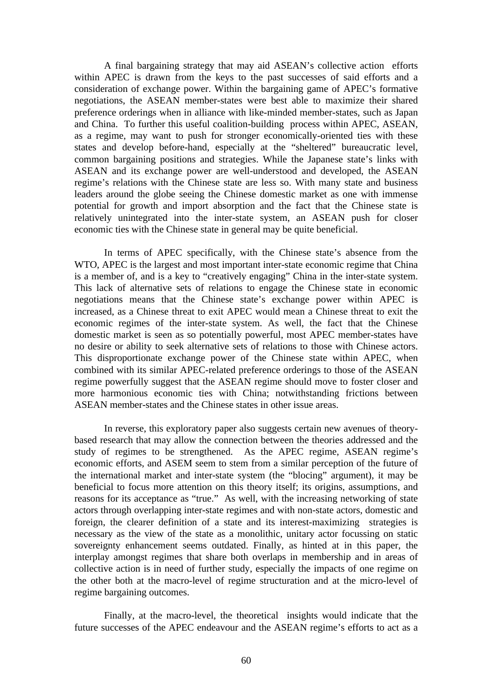A final bargaining strategy that may aid ASEAN's collective action efforts within APEC is drawn from the keys to the past successes of said efforts and a consideration of exchange power. Within the bargaining game of APEC's formative negotiations, the ASEAN member-states were best able to maximize their shared preference orderings when in alliance with like-minded member-states, such as Japan and China. To further this useful coalition-building process within APEC, ASEAN, as a regime, may want to push for stronger economically-oriented ties with these states and develop before-hand, especially at the "sheltered" bureaucratic level, common bargaining positions and strategies. While the Japanese state's links with ASEAN and its exchange power are well-understood and developed, the ASEAN regime's relations with the Chinese state are less so. With many state and business leaders around the globe seeing the Chinese domestic market as one with immense potential for growth and import absorption and the fact that the Chinese state is relatively unintegrated into the inter-state system, an ASEAN push for closer economic ties with the Chinese state in general may be quite beneficial.

In terms of APEC specifically, with the Chinese state's absence from the WTO, APEC is the largest and most important inter-state economic regime that China is a member of, and is a key to "creatively engaging" China in the inter-state system. This lack of alternative sets of relations to engage the Chinese state in economic negotiations means that the Chinese state's exchange power within APEC is increased, as a Chinese threat to exit APEC would mean a Chinese threat to exit the economic regimes of the inter-state system. As well, the fact that the Chinese domestic market is seen as so potentially powerful, most APEC member-states have no desire or ability to seek alternative sets of relations to those with Chinese actors. This disproportionate exchange power of the Chinese state within APEC, when combined with its similar APEC-related preference orderings to those of the ASEAN regime powerfully suggest that the ASEAN regime should move to foster closer and more harmonious economic ties with China; notwithstanding frictions between ASEAN member-states and the Chinese states in other issue areas.

In reverse, this exploratory paper also suggests certain new avenues of theorybased research that may allow the connection between the theories addressed and the study of regimes to be strengthened. As the APEC regime, ASEAN regime's economic efforts, and ASEM seem to stem from a similar perception of the future of the international market and inter-state system (the "blocing" argument), it may be beneficial to focus more attention on this theory itself; its origins, assumptions, and reasons for its acceptance as "true." As well, with the increasing networking of state actors through overlapping inter-state regimes and with non-state actors, domestic and foreign, the clearer definition of a state and its interest-maximizing strategies is necessary as the view of the state as a monolithic, unitary actor focussing on static sovereignty enhancement seems outdated. Finally, as hinted at in this paper, the interplay amongst regimes that share both overlaps in membership and in areas of collective action is in need of further study, especially the impacts of one regime on the other both at the macro-level of regime structuration and at the micro-level of regime bargaining outcomes.

Finally, at the macro-level, the theoretical insights would indicate that the future successes of the APEC endeavour and the ASEAN regime's efforts to act as a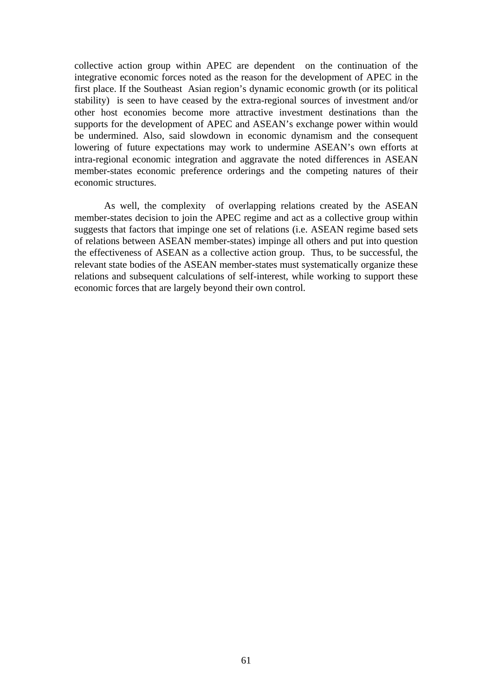collective action group within APEC are dependent on the continuation of the integrative economic forces noted as the reason for the development of APEC in the first place. If the Southeast Asian region's dynamic economic growth (or its political stability) is seen to have ceased by the extra-regional sources of investment and/or other host economies become more attractive investment destinations than the supports for the development of APEC and ASEAN's exchange power within would be undermined. Also, said slowdown in economic dynamism and the consequent lowering of future expectations may work to undermine ASEAN's own efforts at intra-regional economic integration and aggravate the noted differences in ASEAN member-states economic preference orderings and the competing natures of their economic structures.

As well, the complexity of overlapping relations created by the ASEAN member-states decision to join the APEC regime and act as a collective group within suggests that factors that impinge one set of relations (i.e. ASEAN regime based sets of relations between ASEAN member-states) impinge all others and put into question the effectiveness of ASEAN as a collective action group. Thus, to be successful, the relevant state bodies of the ASEAN member-states must systematically organize these relations and subsequent calculations of self-interest, while working to support these economic forces that are largely beyond their own control.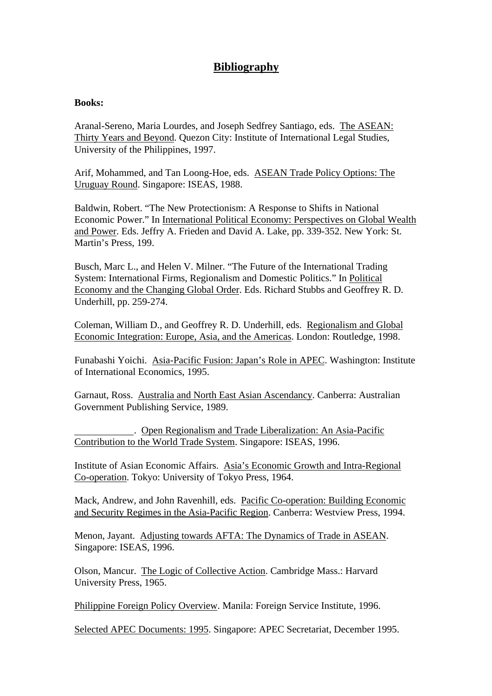# **Bibliography**

## **Books:**

Aranal-Sereno, Maria Lourdes, and Joseph Sedfrey Santiago, eds. The ASEAN: Thirty Years and Beyond. Quezon City: Institute of International Legal Studies, University of the Philippines, 1997.

Arif, Mohammed, and Tan Loong-Hoe, eds. ASEAN Trade Policy Options: The Uruguay Round. Singapore: ISEAS, 1988.

Baldwin, Robert. "The New Protectionism: A Response to Shifts in National Economic Power." In International Political Economy: Perspectives on Global Wealth and Power. Eds. Jeffry A. Frieden and David A. Lake, pp. 339-352. New York: St. Martin's Press, 199.

Busch, Marc L., and Helen V. Milner. "The Future of the International Trading System: International Firms, Regionalism and Domestic Politics." In Political Economy and the Changing Global Order. Eds. Richard Stubbs and Geoffrey R. D. Underhill, pp. 259-274.

Coleman, William D., and Geoffrey R. D. Underhill, eds. Regionalism and Global Economic Integration: Europe, Asia, and the Americas. London: Routledge, 1998.

Funabashi Yoichi. Asia-Pacific Fusion: Japan's Role in APEC. Washington: Institute of International Economics, 1995.

Garnaut, Ross. Australia and North East Asian Ascendancy. Canberra: Australian Government Publishing Service, 1989.

 . Open Regionalism and Trade Liberalization: An Asia-Pacific Contribution to the World Trade System. Singapore: ISEAS, 1996.

Institute of Asian Economic Affairs. Asia's Economic Growth and Intra-Regional Co-operation. Tokyo: University of Tokyo Press, 1964.

Mack, Andrew, and John Ravenhill, eds. Pacific Co-operation: Building Economic and Security Regimes in the Asia-Pacific Region. Canberra: Westview Press, 1994.

Menon, Jayant. Adjusting towards AFTA: The Dynamics of Trade in ASEAN. Singapore: ISEAS, 1996.

Olson, Mancur. The Logic of Collective Action. Cambridge Mass.: Harvard University Press, 1965.

Philippine Foreign Policy Overview. Manila: Foreign Service Institute, 1996.

Selected APEC Documents: 1995. Singapore: APEC Secretariat, December 1995.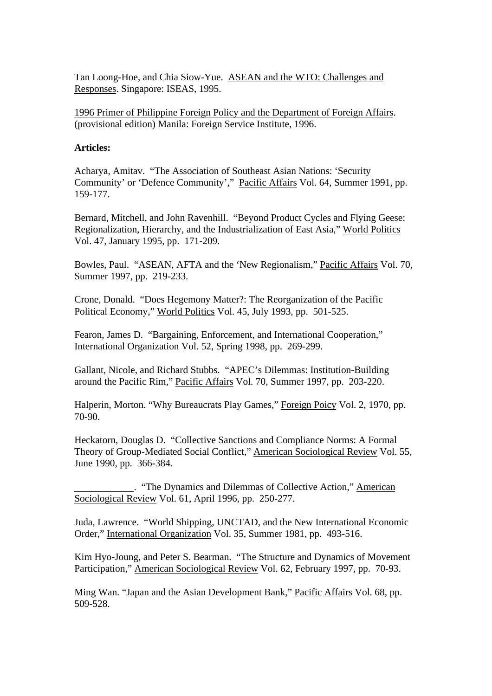Tan Loong-Hoe, and Chia Siow-Yue. ASEAN and the WTO: Challenges and Responses. Singapore: ISEAS, 1995.

1996 Primer of Philippine Foreign Policy and the Department of Foreign Affairs. (provisional edition) Manila: Foreign Service Institute, 1996.

## **Articles:**

Acharya, Amitav. "The Association of Southeast Asian Nations: 'Security Community' or 'Defence Community'," Pacific Affairs Vol. 64, Summer 1991, pp. 159-177.

Bernard, Mitchell, and John Ravenhill. "Beyond Product Cycles and Flying Geese: Regionalization, Hierarchy, and the Industrialization of East Asia," World Politics Vol. 47, January 1995, pp. 171-209.

Bowles, Paul. "ASEAN, AFTA and the 'New Regionalism," Pacific Affairs Vol. 70, Summer 1997, pp. 219-233.

Crone, Donald. "Does Hegemony Matter?: The Reorganization of the Pacific Political Economy," World Politics Vol. 45, July 1993, pp. 501-525.

Fearon, James D. "Bargaining, Enforcement, and International Cooperation," International Organization Vol. 52, Spring 1998, pp. 269-299.

Gallant, Nicole, and Richard Stubbs. "APEC's Dilemmas: Institution-Building around the Pacific Rim," Pacific Affairs Vol. 70, Summer 1997, pp. 203-220.

Halperin, Morton. "Why Bureaucrats Play Games," Foreign Poicy Vol. 2, 1970, pp. 70-90.

Heckatorn, Douglas D. "Collective Sanctions and Compliance Norms: A Formal Theory of Group-Mediated Social Conflict," American Sociological Review Vol. 55, June 1990, pp. 366-384.

 . "The Dynamics and Dilemmas of Collective Action," American Sociological Review Vol. 61, April 1996, pp. 250-277.

Juda, Lawrence. "World Shipping, UNCTAD, and the New International Economic Order," International Organization Vol. 35, Summer 1981, pp. 493-516.

Kim Hyo-Joung, and Peter S. Bearman. "The Structure and Dynamics of Movement Participation," American Sociological Review Vol. 62, February 1997, pp. 70-93.

Ming Wan. "Japan and the Asian Development Bank," Pacific Affairs Vol. 68, pp. 509-528.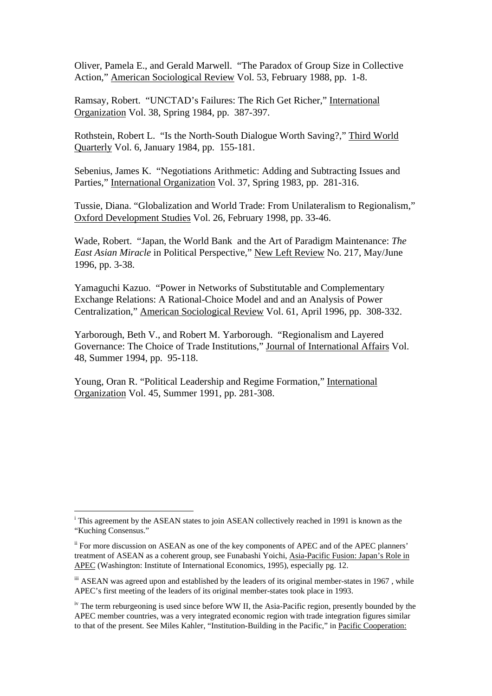Oliver, Pamela E., and Gerald Marwell. "The Paradox of Group Size in Collective Action," American Sociological Review Vol. 53, February 1988, pp. 1-8.

Ramsay, Robert. "UNCTAD's Failures: The Rich Get Richer," International Organization Vol. 38, Spring 1984, pp. 387-397.

Rothstein, Robert L. "Is the North-South Dialogue Worth Saving?," Third World Quarterly Vol. 6, January 1984, pp. 155-181.

Sebenius, James K. "Negotiations Arithmetic: Adding and Subtracting Issues and Parties," International Organization Vol. 37, Spring 1983, pp. 281-316.

Tussie, Diana. "Globalization and World Trade: From Unilateralism to Regionalism," Oxford Development Studies Vol. 26, February 1998, pp. 33-46.

Wade, Robert. "Japan, the World Bank and the Art of Paradigm Maintenance: *The East Asian Miracle* in Political Perspective," New Left Review No. 217, May/June 1996, pp. 3-38.

Yamaguchi Kazuo. "Power in Networks of Substitutable and Complementary Exchange Relations: A Rational-Choice Model and and an Analysis of Power Centralization," American Sociological Review Vol. 61, April 1996, pp. 308-332.

Yarborough, Beth V., and Robert M. Yarborough. "Regionalism and Layered Governance: The Choice of Trade Institutions," Journal of International Affairs Vol. 48, Summer 1994, pp. 95-118.

Young, Oran R. "Political Leadership and Regime Formation," International Organization Vol. 45, Summer 1991, pp. 281-308.

 $\overline{a}$ 

<sup>&</sup>lt;sup>i</sup> This agreement by the ASEAN states to join ASEAN collectively reached in 1991 is known as the "Kuching Consensus."

<sup>&</sup>lt;sup>ii</sup> For more discussion on ASEAN as one of the key components of APEC and of the APEC planners' treatment of ASEAN as a coherent group, see Funabashi Yoichi, Asia-Pacific Fusion: Japan's Role in APEC (Washington: Institute of International Economics, 1995), especially pg. 12.

iii ASEAN was agreed upon and established by the leaders of its original member-states in 1967, while APEC's first meeting of the leaders of its original member-states took place in 1993.

 $\mu$ <sup>iv</sup> The term reburgeoning is used since before WW II, the Asia-Pacific region, presently bounded by the APEC member countries, was a very integrated economic region with trade integration figures similar to that of the present. See Miles Kahler, "Institution-Building in the Pacific," in Pacific Cooperation: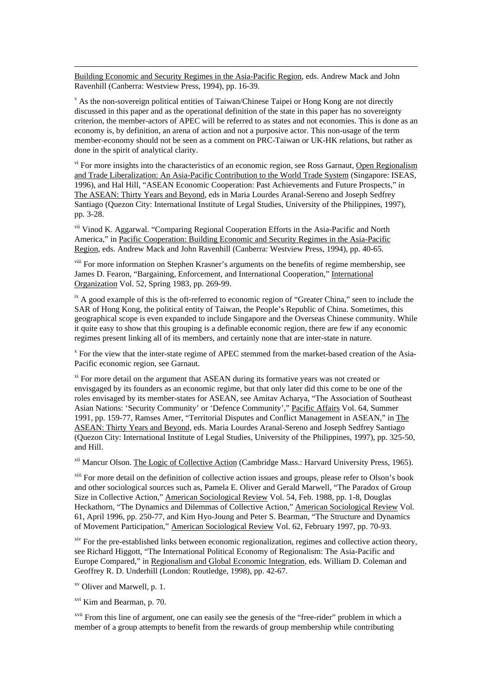Building Economic and Security Regimes in the Asia-Pacific Region, eds. Andrew Mack and John Ravenhill (Canberra: Westview Press, 1994), pp. 16-39.

v As the non-sovereign political entities of Taiwan/Chinese Taipei or Hong Kong are not directly discussed in this paper and as the operational definition of the state in this paper has no sovereignty criterion, the member-actors of APEC will be referred to as states and not economies. This is done as an economy is, by definition, an arena of action and not a purposive actor. This non-usage of the term member-economy should not be seen as a comment on PRC-Taiwan or UK-HK relations, but rather as done in the spirit of analytical clarity.

vi For more insights into the characteristics of an economic region, see Ross Garnaut, Open Regionalism and Trade Liberalization: An Asia-Pacific Contribution to the World Trade System (Singapore: ISEAS, 1996), and Hal Hill, "ASEAN Economic Cooperation: Past Achievements and Future Prospects," in The ASEAN: Thirty Years and Beyond, eds in Maria Lourdes Aranal-Sereno and Joseph Sedfrey Santiago (Quezon City: International Institute of Legal Studies, University of the Philippines, 1997), pp. 3-28.

vii Vinod K. Aggarwal. "Comparing Regional Cooperation Efforts in the Asia-Pacific and North America," in Pacific Cooperation: Building Economic and Security Regimes in the Asia-Pacific Region, eds. Andrew Mack and John Ravenhill (Canberra: Westview Press, 1994), pp. 40-65.

<sup>viii</sup> For more information on Stephen Krasner's arguments on the benefits of regime membership, see James D. Fearon, "Bargaining, Enforcement, and International Cooperation," International Organization Vol. 52, Spring 1983, pp. 269-99.

 $\mu$ <sup>ix</sup> A good example of this is the oft-referred to economic region of "Greater China," seen to include the SAR of Hong Kong, the political entity of Taiwan, the People's Republic of China. Sometimes, this geographical scope is even expanded to include Singapore and the Overseas Chinese community. While it quite easy to show that this grouping is a definable economic region, there are few if any economic regimes present linking all of its members, and certainly none that are inter-state in nature.

<sup>x</sup> For the view that the inter-state regime of APEC stemmed from the market-based creation of the Asia-Pacific economic region, see Garnaut.

<sup>xi</sup> For more detail on the argument that ASEAN during its formative years was not created or envisgaged by its founders as an economic regime, but that only later did this come to be one of the roles envisaged by its member-states for ASEAN, see Amitav Acharya, "The Association of Southeast Asian Nations: 'Security Community' or 'Defence Community'," Pacific Affairs Vol. 64, Summer 1991, pp. 159-77, Ramses Amer, "Territorial Disputes and Conflict Management in ASEAN," in The ASEAN: Thirty Years and Beyond, eds. Maria Lourdes Aranal-Sereno and Joseph Sedfrey Santiago (Quezon City: International Institute of Legal Studies, University of the Philippines, 1997), pp. 325-50, and Hill.

<sup>xii</sup> Mancur Olson. The Logic of Collective Action (Cambridge Mass.: Harvard University Press, 1965).

<sup>xiii</sup> For more detail on the definition of collective action issues and groups, please refer to Olson's book and other sociological sources such as, Pamela E. Oliver and Gerald Marwell, "The Paradox of Group Size in Collective Action," American Sociological Review Vol. 54, Feb. 1988, pp. 1-8, Douglas Heckathorn, "The Dynamics and Dilemmas of Collective Action," American Sociological Review Vol. 61, April 1996, pp. 250-77, and Kim Hyo-Joung and Peter S. Bearman, "The Structure and Dynamics of Movement Participation," American Sociological Review Vol. 62, February 1997, pp. 70-93.

<sup>xiv</sup> For the pre-established links between economic regionalization, regimes and collective action theory, see Richard Higgott, "The International Political Economy of Regionalism: The Asia-Pacific and Europe Compared," in Regionalism and Global Economic Integration, eds. William D. Coleman and Geoffrey R. D. Underhill (London: Routledge, 1998), pp. 42-67.

xv Oliver and Marwell, p. 1.

 $\overline{a}$ 

xvi Kim and Bearman, p. 70.

xvii From this line of argument, one can easily see the genesis of the "free-rider" problem in which a member of a group attempts to benefit from the rewards of group membership while contributing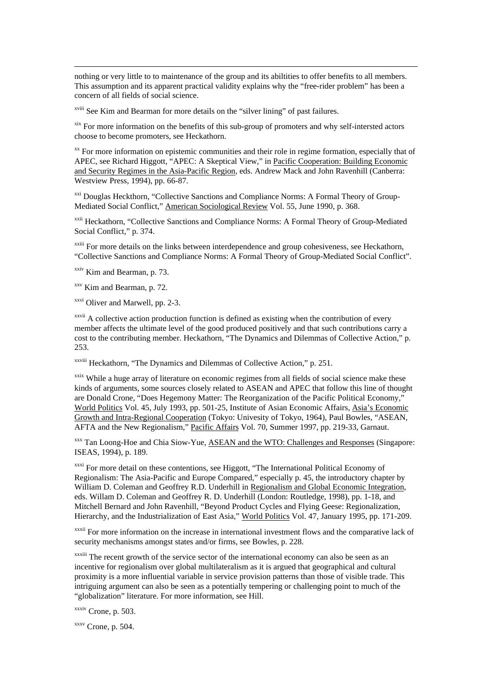nothing or very little to to maintenance of the group and its abiltities to offer benefits to all members. This assumption and its apparent practical validity explains why the "free-rider problem" has been a concern of all fields of social science.

xviii See Kim and Bearman for more details on the "silver lining" of past failures.

xix For more information on the benefits of this sub-group of promoters and why self-intersted actors choose to become promoters, see Heckathorn.

 $\alpha$ <sup>xx</sup> For more information on epistemic communities and their role in regime formation, especially that of APEC, see Richard Higgott, "APEC: A Skeptical View," in Pacific Cooperation: Building Economic and Security Regimes in the Asia-Pacific Region, eds. Andrew Mack and John Ravenhill (Canberra: Westview Press, 1994), pp. 66-87.

<sup>xxi</sup> Douglas Heckthorn, "Collective Sanctions and Compliance Norms: A Formal Theory of Group-Mediated Social Conflict," American Sociological Review Vol. 55, June 1990, p. 368.

xxii Heckathorn, "Collective Sanctions and Compliance Norms: A Formal Theory of Group-Mediated Social Conflict," p. 374.

<sup>xxiii</sup> For more details on the links between interdependence and group cohesiveness, see Heckathorn, "Collective Sanctions and Compliance Norms: A Formal Theory of Group-Mediated Social Conflict".

 $xxiv$  Kim and Bearman, p. 73.

 $\overline{a}$ 

xxv Kim and Bearman, p. 72.

xxvi Oliver and Marwell, pp. 2-3.

<sup>xxvii</sup> A collective action production function is defined as existing when the contribution of every member affects the ultimate level of the good produced positively and that such contributions carry a cost to the contributing member. Heckathorn, "The Dynamics and Dilemmas of Collective Action," p. 253.

xxviii Heckathorn, "The Dynamics and Dilemmas of Collective Action," p. 251.

<sup>xxix</sup> While a huge array of literature on economic regimes from all fields of social science make these kinds of arguments, some sources closely related to ASEAN and APEC that follow this line of thought are Donald Crone, "Does Hegemony Matter: The Reorganization of the Pacific Political Economy," World Politics Vol. 45, July 1993, pp. 501-25, Institute of Asian Economic Affairs, Asia's Economic Growth and Intra-Regional Cooperation (Tokyo: Univesity of Tokyo, 1964), Paul Bowles, "ASEAN, AFTA and the New Regionalism," Pacific Affairs Vol. 70, Summer 1997, pp. 219-33, Garnaut.

xxx Tan Loong-Hoe and Chia Siow-Yue, ASEAN and the WTO: Challenges and Responses (Singapore: ISEAS, 1994), p. 189.

<sup>xxxi</sup> For more detail on these contentions, see Higgott, "The International Political Economy of Regionalism: The Asia-Pacific and Europe Compared," especially p. 45, the introductory chapter by William D. Coleman and Geoffrey R.D. Underhill in Regionalism and Global Economic Integration, eds. Willam D. Coleman and Geoffrey R. D. Underhill (London: Routledge, 1998), pp. 1-18, and Mitchell Bernard and John Ravenhill, "Beyond Product Cycles and Flying Geese: Regionalization, Hierarchy, and the Industrialization of East Asia," World Politics Vol. 47, January 1995, pp. 171-209.

xxxii For more information on the increase in international investment flows and the comparative lack of security mechanisms amongst states and/or firms, see Bowles, p. 228.

xxxiii The recent growth of the service sector of the international economy can also be seen as an incentive for regionalism over global multilateralism as it is argued that geographical and cultural proximity is a more influential variable in service provision patterns than those of visible trade. This intriguing argument can also be seen as a potentially tempering or challenging point to much of the "globalization" literature. For more information, see Hill.

xxxiv Crone, p. 503.

 $xxxv$  Crone, p. 504.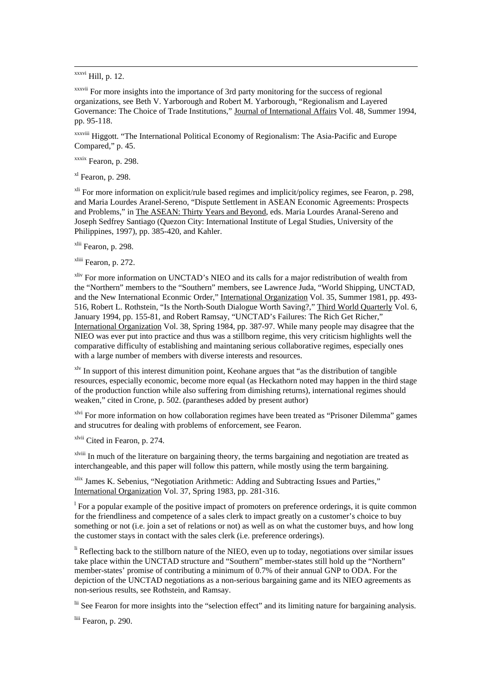$\overline{a}$ 

xxxvii For more insights into the importance of 3rd party monitoring for the success of regional organizations, see Beth V. Yarborough and Robert M. Yarborough, "Regionalism and Layered Governance: The Choice of Trade Institutions," Journal of International Affairs Vol. 48, Summer 1994, pp. 95-118.

xxxviii Higgott. "The International Political Economy of Regionalism: The Asia-Pacific and Europe Compared," p. 45.

xxxix Fearon, p. 298.

xl Fearon, p. 298.

xli For more information on explicit/rule based regimes and implicit/policy regimes, see Fearon, p. 298, and Maria Lourdes Aranel-Sereno, "Dispute Settlement in ASEAN Economic Agreements: Prospects and Problems," in The ASEAN: Thirty Years and Beyond, eds. Maria Lourdes Aranal-Sereno and Joseph Sedfrey Santiago (Quezon City: International Institute of Legal Studies, University of the Philippines, 1997), pp. 385-420, and Kahler.

xlii Fearon, p. 298.

xliii Fearon, p. 272.

xliv For more information on UNCTAD's NIEO and its calls for a major redistribution of wealth from the "Northern" members to the "Southern" members, see Lawrence Juda, "World Shipping, UNCTAD, and the New International Econmic Order," International Organization Vol. 35, Summer 1981, pp. 493- 516, Robert L. Rothstein, "Is the North-South Dialogue Worth Saving?," Third World Quarterly Vol. 6, January 1994, pp. 155-81, and Robert Ramsay, "UNCTAD's Failures: The Rich Get Richer," International Organization Vol. 38, Spring 1984, pp. 387-97. While many people may disagree that the NIEO was ever put into practice and thus was a stillborn regime, this very criticism highlights well the comparative difficulty of establishing and maintaning serious collaborative regimes, especially ones with a large number of members with diverse interests and resources.

xlv In support of this interest dimunition point, Keohane argues that "as the distribution of tangible resources, especially economic, become more equal (as Heckathorn noted may happen in the third stage of the production function while also suffering from dimishing returns), international regimes should weaken," cited in Crone, p. 502. (parantheses added by present author)

xlvi For more information on how collaboration regimes have been treated as "Prisoner Dilemma" games and strucutres for dealing with problems of enforcement, see Fearon.

xlvii Cited in Fearon, p. 274.

xlviii In much of the literature on bargaining theory, the terms bargaining and negotiation are treated as interchangeable, and this paper will follow this pattern, while mostly using the term bargaining.

xlix James K. Sebenius, "Negotiation Arithmetic: Adding and Subtracting Issues and Parties," International Organization Vol. 37, Spring 1983, pp. 281-316.

<sup>1</sup> For a popular example of the positive impact of promoters on preference orderings, it is quite common for the friendliness and competence of a sales clerk to impact greatly on a customer's choice to buy something or not (i.e. join a set of relations or not) as well as on what the customer buys, and how long the customer stays in contact with the sales clerk (i.e. preference orderings).

 $\mu$ <sup>Ii</sup> Reflecting back to the stillborn nature of the NIEO, even up to today, negotiations over similar issues take place within the UNCTAD structure and "Southern" member-states still hold up the "Northern" member-states' promise of contributing a minimum of 0.7% of their annual GNP to ODA. For the depiction of the UNCTAD negotiations as a non-serious bargaining game and its NIEO agreements as non-serious results, see Rothstein, and Ramsay.

lii See Fearon for more insights into the "selection effect" and its limiting nature for bargaining analysis.

liii Fearon, p. 290.

<sup>&</sup>lt;sup>xxxvi</sup> Hill, p. 12.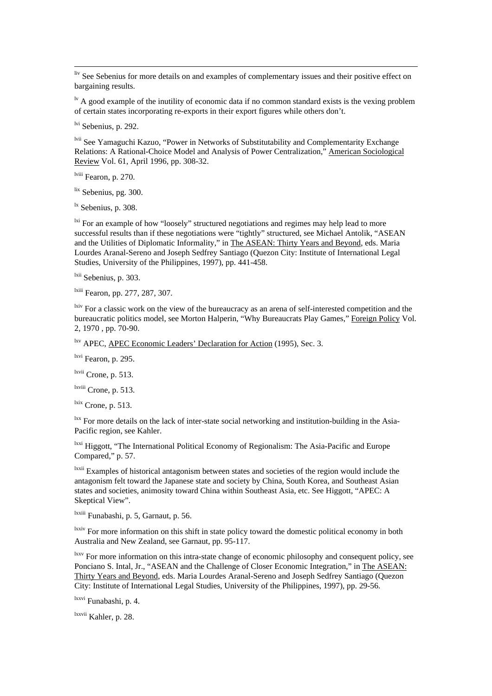liv See Sebenius for more details on and examples of complementary issues and their positive effect on bargaining results.

 $\mu$ <sup>1v</sup> A good example of the inutility of economic data if no common standard exists is the vexing problem of certain states incorporating re-exports in their export figures while others don't.

lvi Sebenius, p. 292.

 $\overline{a}$ 

lvii See Yamaguchi Kazuo, "Power in Networks of Substitutability and Complementarity Exchange Relations: A Rational-Choice Model and Analysis of Power Centralization," American Sociological Review Vol. 61, April 1996, pp. 308-32.

lviii Fearon, p. 270.

 $\frac{$ \text{lix}}{ } Sebenius, pg. 300.

 $\frac{dx}{dt}$  Sebenius, p. 308.

<sup>lxi</sup> For an example of how "loosely" structured negotiations and regimes may help lead to more successful results than if these negotiations were "tightly" structured, see Michael Antolik, "ASEAN and the Utilities of Diplomatic Informality," in The ASEAN: Thirty Years and Beyond, eds. Maria Lourdes Aranal-Sereno and Joseph Sedfrey Santiago (Quezon City: Institute of International Legal Studies, University of the Philippines, 1997), pp. 441-458.

<sup>lxii</sup> Sebenius, p. 303.

lxiii Fearon, pp. 277, 287, 307.

<sup>lxiv</sup> For a classic work on the view of the bureaucracy as an arena of self-interested competition and the bureaucratic politics model, see Morton Halperin, "Why Bureaucrats Play Games," Foreign Policy Vol. 2, 1970 , pp. 70-90.

lxv APEC, APEC Economic Leaders' Declaration for Action (1995), Sec. 3.

lxvi Fearon, p. 295.

lxvii Crone, p. 513.

lxviii Crone, p. 513.

 $\frac{\text{lxx}}{\text{Crone}}$ , p. 513.

 $\frac{1}{x}$  For more details on the lack of inter-state social networking and institution-building in the Asia-Pacific region, see Kahler.

lxxi Higgott, "The International Political Economy of Regionalism: The Asia-Pacific and Europe Compared," p. 57.

lxxii Examples of historical antagonism between states and societies of the region would include the antagonism felt toward the Japanese state and society by China, South Korea, and Southeast Asian states and societies, animosity toward China within Southeast Asia, etc. See Higgott, "APEC: A Skeptical View".

lxxiii Funabashi, p. 5, Garnaut, p. 56.

<sup>lxxiv</sup> For more information on this shift in state policy toward the domestic political economy in both Australia and New Zealand, see Garnaut, pp. 95-117.

<sup>lxxv</sup> For more information on this intra-state change of economic philosophy and consequent policy, see Ponciano S. Intal, Jr., "ASEAN and the Challenge of Closer Economic Integration," in The ASEAN: Thirty Years and Beyond, eds. Maria Lourdes Aranal-Sereno and Joseph Sedfrey Santiago (Quezon City: Institute of International Legal Studies, University of the Philippines, 1997), pp. 29-56.

lxxvi Funabashi, p. 4.

lxxvii Kahler, p. 28.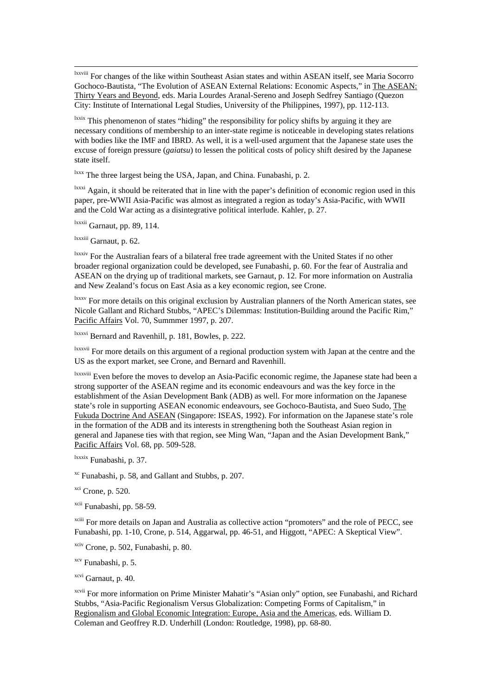lxxviii For changes of the like within Southeast Asian states and within ASEAN itself, see Maria Socorro Gochoco-Bautista, "The Evolution of ASEAN External Relations: Economic Aspects," in The ASEAN: Thirty Years and Beyond, eds. Maria Lourdes Aranal-Sereno and Joseph Sedfrey Santiago (Quezon City: Institute of International Legal Studies, University of the Philippines, 1997), pp. 112-113.

lxxix This phenomenon of states "hiding" the responsibility for policy shifts by arguing it they are necessary conditions of membership to an inter-state regime is noticeable in developing states relations with bodies like the IMF and IBRD. As well, it is a well-used argument that the Japanese state uses the excuse of foreign pressure (*gaiatsu*) to lessen the political costs of policy shift desired by the Japanese state itself.

<sup>lxxx</sup> The three largest being the USA, Japan, and China. Funabashi, p. 2.

<sup>lxxxi</sup> Again, it should be reiterated that in line with the paper's definition of economic region used in this paper, pre-WWII Asia-Pacific was almost as integrated a region as today's Asia-Pacific, with WWII and the Cold War acting as a disintegrative political interlude. Kahler, p. 27.

lxxxii Garnaut, pp. 89, 114.

lxxxiii Garnaut, p. 62.

 $\overline{a}$ 

lxxxiv For the Australian fears of a bilateral free trade agreement with the United States if no other broader regional organization could be developed, see Funabashi, p. 60. For the fear of Australia and ASEAN on the drying up of traditional markets, see Garnaut, p. 12. For more information on Australia and New Zealand's focus on East Asia as a key economic region, see Crone.

<sup>lxxxv</sup> For more details on this original exclusion by Australian planners of the North American states, see Nicole Gallant and Richard Stubbs, "APEC's Dilemmas: Institution-Building around the Pacific Rim," Pacific Affairs Vol. 70, Summmer 1997, p. 207.

lxxxvi Bernard and Ravenhill, p. 181, Bowles, p. 222.

lxxxvii For more details on this argument of a regional production system with Japan at the centre and the US as the export market, see Crone, and Bernard and Ravenhill.

lxxxviii Even before the moves to develop an Asia-Pacific economic regime, the Japanese state had been a strong supporter of the ASEAN regime and its economic endeavours and was the key force in the establishment of the Asian Development Bank (ADB) as well. For more information on the Japanese state's role in supporting ASEAN economic endeavours, see Gochoco-Bautista, and Sueo Sudo, The Fukuda Doctrine And ASEAN (Singapore: ISEAS, 1992). For information on the Japanese state's role in the formation of the ADB and its interests in strengthening both the Southeast Asian region in general and Japanese ties with that region, see Ming Wan, "Japan and the Asian Development Bank," Pacific Affairs Vol. 68, pp. 509-528.

lxxxix Funabashi, p. 37.

xc Funabashi, p. 58, and Gallant and Stubbs, p. 207.

 $xci$  Crone, p. 520.

xcii Funabashi, pp. 58-59.

xciii For more details on Japan and Australia as collective action "promoters" and the role of PECC, see Funabashi, pp. 1-10, Crone, p. 514, Aggarwal, pp. 46-51, and Higgott, "APEC: A Skeptical View".

xciv Crone, p. 502, Funabashi, p. 80.

xcv Funabashi, p. 5.

xcvi Garnaut, p. 40.

xcvii For more information on Prime Minister Mahatir's "Asian only" option, see Funabashi, and Richard Stubbs, "Asia-Pacific Regionalism Versus Globalization: Competing Forms of Capitalism," in Regionalism and Global Economic Integration: Europe, Asia and the Americas, eds. William D. Coleman and Geoffrey R.D. Underhill (London: Routledge, 1998), pp. 68-80.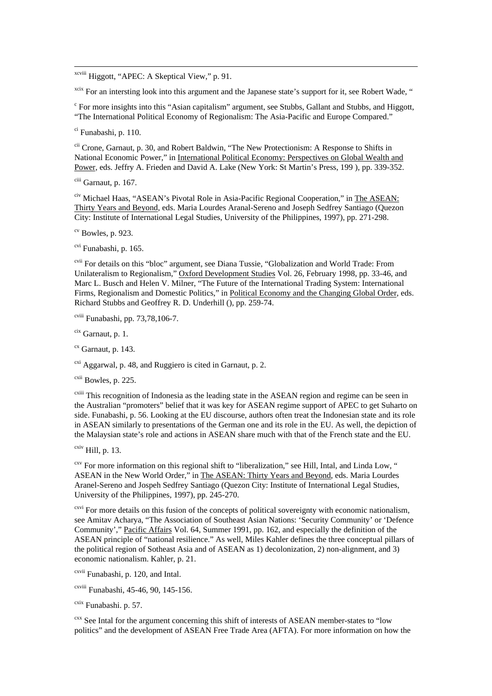xcviii Higgott, "APEC: A Skeptical View," p. 91.

<sup>xcix</sup> For an intersting look into this argument and the Japanese state's support for it, see Robert Wade, "

<sup>c</sup> For more insights into this "Asian capitalism" argument, see Stubbs, Gallant and Stubbs, and Higgott, "The International Political Economy of Regionalism: The Asia-Pacific and Europe Compared."

ci Funabashi, p. 110.

 $\overline{a}$ 

cii Crone, Garnaut, p. 30, and Robert Baldwin, "The New Protectionism: A Response to Shifts in National Economic Power," in International Political Economy: Perspectives on Global Wealth and Power, eds. Jeffry A. Frieden and David A. Lake (New York: St Martin's Press, 199 ), pp. 339-352.

ciii Garnaut, p. 167.

civ Michael Haas, "ASEAN's Pivotal Role in Asia-Pacific Regional Cooperation," in The ASEAN: Thirty Years and Beyond, eds. Maria Lourdes Aranal-Sereno and Joseph Sedfrey Santiago (Quezon City: Institute of International Legal Studies, University of the Philippines, 1997), pp. 271-298.

 $\sigma$ <sup>cv</sup> Bowles, p. 923.

cvi Funabashi, p. 165.

cvii For details on this "bloc" argument, see Diana Tussie, "Globalization and World Trade: From Unilateralism to Regionalism," Oxford Development Studies Vol. 26, February 1998, pp. 33-46, and Marc L. Busch and Helen V. Milner, "The Future of the International Trading System: International Firms, Regionalism and Domestic Politics," in Political Economy and the Changing Global Order, eds. Richard Stubbs and Geoffrey R. D. Underhill (), pp. 259-74.

 $\frac{\text{cviii}}{\text{Funabashi}}$ , pp. 73,78,106-7.

 $\frac{\text{cix}}{\text{Garnaut. p. 1}}$ 

 $\text{c}^{\text{cx}}$  Garnaut, p. 143.

<sup>cxi</sup> Aggarwal, p. 48, and Ruggiero is cited in Garnaut, p. 2.

cxii Bowles, p. 225.

<sup>cxiii</sup> This recognition of Indonesia as the leading state in the ASEAN region and regime can be seen in the Australian "promoters" belief that it was key for ASEAN regime support of APEC to get Suharto on side. Funabashi, p. 56. Looking at the EU discourse, authors often treat the Indonesian state and its role in ASEAN similarly to presentations of the German one and its role in the EU. As well, the depiction of the Malaysian state's role and actions in ASEAN share much with that of the French state and the EU.

 $\frac{\text{cxiv}}{\text{Hill, p. 13}}$ .

<sup>cxv</sup> For more information on this regional shift to "liberalization," see Hill, Intal, and Linda Low, " ASEAN in the New World Order," in The ASEAN: Thirty Years and Beyond, eds. Maria Lourdes Aranel-Sereno and Jospeh Sedfrey Santiago (Quezon City: Institute of International Legal Studies, University of the Philippines, 1997), pp. 245-270.

<sup>cxvi</sup> For more details on this fusion of the concepts of political sovereignty with economic nationalism, see Amitav Acharya, "The Association of Southeast Asian Nations: 'Security Community' or 'Defence Community'," Pacific Affairs Vol. 64, Summer 1991, pp. 162, and especially the definition of the ASEAN principle of "national resilience." As well, Miles Kahler defines the three conceptual pillars of the political region of Sotheast Asia and of ASEAN as 1) decolonization, 2) non-alignment, and 3) economic nationalism. Kahler, p. 21.

cxvii Funabashi, p. 120, and Intal.

cxviii Funabashi, 45-46, 90, 145-156.

cxix Funabashi. p. 57.

<sup>cxx</sup> See Intal for the argument concerning this shift of interests of ASEAN member-states to "low politics" and the development of ASEAN Free Trade Area (AFTA). For more information on how the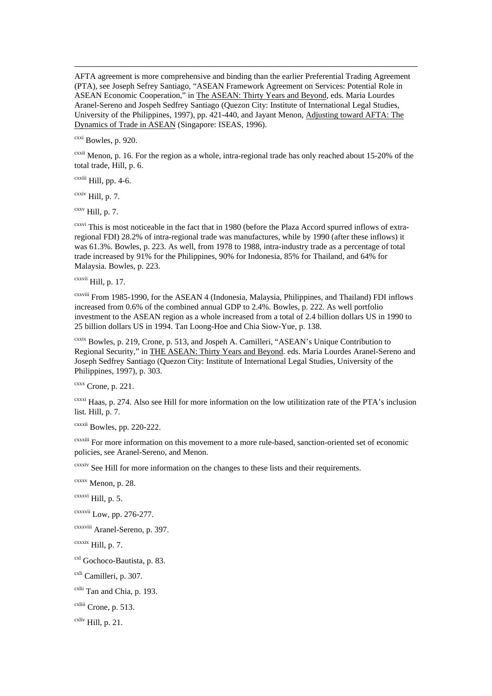AFTA agreement is more comprehensive and binding than the earlier Preferential Trading Agreement (PTA), see Joseph Sefrey Santiago, "ASEAN Framework Agreement on Services: Potential Role in ASEAN Economic Cooperation," in The ASEAN: Thirty Years and Beyond, eds. Maria Lourdes Aranel-Sereno and Jospeh Sedfrey Santiago (Quezon City: Institute of International Legal Studies, University of the Philippines, 1997), pp. 421-440, and Jayant Menon, Adjusting toward AFTA: The Dynamics of Trade in ASEAN (Singapore: ISEAS, 1996).

cxxi Bowles, p. 920.

 $\overline{a}$ 

 $\alpha$ <sup>exxii</sup> Menon, p. 16. For the region as a whole, intra-regional trade has only reached about 15-20% of the total trade, Hill, p. 6.

cxxiii Hill, pp. 4-6.

 $c$ <sup>cxxiv</sup> Hill, p. 7.

 $C^{XXV}$  Hill, p. 7.

<sup>cxxvi</sup> This is most noticeable in the fact that in 1980 (before the Plaza Accord spurred inflows of extraregional FDI) 28.2% of intra-regional trade was manufactures, while by 1990 (after these inflows) it was 61.3%. Bowles, p. 223. As well, from 1978 to 1988, intra-industry trade as a percentage of total trade increased by 91% for the Philippines, 90% for Indonesia, 85% for Thailand, and 64% for Malaysia. Bowles, p. 223.

cxxvii Hill, p. 17.

cxxviii From 1985-1990, for the ASEAN 4 (Indonesia, Malaysia, Philippines, and Thailand) FDI inflows increased from 0.6% of the combined annual GDP to 2.4%. Bowles, p. 222. As well portfolio investment to the ASEAN region as a whole increased from a total of 2.4 billion dollars US in 1990 to 25 billion dollars US in 1994. Tan Loong-Hoe and Chia Siow-Yue, p. 138.

cxxix Bowles, p. 219, Crone, p. 513, and Jospeh A. Camilleri, "ASEAN's Unique Contribution to Regional Security," in THE ASEAN: Thirty Years and Beyond. eds. Maria Lourdes Aranel-Sereno and Joseph Sedfrey Santiago (Quezon City: Institute of International Legal Studies, University of the Philippines, 1997), p. 303.

 $c$ <sup>cxxx</sup> Crone, p. 221.

cxxxi Haas, p. 274. Also see Hill for more information on the low utilitization rate of the PTA's inclusion list. Hill, p. 7.

cxxxii Bowles, pp. 220-222.

cxxxiii For more information on this movement to a more rule-based, sanction-oriented set of economic policies, see Aranel-Sereno, and Menon.

cxxxiv See Hill for more information on the changes to these lists and their requirements.

cxxxv Menon, p. 28.

 $c$ xxxvi Hill, p. 5.

cxxxvii Low, pp. 276-277.

cxxxviii Aranel-Sereno, p. 397.

 $c$ xxxix Hill, p. 7.

cxl Gochoco-Bautista, p. 83.

cxli Camilleri, p. 307.

cxlii Tan and Chia, p. 193.

cxliii Crone, p. 513.

 $\frac{\text{cxliv}}{\text{Hill}}$ , p. 21.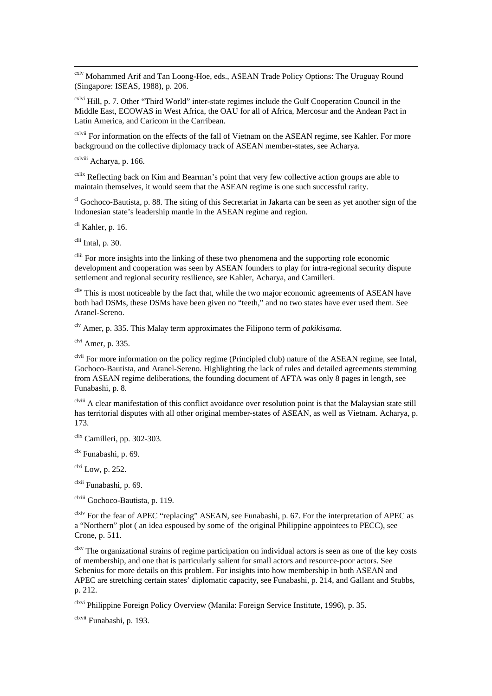cxlv Mohammed Arif and Tan Loong-Hoe, eds., ASEAN Trade Policy Options: The Uruguay Round (Singapore: ISEAS, 1988), p. 206.

cxlvi Hill, p. 7. Other "Third World" inter-state regimes include the Gulf Cooperation Council in the Middle East, ECOWAS in West Africa, the OAU for all of Africa, Mercosur and the Andean Pact in Latin America, and Caricom in the Carribean.

cxlvii For information on the effects of the fall of Vietnam on the ASEAN regime, see Kahler. For more background on the collective diplomacy track of ASEAN member-states, see Acharya.

cxlviii Acharya, p. 166.

 $\overline{a}$ 

<sup>cxlix</sup> Reflecting back on Kim and Bearman's point that very few collective action groups are able to maintain themselves, it would seem that the ASEAN regime is one such successful rarity.

<sup>cl</sup> Gochoco-Bautista, p. 88. The siting of this Secretariat in Jakarta can be seen as yet another sign of the Indonesian state's leadership mantle in the ASEAN regime and region.

 $\frac{\text{chi}}{\text{chi}}$  Kahler, p. 16.

 $\frac{\text{clii}}{\text{Intal}}$ , p. 30.

cliii For more insights into the linking of these two phenomena and the supporting role economic development and cooperation was seen by ASEAN founders to play for intra-regional security dispute settlement and regional security resilience, see Kahler, Acharya, and Camilleri.

cliv This is most noticeable by the fact that, while the two major economic agreements of ASEAN have both had DSMs, these DSMs have been given no "teeth," and no two states have ever used them. See Aranel-Sereno.

clv Amer, p. 335. This Malay term approximates the Filipono term of *pakikisama*.

 $<sup>clvi</sup>$  Amer, p. 335.</sup>

clvii For more information on the policy regime (Principled club) nature of the ASEAN regime, see Intal, Gochoco-Bautista, and Aranel-Sereno. Highlighting the lack of rules and detailed agreements stemming from ASEAN regime deliberations, the founding document of AFTA was only 8 pages in length, see Funabashi, p. 8.

clviii A clear manifestation of this conflict avoidance over resolution point is that the Malaysian state still has territorial disputes with all other original member-states of ASEAN, as well as Vietnam. Acharya, p. 173.

clix Camilleri, pp. 302-303.

 $c$ <sup>lx</sup> Funabashi, p. 69.

 $<sup>clxi</sup>$  Low, p. 252.</sup>

clxii Funabashi, p. 69.

clxiii Gochoco-Bautista, p. 119.

clxiv For the fear of APEC "replacing" ASEAN, see Funabashi, p. 67. For the interpretation of APEC as a "Northern" plot ( an idea espoused by some of the original Philippine appointees to PECC), see Crone, p. 511.

<sup>clxv</sup> The organizational strains of regime participation on individual actors is seen as one of the key costs of membership, and one that is particularly salient for small actors and resource-poor actors. See Sebenius for more details on this problem. For insights into how membership in both ASEAN and APEC are stretching certain states' diplomatic capacity, see Funabashi, p. 214, and Gallant and Stubbs, p. 212.

<sup>clxvi</sup> Philippine Foreign Policy Overview (Manila: Foreign Service Institute, 1996), p. 35.

clxvii Funabashi, p. 193.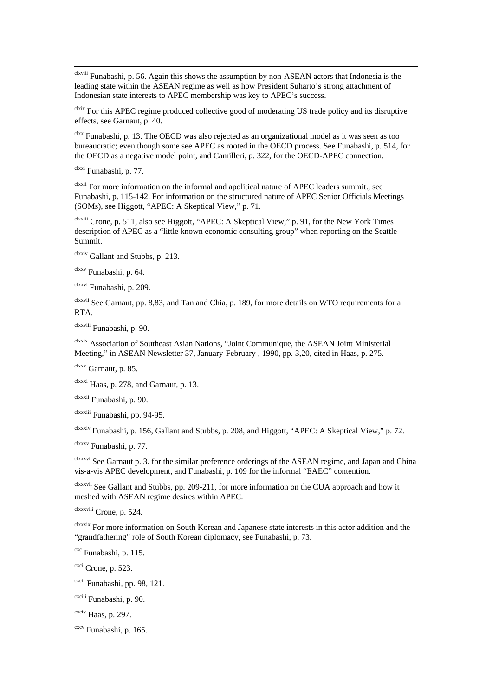clxviii Funabashi, p. 56. Again this shows the assumption by non-ASEAN actors that Indonesia is the leading state within the ASEAN regime as well as how President Suharto's strong attachment of Indonesian state interests to APEC membership was key to APEC's success.

clxix For this APEC regime produced collective good of moderating US trade policy and its disruptive effects, see Garnaut, p. 40.

 $\frac{clxx}{clxx}$  Funabashi, p. 13. The OECD was also rejected as an organizational model as it was seen as too bureaucratic; even though some see APEC as rooted in the OECD process. See Funabashi, p. 514, for the OECD as a negative model point, and Camilleri, p. 322, for the OECD-APEC connection.

clxxi Funabashi, p. 77.

 $\overline{a}$ 

clxxii For more information on the informal and apolitical nature of APEC leaders summit., see Funabashi, p. 115-142. For information on the structured nature of APEC Senior Officials Meetings (SOMs), see Higgott, "APEC: A Skeptical View," p. 71.

clxxiii Crone, p. 511, also see Higgott, "APEC: A Skeptical View," p. 91, for the New York Times description of APEC as a "little known economic consulting group" when reporting on the Seattle Summit.

clxxiv Gallant and Stubbs, p. 213.

clxxv Funabashi, p. 64.

clxxvi Funabashi, p. 209.

clxxvii See Garnaut, pp. 8,83, and Tan and Chia, p. 189, for more details on WTO requirements for a RTA.

clxxviii Funabashi, p. 90.

clxxix Association of Southeast Asian Nations, "Joint Communique, the ASEAN Joint Ministerial Meeting," in ASEAN Newsletter 37, January-February , 1990, pp. 3,20, cited in Haas, p. 275.

clxxx Garnaut, p. 85.

clxxxi Haas, p. 278, and Garnaut, p. 13.

clxxxii Funabashi, p. 90.

clxxxiii Funabashi, pp. 94-95.

clxxxiv Funabashi, p. 156, Gallant and Stubbs, p. 208, and Higgott, "APEC: A Skeptical View," p. 72.

clxxxv Funabashi, p. 77.

clxxxvi See Garnaut p. 3. for the similar preference orderings of the ASEAN regime, and Japan and China vis-a-vis APEC development, and Funabashi, p. 109 for the informal "EAEC" contention.

clxxxvii See Gallant and Stubbs, pp. 209-211, for more information on the CUA approach and how it meshed with ASEAN regime desires within APEC.

clxxxviii Crone, p. 524.

clxxxix For more information on South Korean and Japanese state interests in this actor addition and the "grandfathering" role of South Korean diplomacy, see Funabashi, p. 73.

cxc Funabashi, p. 115.

 $c$ <sup>cxci</sup> Crone, p. 523.

cxcii Funabashi, pp. 98, 121.

cxciii Funabashi, p. 90.

cxciv Haas, p. 297.

cxcv Funabashi, p. 165.